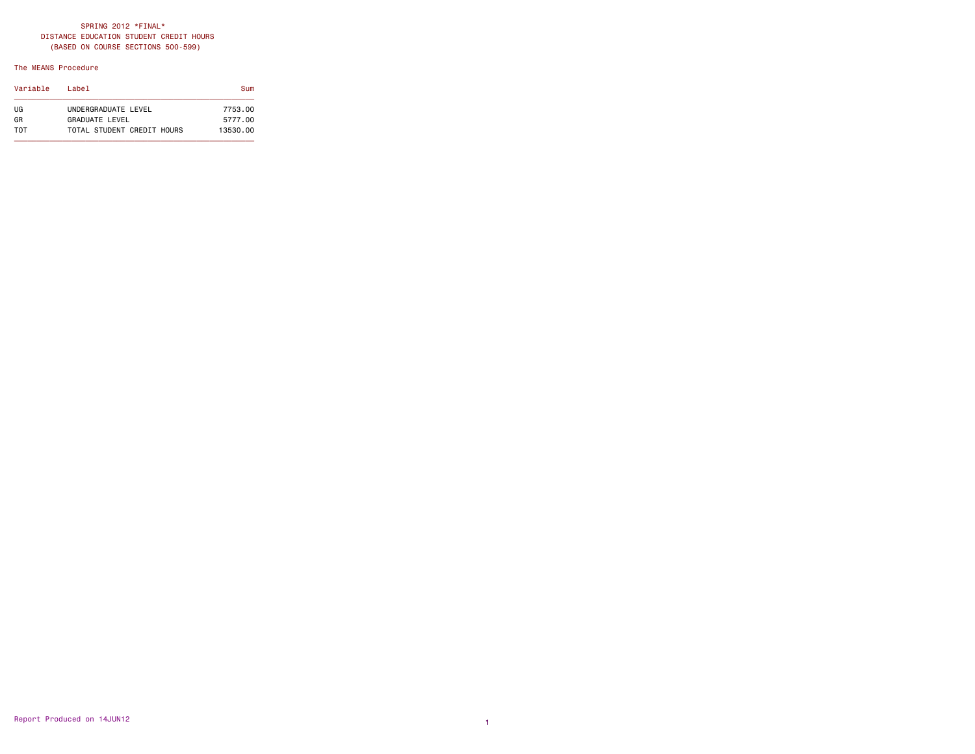# SPRING 2012 \*FINAL\* DISTANCE EDUCATION STUDENT CREDIT HOURS (BASED ON COURSE SECTIONS 500-599)

# The MEANS Procedure

| Variable | Label                                        | Sum                 |
|----------|----------------------------------------------|---------------------|
| UG<br>GR | UNDERGRADUATE LEVEL                          | 7753.00             |
| TOT      | GRADUATE LEVEL<br>TOTAL STUDENT CREDIT HOURS | 5777.00<br>13530.00 |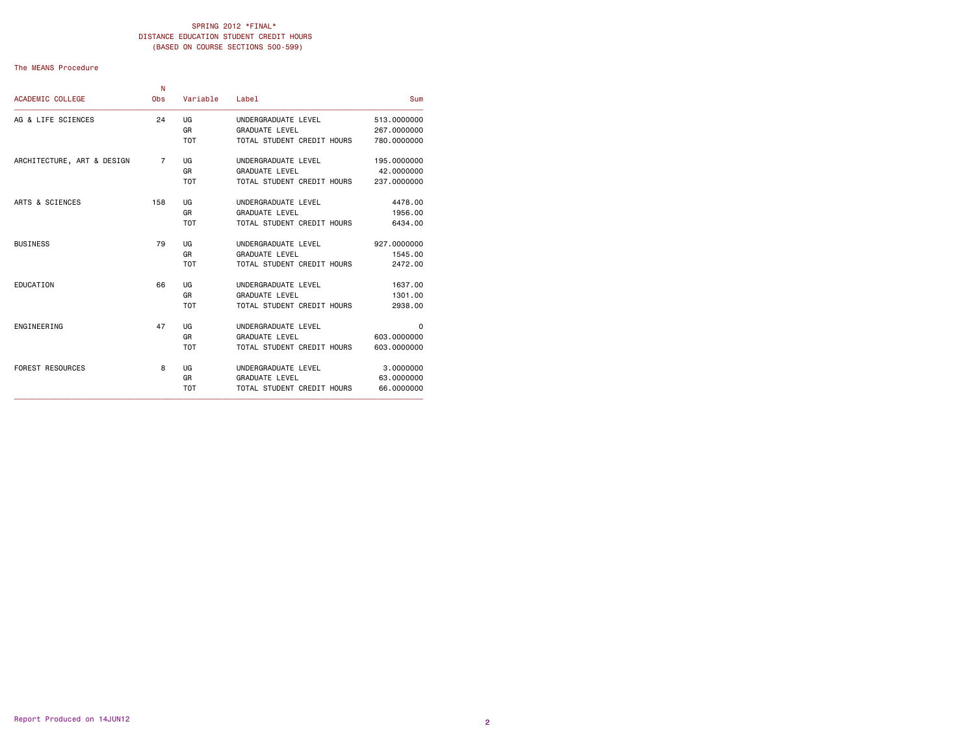# SPRING 2012 \*FINAL\* DISTANCE EDUCATION STUDENT CREDIT HOURS (BASED ON COURSE SECTIONS 500-599)

# The MEANS Procedure

|                            | N              |            |                            |             |
|----------------------------|----------------|------------|----------------------------|-------------|
| ACADEMIC COLLEGE           | <b>Obs</b>     | Variable   | Label                      | Sum         |
| AG & LIFE SCIENCES         | 24             | UG         | UNDERGRADUATE LEVEL        | 513,0000000 |
|                            |                | GR         | <b>GRADUATE LEVEL</b>      | 267,0000000 |
|                            |                | T0T        | TOTAL STUDENT CREDIT HOURS | 780,0000000 |
| ARCHITECTURE, ART & DESIGN | $\overline{7}$ | UG         | UNDERGRADUATE LEVEL        | 195,0000000 |
|                            |                | GR         | <b>GRADUATE LEVEL</b>      | 42,0000000  |
|                            |                | T0T        | TOTAL STUDENT CREDIT HOURS | 237,0000000 |
| ARTS & SCIENCES            | 158            | UG         | UNDERGRADUATE LEVEL        | 4478.00     |
|                            |                | GR         | <b>GRADUATE LEVEL</b>      | 1956.00     |
|                            |                | <b>TOT</b> | TOTAL STUDENT CREDIT HOURS | 6434.00     |
| <b>BUSINESS</b>            | 79             | UG         | UNDERGRADUATE LEVEL        | 927,0000000 |
|                            |                | GR         | <b>GRADUATE LEVEL</b>      | 1545.00     |
|                            |                | <b>TOT</b> | TOTAL STUDENT CREDIT HOURS | 2472.00     |
| EDUCATION                  | 66             | UG         | UNDERGRADUATE LEVEL        | 1637.00     |
|                            |                | GR         | <b>GRADUATE LEVEL</b>      | 1301.00     |
|                            |                | <b>TOT</b> | TOTAL STUDENT CREDIT HOURS | 2938.00     |
| ENGINEERING                | 47             | UG         | UNDERGRADUATE LEVEL        | 0           |
|                            |                | GR         | <b>GRADUATE LEVEL</b>      | 603,0000000 |
|                            |                | <b>TOT</b> | TOTAL STUDENT CREDIT HOURS | 603,0000000 |
| <b>FOREST RESOURCES</b>    | 8              | UG         | UNDERGRADUATE LEVEL        | 3,0000000   |
|                            |                | GR         | <b>GRADUATE LEVEL</b>      | 63,0000000  |
|                            |                | T0T        | TOTAL STUDENT CREDIT HOURS | 66,0000000  |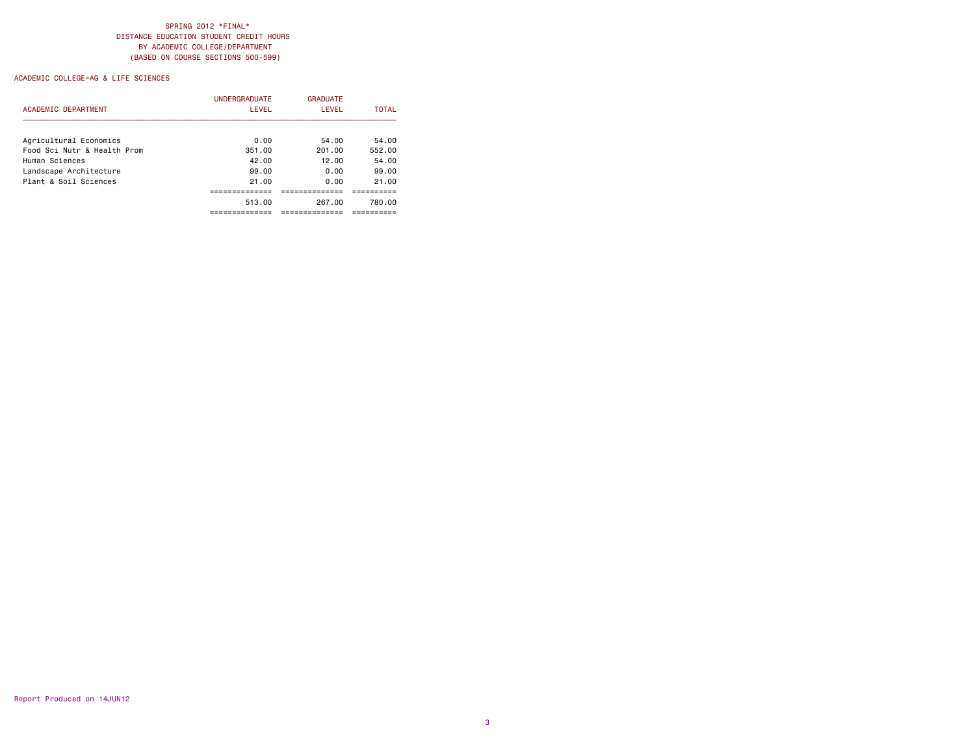|                             | <b>UNDERGRADUATE</b> | <b>GRADUATE</b> |              |
|-----------------------------|----------------------|-----------------|--------------|
| <b>ACADEMIC DEPARTMENT</b>  | LEVEL                | LEVEL           | <b>TOTAL</b> |
| Agricultural Economics      | 0.00                 | 54.00           | 54.00        |
| Food Sci Nutr & Health Prom | 351.00               | 201.00          | 552.00       |
| Human Sciences              | 42.00                | 12.00           | 54.00        |
| Landscape Architecture      | 99.00                | 0.00            | 99.00        |
| Plant & Soil Sciences       | 21.00                | 0.00            | 21.00        |
|                             |                      |                 |              |
|                             | 513.00               | 267.00          | 780.00       |
|                             |                      |                 |              |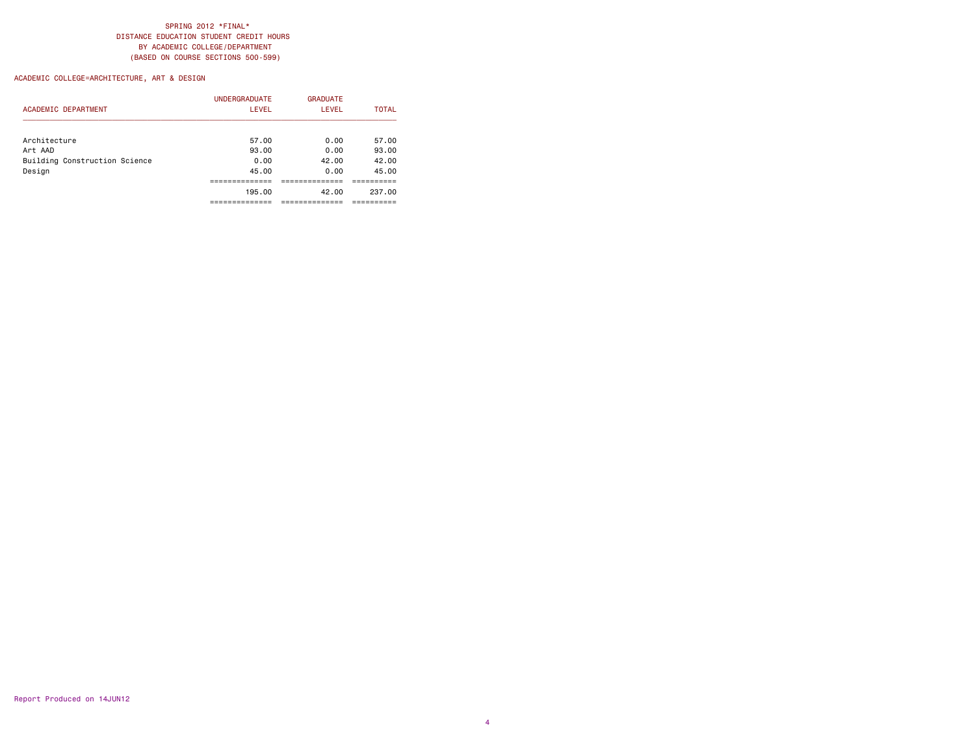|                               | <b>UNDERGRADUATE</b> | <b>GRADUATE</b> |              |
|-------------------------------|----------------------|-----------------|--------------|
| <b>ACADEMIC DEPARTMENT</b>    | LEVEL                | LEVEL           | <b>TOTAL</b> |
| Architecture                  | 57.00                | 0.00            | 57.00        |
| Art AAD                       | 93.00                | 0.00            | 93.00        |
| Building Construction Science | 0.00                 | 42.00           | 42.00        |
| Design                        | 45.00                | 0.00            | 45.00        |
|                               |                      |                 |              |
|                               | 195.00               | 42.00           | 237.00       |
|                               |                      |                 |              |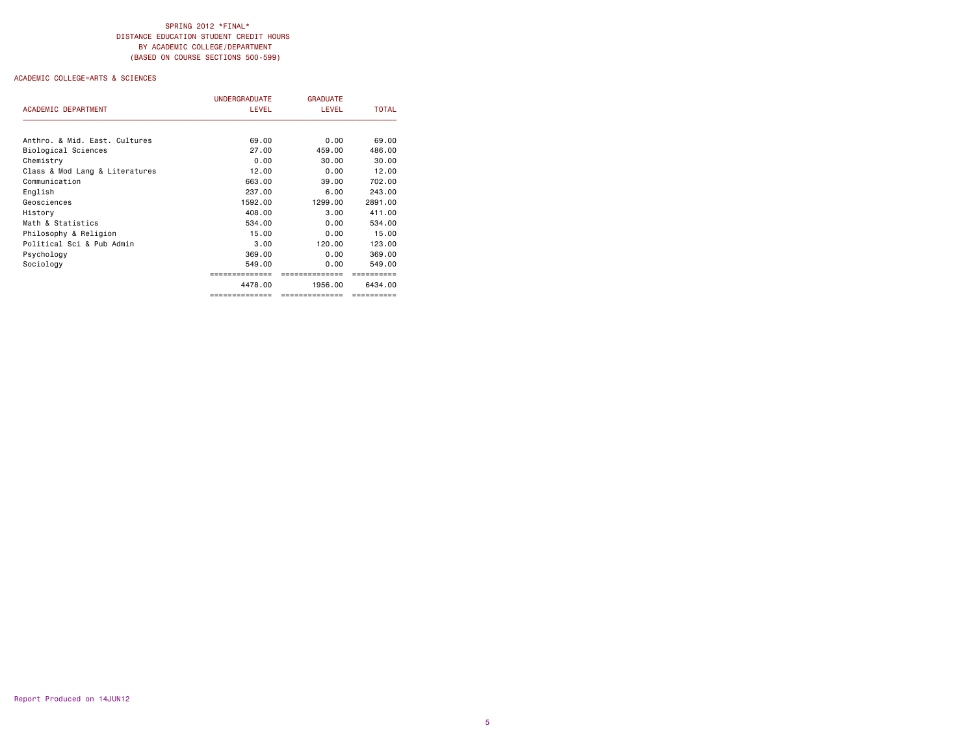|                                | <b>UNDERGRADUATE</b> | <b>GRADUATE</b> |              |
|--------------------------------|----------------------|-----------------|--------------|
| <b>ACADEMIC DEPARTMENT</b>     | <b>LEVEL</b>         | LEVEL           | <b>TOTAL</b> |
| Anthro, & Mid. East. Cultures  | 69.00                | 0.00            | 69.00        |
| Biological Sciences            | 27.00                | 459.00          | 486.00       |
| Chemistry                      | 0.00                 | 30.00           | 30.00        |
| Class & Mod Lang & Literatures | 12.00                | 0.00            | 12.00        |
| Communication                  | 663,00               | 39,00           | 702.00       |
| English                        | 237.00               | 6.00            | 243.00       |
| Geosciences                    | 1592.00              | 1299.00         | 2891.00      |
| History                        | 408.00               | 3.00            | 411.00       |
| Math & Statistics              | 534.00               | 0.00            | 534.00       |
| Philosophy & Religion          | 15.00                | 0.00            | 15.00        |
| Political Sci & Pub Admin      | 3.00                 | 120.00          | 123.00       |
| Psychology                     | 369.00               | 0.00            | 369,00       |
| Sociology                      | 549.00               | 0.00            | 549.00       |
|                                | ==============       | --------------  |              |
|                                | 4478.00              | 1956.00         | 6434.00      |
|                                | ==============       | ==============  | ==========   |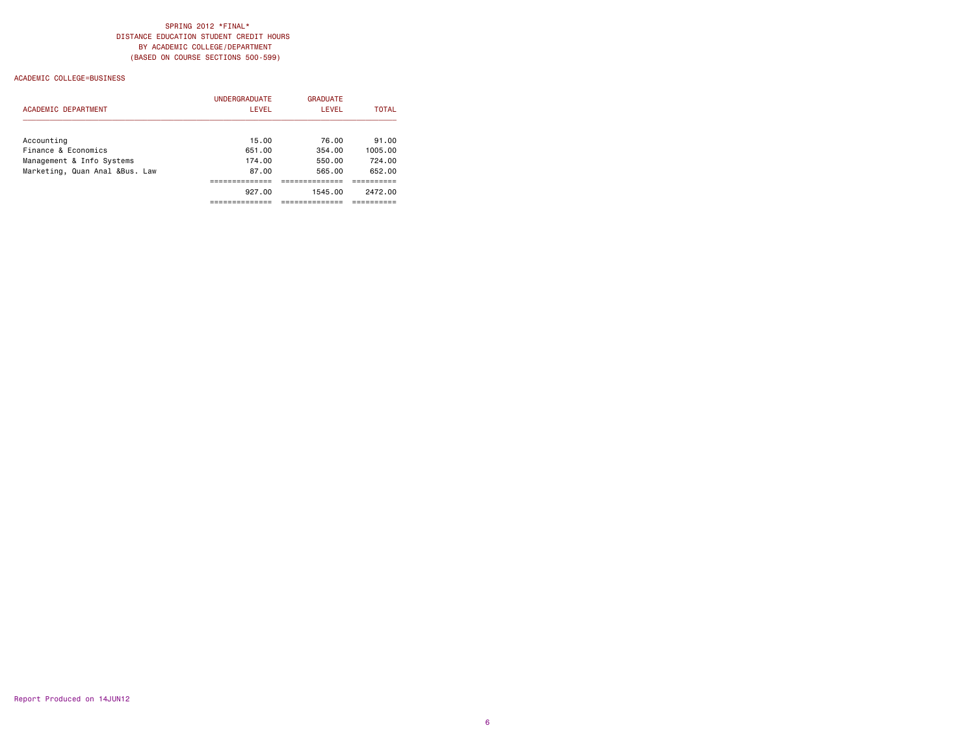#### ACADEMIC COLLEGE=BUSINESS

|                                | <b>UNDERGRADUATE</b> | <b>GRADUATE</b> |              |
|--------------------------------|----------------------|-----------------|--------------|
| <b>ACADEMIC DEPARTMENT</b>     | LEVEL                | LEVEL           | <b>TOTAL</b> |
| Accounting                     | 15.00                | 76.00           | 91.00        |
| Finance & Economics            | 651.00               | 354.00          | 1005.00      |
| Management & Info Systems      | 174.00               | 550.00          | 724.00       |
| Marketing, Quan Anal &Bus. Law | 87.00                | 565.00          | 652.00       |
|                                |                      |                 |              |
|                                | 927.00               | 1545.00         | 2472.00      |
|                                |                      |                 |              |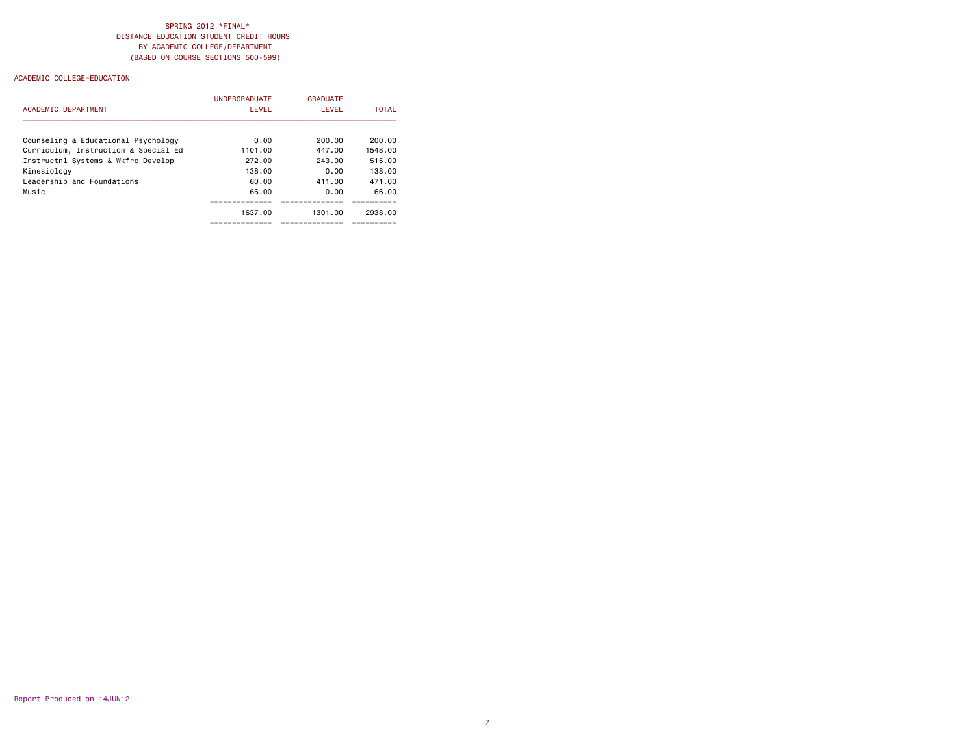|                                      | <b>UNDERGRADUATE</b> | <b>GRADUATE</b> |              |
|--------------------------------------|----------------------|-----------------|--------------|
| ACADEMIC DEPARTMENT                  | LEVEL                | LEVEL           | <b>TOTAL</b> |
| Counseling & Educational Psychology  | 0.00                 | 200.00          | 200.00       |
| Curriculum, Instruction & Special Ed | 1101.00              | 447.00          | 1548.00      |
| Instructnl Systems & Wkfrc Develop   | 272.00               | 243.00          | 515.00       |
| Kinesiology                          | 138.00               | 0.00            | 138.00       |
| Leadership and Foundations           | 60.00                | 411.00          | 471.00       |
| Music                                | 66.00                | 0.00            | 66.00        |
|                                      |                      |                 |              |
|                                      | 1637.00              | 1301.00         | 2938.00      |
|                                      |                      |                 |              |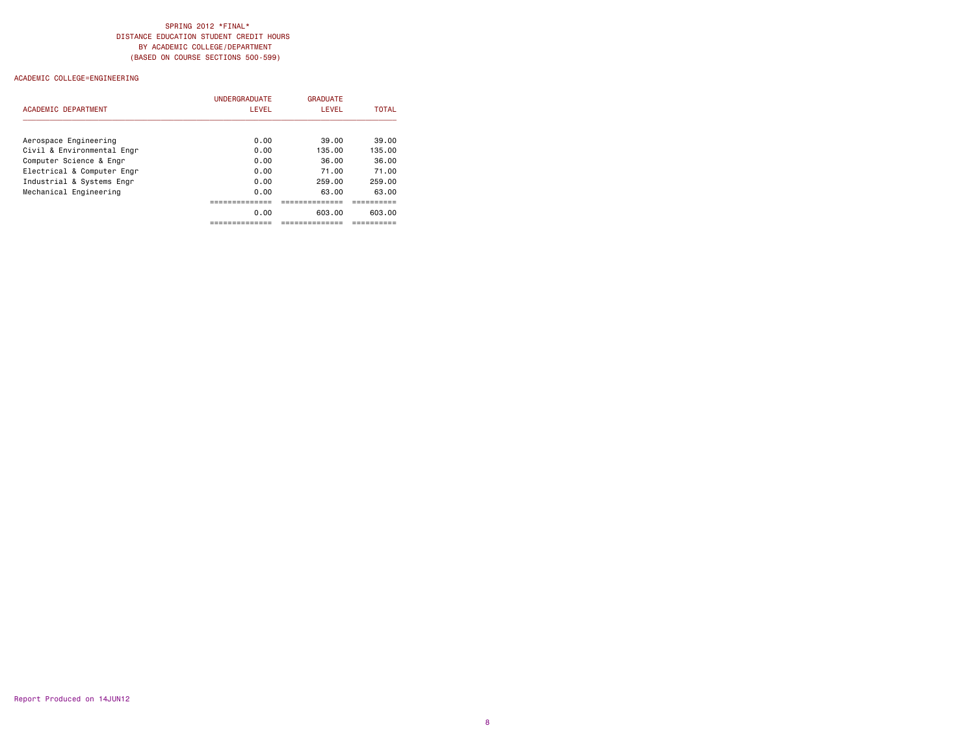|                            | <b>UNDERGRADUATE</b> | <b>GRADUATE</b> |              |
|----------------------------|----------------------|-----------------|--------------|
| <b>ACADEMIC DEPARTMENT</b> | LEVEL                | LEVEL           | <b>TOTAL</b> |
| Aerospace Engineering      | 0.00                 | 39.00           | 39.00        |
| Civil & Environmental Engr | 0.00                 | 135.00          | 135.00       |
| Computer Science & Engr    | 0.00                 | 36.00           | 36.00        |
| Electrical & Computer Engr | 0.00                 | 71.00           | 71.00        |
| Industrial & Systems Engr  | 0.00                 | 259.00          | 259.00       |
| Mechanical Engineering     | 0.00                 | 63.00           | 63.00        |
|                            | .                    |                 |              |
|                            | 0.00                 | 603.00          | 603.00       |
|                            |                      |                 |              |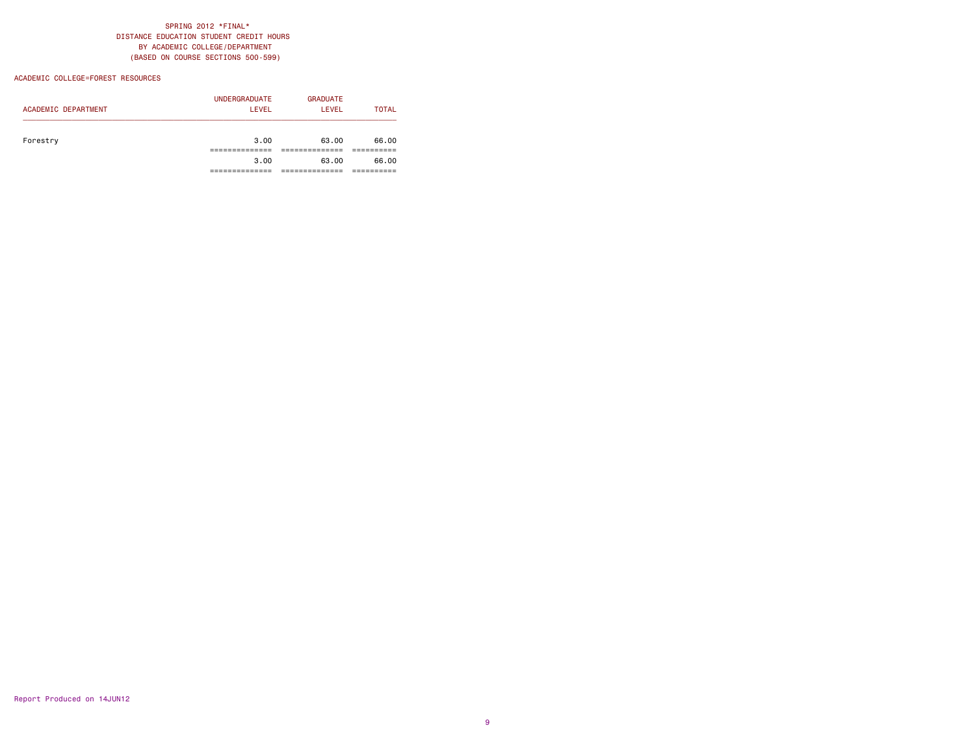#### ACADEMIC COLLEGE=FOREST RESOURCES

| <b>ACADEMIC DEPARTMENT</b> | <b>UNDERGRADUATE</b><br>LEVEL | <b>GRADUATE</b><br>LEVEL | <b>TOTAL</b> |
|----------------------------|-------------------------------|--------------------------|--------------|
| Forestry                   | 3,00                          | 63.00                    | 66.00        |
|                            | 3.00                          | 63.00                    | 66.00        |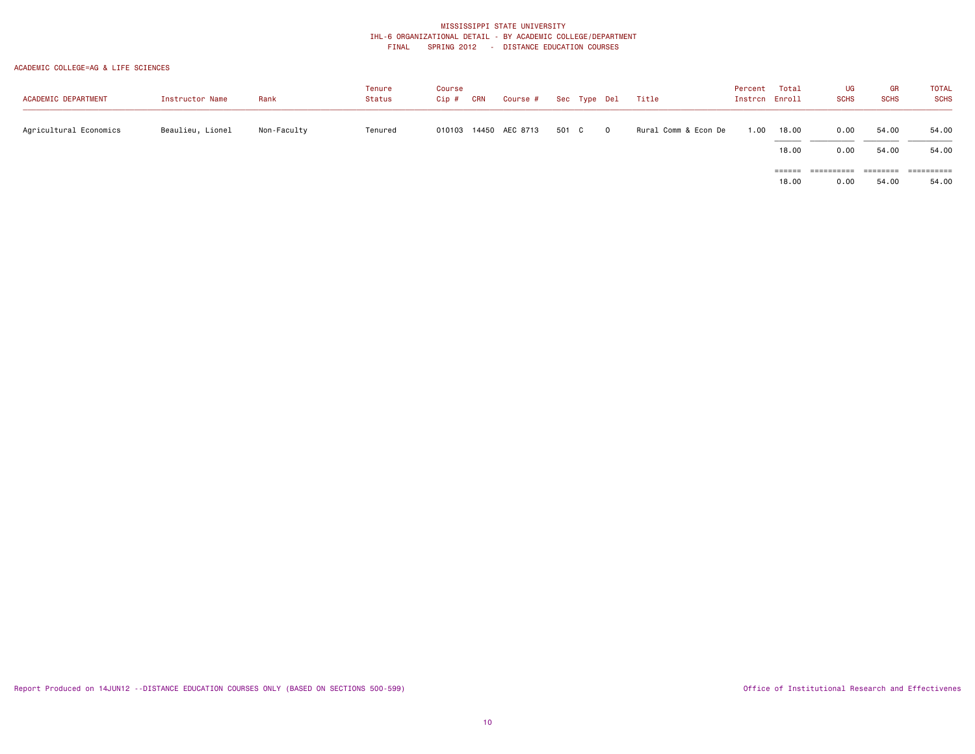| ACADEMIC DEPARTMENT    | Instructor Name  | Rank        | Tenure<br>Status | Course<br>Cip # | CRN | Course #              |       | Sec Type Del | Title                | Percent<br>Instrcn Enroll | Total                            | <b>UG</b><br><b>SCHS</b> | <b>GR</b><br><b>SCHS</b> | <b>TOTAL</b><br><b>SCHS</b> |
|------------------------|------------------|-------------|------------------|-----------------|-----|-----------------------|-------|--------------|----------------------|---------------------------|----------------------------------|--------------------------|--------------------------|-----------------------------|
| Agricultural Economics | Beaulieu, Lionel | Non-Faculty | Tenured          |                 |     | 010103 14450 AEC 8713 | 501 C | $\Omega$     | Rural Comm & Econ De | 1.00                      | 18.00                            | 0.00                     | 54.00                    | 54.00                       |
|                        |                  |             |                  |                 |     |                       |       |              |                      |                           | 18.00                            | 0.00                     | 54.00                    | 54.00                       |
|                        |                  |             |                  |                 |     |                       |       |              |                      |                           | $=$ $=$ $=$ $=$ $=$ $=$<br>18.00 | 0.00                     | ========<br>54.00        | ==========<br>54.00         |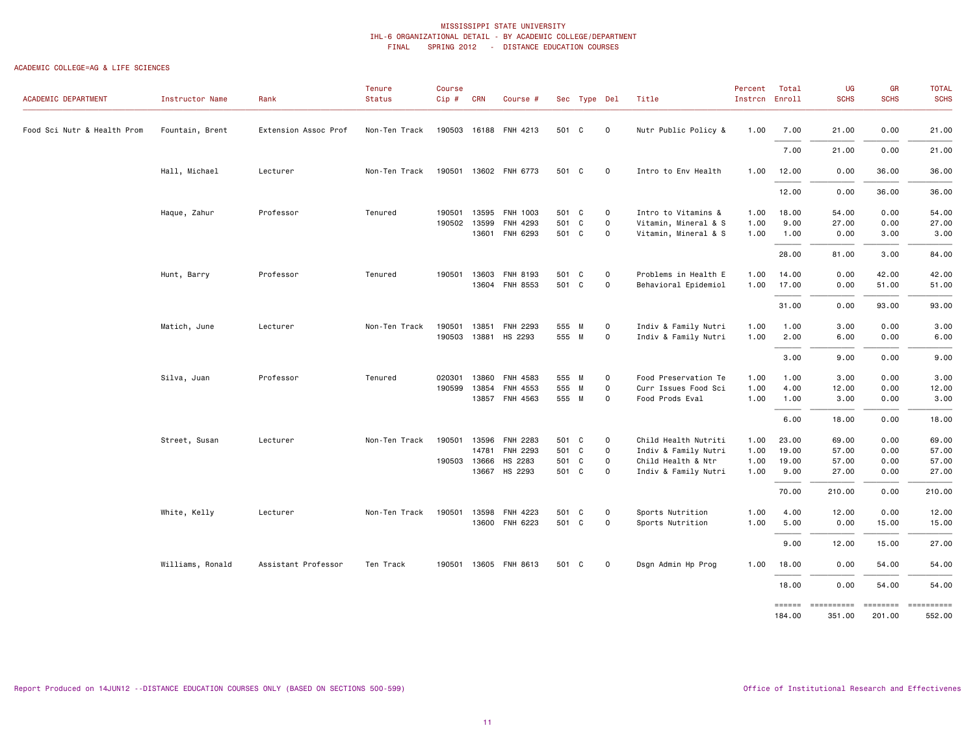| ACADEMIC DEPARTMENT         | Instructor Name  | Rank                 | Tenure<br>Status | Course<br>$Cip$ # | <b>CRN</b>     | Course #             |              | Sec Type Del        |                                     | Title                                        | Percent<br>Instron Enroll | Total        | UG<br><b>SCHS</b> | GR<br><b>SCHS</b>            | <b>TOTAL</b><br><b>SCHS</b> |
|-----------------------------|------------------|----------------------|------------------|-------------------|----------------|----------------------|--------------|---------------------|-------------------------------------|----------------------------------------------|---------------------------|--------------|-------------------|------------------------------|-----------------------------|
| Food Sci Nutr & Health Prom | Fountain, Brent  | Extension Assoc Prof | Non-Ten Track    | 190503            | 16188          | FNH 4213             | 501 C        |                     | $\mathsf{O}$                        | Nutr Public Policy &                         | 1.00                      | 7.00         | 21.00             | 0.00                         | 21.00                       |
|                             |                  |                      |                  |                   |                |                      |              |                     |                                     |                                              |                           | 7.00         | 21.00             | 0.00                         | 21.00                       |
|                             | Hall, Michael    | Lecturer             | Non-Ten Track    | 190501            |                | 13602 FNH 6773       | 501 C        |                     | $\mathbf 0$                         | Intro to Env Health                          | 1.00                      | 12.00        | 0.00              | 36.00                        | 36.00                       |
|                             |                  |                      |                  |                   |                |                      |              |                     |                                     |                                              |                           | 12.00        | 0.00              | 36.00                        | 36.00                       |
|                             | Haque, Zahur     | Professor            | Tenured          | 190501            | 13595          | FNH 1003             | 501 C        |                     | 0                                   | Intro to Vitamins &                          | 1.00                      | 18.00        | 54.00             | 0.00                         | 54.00                       |
|                             |                  |                      |                  | 190502            | 13599<br>13601 | FNH 4293<br>FNH 6293 | 501<br>501 C | C                   | $\mathsf{o}$<br>$\mathsf{O}\xspace$ | Vitamin, Mineral & S<br>Vitamin, Mineral & S | 1.00<br>1.00              | 9.00<br>1.00 | 27.00<br>0.00     | 0.00<br>3.00                 | 27.00<br>3.00               |
|                             |                  |                      |                  |                   |                |                      |              |                     |                                     |                                              |                           | 28.00        | 81.00             | 3.00                         | 84.00                       |
|                             | Hunt, Barry      | Professor            | Tenured          | 190501            | 13603          | FNH 8193             | 501 C        |                     | $\mathsf{O}\xspace$                 | Problems in Health E                         | 1.00                      | 14.00        | 0.00              | 42.00                        | 42.00                       |
|                             |                  |                      |                  |                   | 13604          | FNH 8553             | 501 C        |                     | $\mathsf{O}\xspace$                 | Behavioral Epidemiol                         | 1.00                      | 17.00        | 0.00              | 51.00                        | 51.00                       |
| Matich, June                |                  |                      |                  |                   |                |                      |              |                     |                                     |                                              |                           | 31.00        | 0.00              | 93.00                        | 93.00                       |
|                             |                  | Lecturer             | Non-Ten Track    | 190501            | 13851          | FNH 2293             | 555 M        |                     | $\mathsf{O}\xspace$                 | Indiv & Family Nutri                         | 1.00                      | 1.00         | 3.00              | 0.00                         | 3.00                        |
|                             |                  |                      | 190503           |                   | 13881 HS 2293  | 555 M                |              | $\mathsf{O}\xspace$ | Indiv & Family Nutri                | 1.00                                         | 2.00                      | 6.00         | 0.00              | 6.00                         |                             |
|                             |                  |                      |                  |                   |                |                      |              |                     |                                     |                                              |                           | 3.00         | 9.00              | 0.00                         | 9.00                        |
|                             | Silva, Juan      | Professor            | Tenured          | 020301            | 13860          | FNH 4583             | 555 M        |                     | $\mathbf 0$                         | Food Preservation Te                         | 1.00                      | 1.00         | 3.00              | 0.00                         | 3.00                        |
|                             |                  |                      |                  | 190599            | 13854          | FNH 4553             | 555 M        |                     | $\mathsf{o}$                        | Curr Issues Food Sci                         | 1.00                      | 4.00         | 12.00             | 0.00                         | 12.00                       |
|                             |                  |                      |                  |                   |                | 13857 FNH 4563       | 555 M        |                     | $\mathsf{O}\xspace$                 | Food Prods Eval                              | 1.00                      | 1.00         | 3.00              | 0.00                         | 3.00                        |
|                             |                  |                      |                  |                   |                |                      |              |                     |                                     |                                              |                           | 6.00         | 18.00             | 0.00                         | 18.00                       |
|                             | Street, Susan    | Lecturer             | Non-Ten Track    | 190501            | 13596          | FNH 2283             | 501 C        |                     | $\mathsf{O}\xspace$                 | Child Health Nutriti                         | 1.00                      | 23.00        | 69.00             | 0.00                         | 69.00                       |
|                             |                  |                      |                  |                   | 14781          | FNH 2293             | 501          | C                   | $\mathbf 0$                         | Indiv & Family Nutri                         | 1.00                      | 19.00        | 57.00             | 0.00                         | 57.00                       |
|                             |                  |                      |                  | 190503            | 13666          | HS 2283              | 501          | C                   | $\mathsf{O}\xspace$                 | Child Health & Ntr                           | 1.00                      | 19.00        | 57.00             | 0.00                         | 57.00                       |
|                             |                  |                      |                  |                   | 13667          | HS 2293              | 501 C        |                     | $\mathsf{O}\xspace$                 | Indiv & Family Nutri                         | 1.00                      | 9.00         | 27.00             | 0.00                         | 27.00                       |
|                             |                  |                      |                  |                   |                |                      |              |                     |                                     |                                              |                           | 70.00        | 210.00            | 0.00                         | 210.00                      |
|                             | White, Kelly     | Lecturer             | Non-Ten Track    | 190501            | 13598          | FNH 4223             | 501 C        |                     | $\mathsf{O}\xspace$                 | Sports Nutrition                             | 1.00                      | 4.00         | 12.00             | 0.00                         | 12.00                       |
|                             |                  |                      |                  |                   | 13600          | FNH 6223             | 501 C        |                     | $\mathsf{o}$                        | Sports Nutrition                             | 1.00                      | 5.00         | 0.00              | 15.00                        | 15.00                       |
|                             |                  |                      |                  |                   |                |                      |              |                     |                                     |                                              |                           | 9.00         | 12.00             | 15.00                        | 27.00                       |
|                             | Williams, Ronald | Assistant Professor  | Ten Track        | 190501            |                | 13605 FNH 8613       | 501 C        |                     | $\mathbf 0$                         | Dsgn Admin Hp Prog                           | 1.00                      | 18.00        | 0.00              | 54.00                        | 54.00                       |
|                             |                  |                      |                  |                   |                |                      |              |                     |                                     |                                              |                           | 18.00        | 0.00              | 54.00                        | 54.00                       |
|                             |                  |                      |                  |                   |                |                      |              |                     |                                     |                                              |                           | 184.00       | 351.00            | ======== =========<br>201.00 | 552.00                      |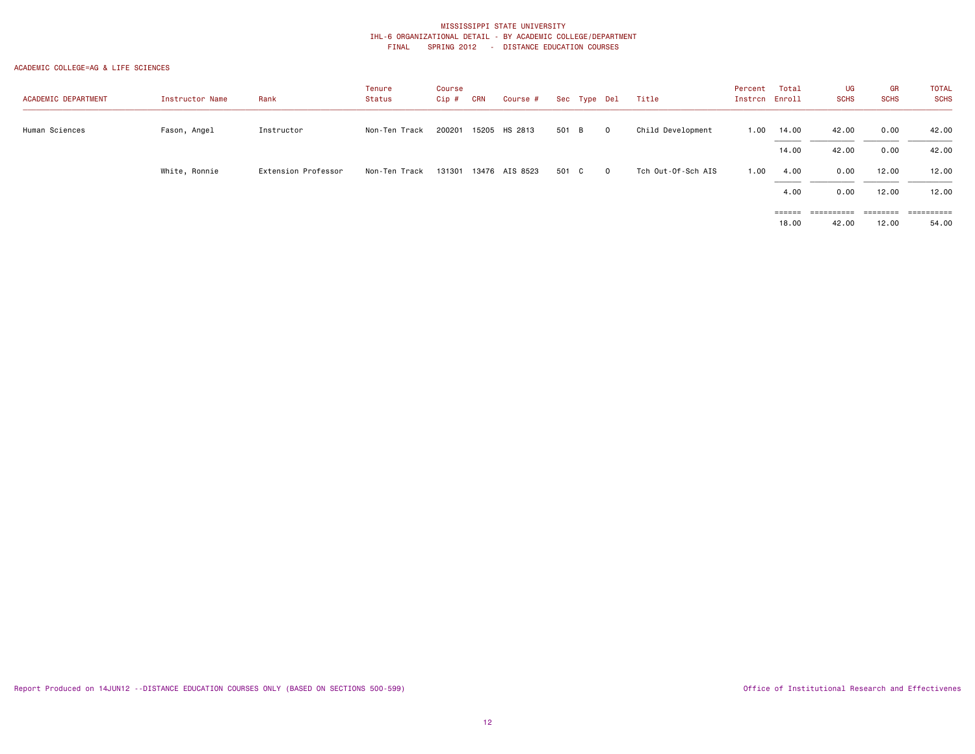| <b>ACADEMIC DEPARTMENT</b> | Instructor Name | Rank                | Tenure<br>Status | Course<br>Cip # | <b>CRN</b> | Course #       |       | Sec Type Del |                | Title              | Percent<br>Instron Enroll | Total                                                     | UG<br><b>SCHS</b> | GR<br><b>SCHS</b>                                                       | <b>TOTAL</b><br><b>SCHS</b> |
|----------------------------|-----------------|---------------------|------------------|-----------------|------------|----------------|-------|--------------|----------------|--------------------|---------------------------|-----------------------------------------------------------|-------------------|-------------------------------------------------------------------------|-----------------------------|
| Human Sciences             | Fason, Angel    | Instructor          | Non-Ten Track    | 200201          |            | 15205 HS 2813  | 501 B |              | $\overline{0}$ | Child Development  | 1.00                      | 14.00                                                     | 42.00             | 0.00                                                                    | 42.00                       |
|                            |                 |                     |                  |                 |            |                |       |              |                |                    |                           | 14.00                                                     | 42.00             | 0.00                                                                    | 42.00                       |
|                            | White, Ronnie   | Extension Professor | Non-Ten Track    | 131301          |            | 13476 AIS 8523 | 501 C |              | $\Omega$       | Tch Out-Of-Sch AIS | 1.00                      | 4.00                                                      | 0.00              | 12.00                                                                   | 12.00                       |
|                            |                 |                     |                  |                 |            |                |       |              |                |                    |                           | 4.00                                                      | 0.00              | 12.00                                                                   | 12.00                       |
|                            |                 |                     |                  |                 |            |                |       |              |                |                    |                           | $\qquad \qquad \equiv \equiv \equiv \equiv \equiv \equiv$ | ==========        | $\qquad \qquad \equiv \equiv \equiv \equiv \equiv \equiv \equiv \equiv$ |                             |
|                            |                 |                     |                  |                 |            |                |       |              |                |                    |                           | 18.00                                                     | 42.00             | 12.00                                                                   | 54.00                       |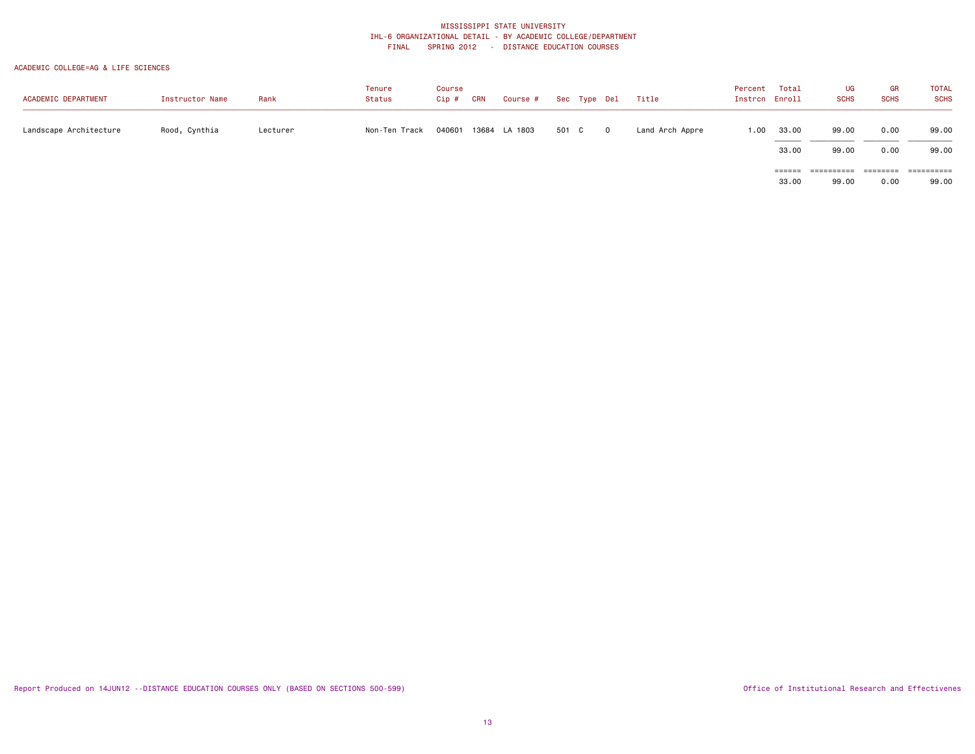| <b>ACADEMIC DEPARTMENT</b> | Instructor Name | Rank     | Tenure<br>Status | Course<br>Cip # | CRN | Course #      |       | Sec Type Del |                         | Title           | Percent<br>Instrcn Enroll | Total | <b>UG</b><br><b>SCHS</b> | <b>GR</b><br><b>SCHS</b> | <b>TOTAL</b><br><b>SCHS</b> |
|----------------------------|-----------------|----------|------------------|-----------------|-----|---------------|-------|--------------|-------------------------|-----------------|---------------------------|-------|--------------------------|--------------------------|-----------------------------|
| Landscape Architecture     | Rood, Cynthia   | Lecturer | Non-Ten Track    | 040601          |     | 13684 LA 1803 | 501 C |              | $\overline{\mathbf{0}}$ | Land Arch Appre | 1.00                      | 33.00 | 99.00                    | 0.00                     | 99.00                       |
|                            |                 |          |                  |                 |     |               |       |              |                         |                 |                           | 33.00 | 99.00<br>==========      | 0.00<br>========         | 99.00<br>==========         |
|                            |                 |          |                  |                 |     |               |       |              |                         |                 |                           | 33.00 | 99.00                    | 0.00                     | 99.00                       |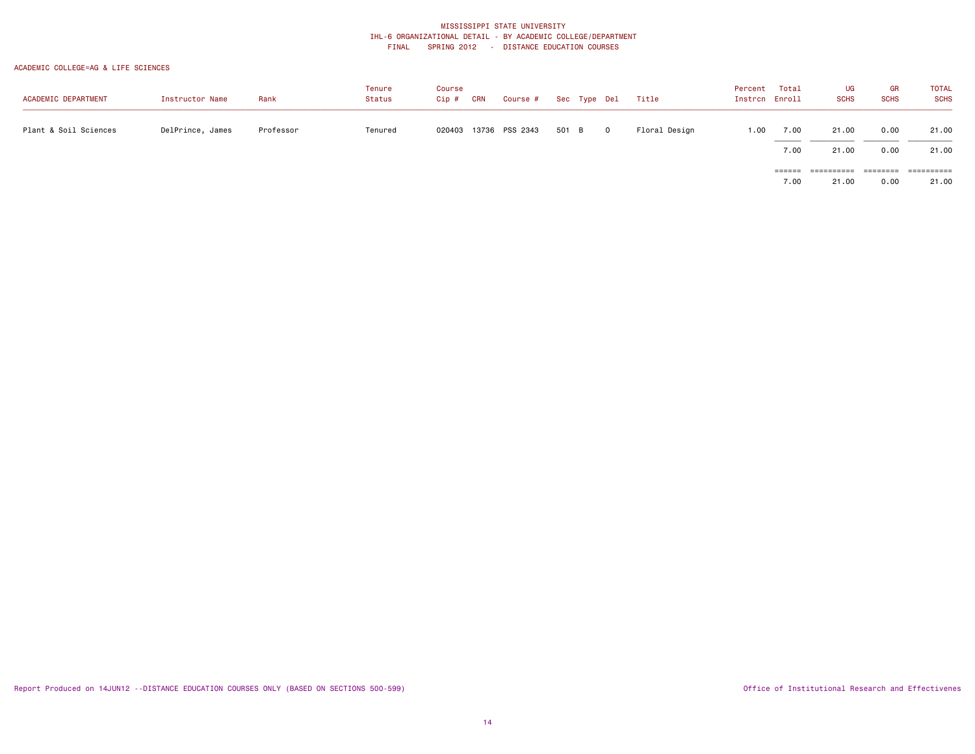| <b>ACADEMIC DEPARTMENT</b> | Instructor Name  | Rank      | Tenure<br>Status | Course<br>Cip # | <b>CRN</b> | Course #              | Sec Type Del |         | Title         | Percent<br>Instrcn Enroll | Total          | UG<br><b>SCHS</b>   | <b>GR</b><br><b>SCHS</b> | <b>TOTAL</b><br><b>SCHS</b> |
|----------------------------|------------------|-----------|------------------|-----------------|------------|-----------------------|--------------|---------|---------------|---------------------------|----------------|---------------------|--------------------------|-----------------------------|
| Plant & Soil Sciences      | DelPrince, James | Professor | Tenured          |                 |            | 020403 13736 PSS 2343 | 501 B        | $\circ$ | Floral Design | 1.00                      | 7.00<br>7.00   | 21.00<br>21.00      | 0.00<br>0.00             | 21.00<br>21.00              |
|                            |                  |           |                  |                 |            |                       |              |         |               |                           | ======<br>7.00 | ==========<br>21.00 | ========<br>0.00         | ==========<br>21.00         |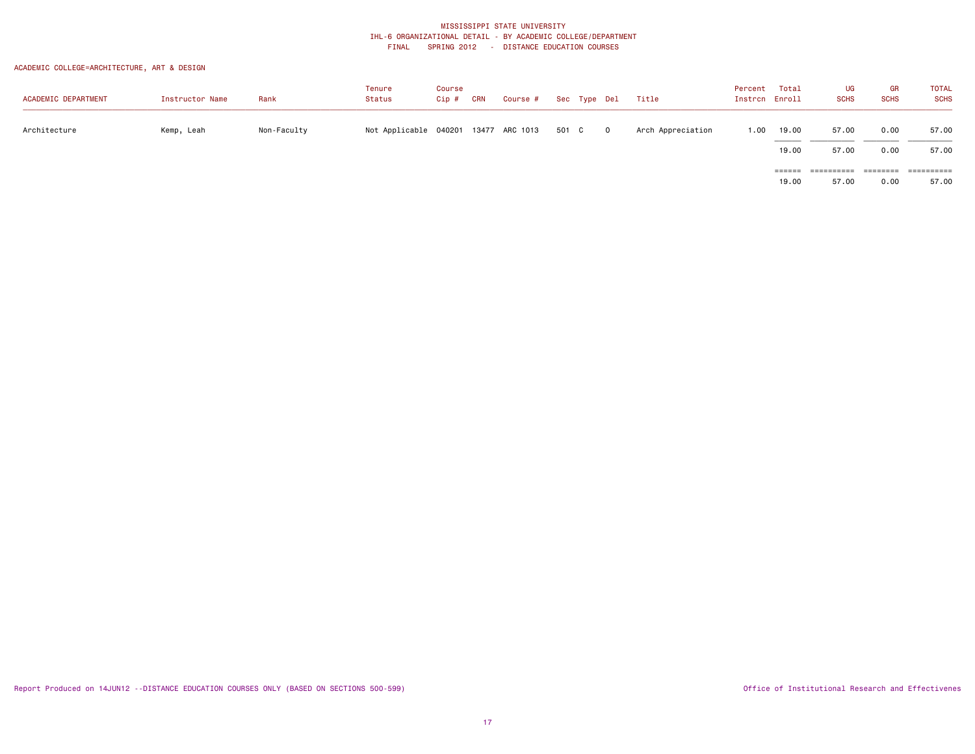| ACADEMIC DEPARTMENT | Instructor Name | Rank        | Tenure<br>Status                     | Course<br>Cip # | <b>CRN</b> | Course # | Sec Type Del |                         | Title             | Percent<br>Instrcn Enroll | Total           | UG<br><b>SCHS</b>   | GR<br><b>SCHS</b> | <b>TOTAL</b><br><b>SCHS</b> |
|---------------------|-----------------|-------------|--------------------------------------|-----------------|------------|----------|--------------|-------------------------|-------------------|---------------------------|-----------------|---------------------|-------------------|-----------------------------|
| Architecture        | Kemp, Leah      | Non-Faculty | Not Applicable 040201 13477 ARC 1013 |                 |            |          | 501 C        | $\overline{\mathbf{0}}$ | Arch Appreciation | 1.00                      | 19.00           | 57.00               | 0.00              | 57.00                       |
|                     |                 |             |                                      |                 |            |          |              |                         |                   |                           | 19.00           | 57.00               | 0.00              | 57.00                       |
|                     |                 |             |                                      |                 |            |          |              |                         |                   |                           | ======<br>19.00 | ==========<br>57.00 | ========<br>0.00  | ==========<br>57.00         |
|                     |                 |             |                                      |                 |            |          |              |                         |                   |                           |                 |                     |                   |                             |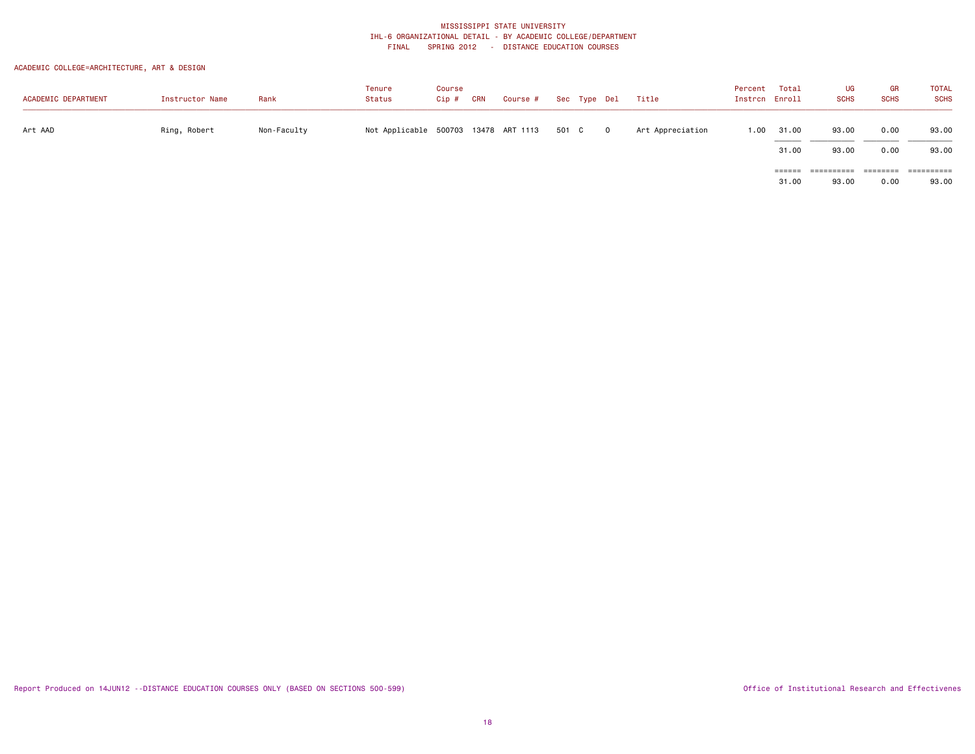| <b>ACADEMIC DEPARTMENT</b> | Instructor Name | Rank        | Tenure<br>Status                     | Course<br>Cip # | CRN | Course # |       | Sec Type Del |                         | Title            | Percent<br>Instrcn Enroll | Total                  | UG<br><b>SCHS</b>   | GR<br><b>SCHS</b> | <b>TOTAL</b><br><b>SCHS</b> |
|----------------------------|-----------------|-------------|--------------------------------------|-----------------|-----|----------|-------|--------------|-------------------------|------------------|---------------------------|------------------------|---------------------|-------------------|-----------------------------|
| Art AAD                    | Ring, Robert    | Non-Faculty | Not Applicable 500703 13478 ART 1113 |                 |     |          | 501 C |              | $\overline{\mathbf{0}}$ | Art Appreciation | 1.00                      | 31.00<br>31.00         | 93.00<br>93.00      | 0.00<br>0.00      | 93.00<br>93.00              |
|                            |                 |             |                                      |                 |     |          |       |              |                         |                  |                           | <b>EEEEEE</b><br>31.00 | ==========<br>93.00 | ========<br>0.00  | ==========<br>93.00         |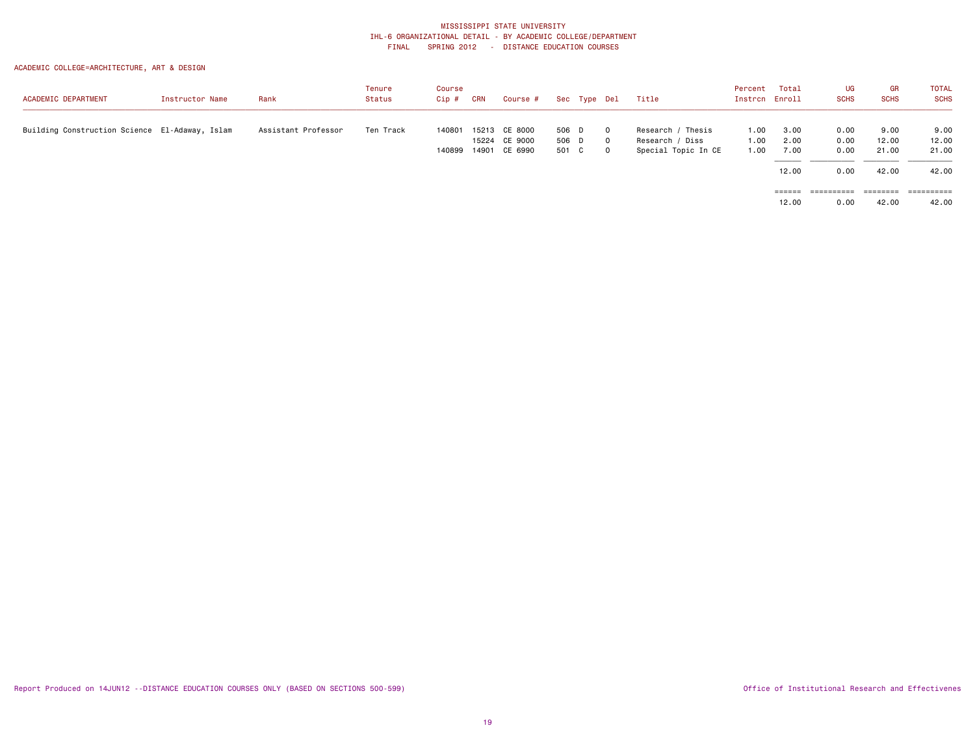| ACADEMIC DEPARTMENT                            | Instructor Name | Rank                | Tenure<br>Status | Course<br>Cip # | CRN | Course #      |       | Sec Type Del |              | Title               | Percent<br>Instron Enroll | Total  | UG<br><b>SCHS</b>     | GR<br><b>SCHS</b> | <b>TOTAL</b><br><b>SCHS</b> |
|------------------------------------------------|-----------------|---------------------|------------------|-----------------|-----|---------------|-------|--------------|--------------|---------------------|---------------------------|--------|-----------------------|-------------------|-----------------------------|
| Building Construction Science El-Adaway, Islam |                 | Assistant Professor | Ten Track        | 140801          |     | 15213 CE 8000 | 506 D |              | $\mathbf{0}$ | Research / Thesis   | 1.00                      | 3.00   | 0.00                  | 9.00              | 9.00                        |
|                                                |                 |                     |                  |                 |     | 15224 CE 9000 | 506 D |              | $\Omega$     | Research / Diss     | 1.00                      | 2.00   | 0.00                  | 12.00             | 12.00                       |
|                                                |                 |                     |                  | 140899          |     | 14901 CE 6990 | 501 C |              | $\Omega$     | Special Topic In CE | 1.00                      | 7.00   | 0.00                  | 21.00             | 21.00                       |
|                                                |                 |                     |                  |                 |     |               |       |              |              |                     |                           | 12.00  | 0.00                  | 42.00             | 42.00                       |
|                                                |                 |                     |                  |                 |     |               |       |              |              |                     |                           | ====== | $=$ = = = = = = = = = | $=$ = = = = = = = | ==========                  |
|                                                |                 |                     |                  |                 |     |               |       |              |              |                     |                           | 12.00  | 0.00                  | 42.00             | 42.00                       |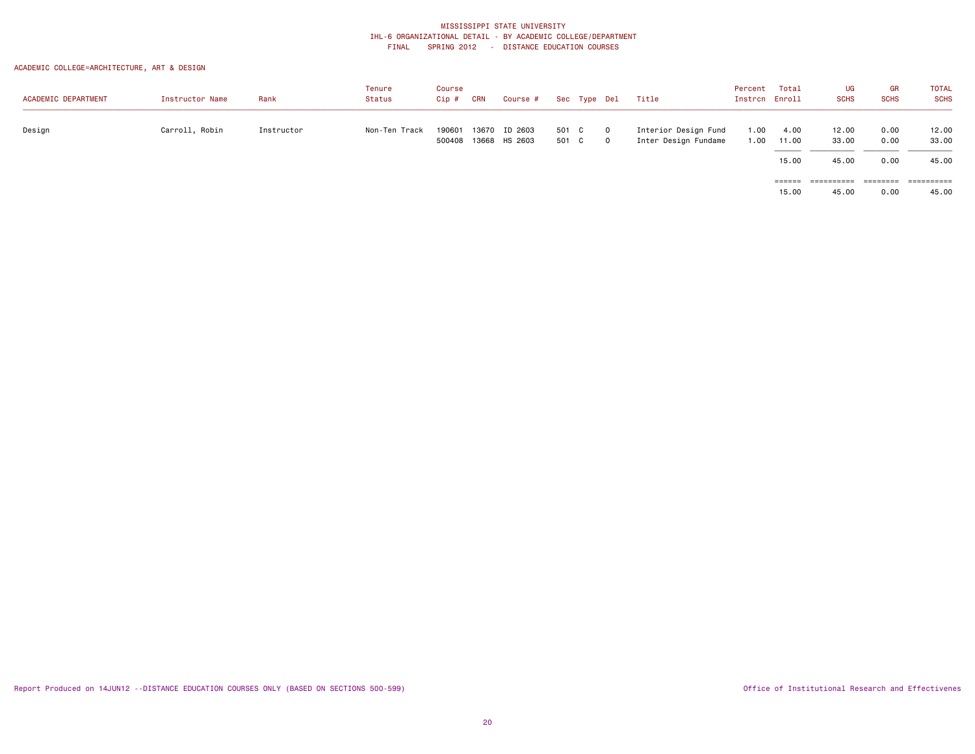| ACADEMIC DEPARTMENT | Instructor Name | Rank       | Tenure<br>Status | Course<br>Cip #  | <b>CRN</b> | Course #                 |                | Sec Type Del |                           | Title                                        | Percent<br>Instrcn Enroll | Total           | UG<br><b>SCHS</b>   | GR<br><b>SCHS</b> | <b>TOTAL</b><br><b>SCHS</b>    |
|---------------------|-----------------|------------|------------------|------------------|------------|--------------------------|----------------|--------------|---------------------------|----------------------------------------------|---------------------------|-----------------|---------------------|-------------------|--------------------------------|
| Design              | Carroll, Robin  | Instructor | Non-Ten Track    | 190601<br>500408 | 13670      | ID 2603<br>13668 HS 2603 | 501 C<br>501 C |              | $\circ$<br>$\overline{0}$ | Interior Design Fund<br>Inter Design Fundame | 1.00<br>1.00              | 4.00<br>11.00   | 12.00<br>33.00      | 0.00<br>0.00      | 12.00<br>33.00                 |
|                     |                 |            |                  |                  |            |                          |                |              |                           |                                              |                           | 15.00<br>====== | 45.00<br>========== | 0.00<br>========  | 45.00<br>$=$ = = = = = = = = = |
|                     |                 |            |                  |                  |            |                          |                |              |                           |                                              |                           | 15.00           | 45.00               | 0.00              | 45.00                          |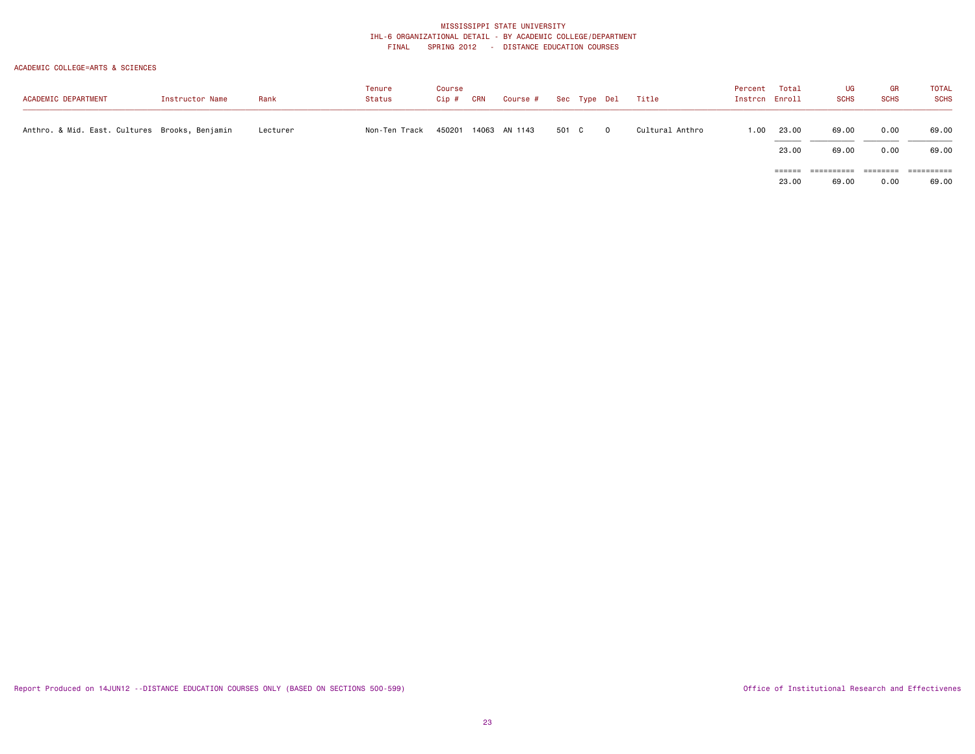| <b>ACADEMIC DEPARTMENT</b>                     | Instructor Name | Rank     | Tenure<br><b>Status</b> | Course<br>$Cip \#$ | CRN | Course #      |       | Sec Type Del |         | Title           | Percent<br>Instrcn Enroll | Total           | UG<br><b>SCHS</b>   | GR<br><b>SCHS</b> | <b>TOTAL</b><br><b>SCHS</b> |
|------------------------------------------------|-----------------|----------|-------------------------|--------------------|-----|---------------|-------|--------------|---------|-----------------|---------------------------|-----------------|---------------------|-------------------|-----------------------------|
| Anthro. & Mid. East. Cultures Brooks, Benjamin |                 | Lecturer | Non-Ten Track           | 450201             |     | 14063 AN 1143 | 501 C |              | $\circ$ | Cultural Anthro | 1.00                      | 23.00<br>23.00  | 69.00<br>69.00      | 0.00<br>0.00      | 69.00<br>69.00              |
|                                                |                 |          |                         |                    |     |               |       |              |         |                 |                           | ======<br>23.00 | ==========<br>69.00 | ========<br>0.00  | ==========<br>69.00         |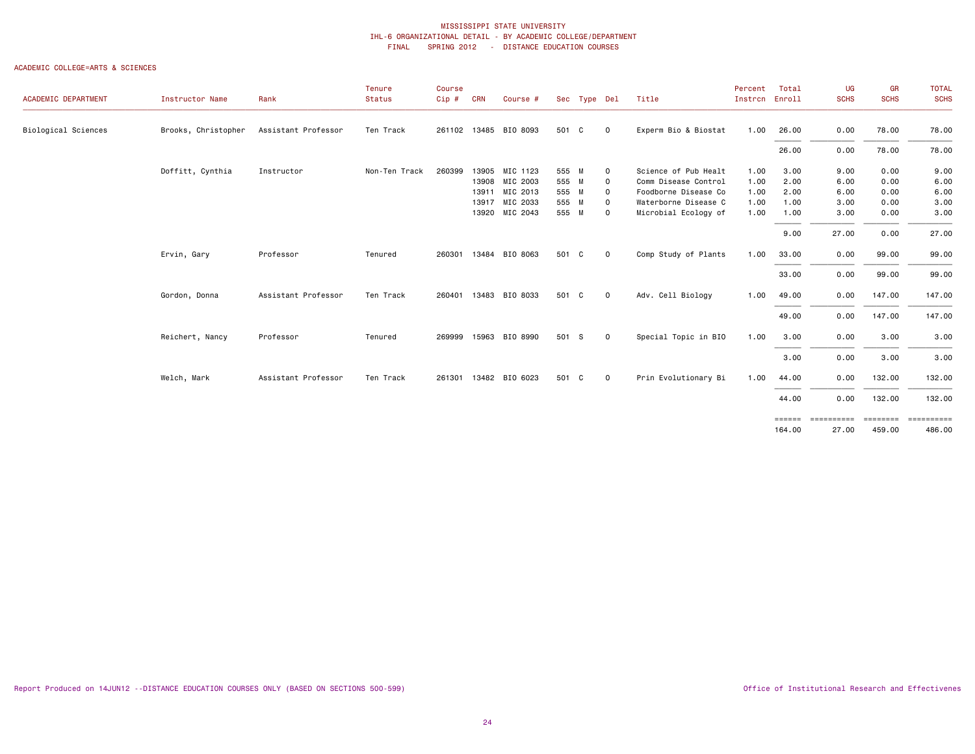| ACADEMIC DEPARTMENT | Instructor Name     | Rank                | Tenure<br><b>Status</b> | Course<br>Cip# | <b>CRN</b> | Course #              |       | Sec Type Del |                | Title                | Percent<br>Instron Enroll | Total  | UG<br><b>SCHS</b> | GR<br><b>SCHS</b>  | <b>TOTAL</b><br><b>SCHS</b> |
|---------------------|---------------------|---------------------|-------------------------|----------------|------------|-----------------------|-------|--------------|----------------|----------------------|---------------------------|--------|-------------------|--------------------|-----------------------------|
| Biological Sciences | Brooks, Christopher | Assistant Professor | Ten Track               |                |            | 261102 13485 BIO 8093 | 501 C |              | $\overline{0}$ | Experm Bio & Biostat | 1.00                      | 26.00  | 0.00              | 78.00              | 78.00                       |
|                     |                     |                     |                         |                |            |                       |       |              |                |                      |                           | 26.00  | 0.00              | 78.00              | 78.00                       |
|                     | Doffitt, Cynthia    | Instructor          | Non-Ten Track           | 260399         |            | 13905 MIC 1123        | 555 M |              | $\circ$        | Science of Pub Healt | 1.00                      | 3.00   | 9.00              | 0.00               | 9.00                        |
|                     |                     |                     |                         |                |            | 13908 MIC 2003        | 555 M |              | $\mathbf 0$    | Comm Disease Control | 1.00                      | 2.00   | 6.00              | 0.00               | 6.00                        |
|                     |                     |                     |                         |                |            | 13911 MIC 2013        | 555 M |              | $\mathbf 0$    | Foodborne Disease Co | 1.00                      | 2.00   | 6.00              | 0.00               | 6.00                        |
|                     |                     |                     |                         |                | 13917      | MIC 2033              | 555 M |              | $\mathbf 0$    | Waterborne Disease C | 1.00                      | 1.00   | 3.00              | 0.00               | 3.00                        |
|                     |                     |                     |                         |                |            | 13920 MIC 2043        | 555 M |              | $\circ$        | Microbial Ecology of | 1.00                      | 1.00   | 3.00              | 0.00               | 3.00                        |
|                     |                     |                     |                         |                |            |                       |       |              |                |                      |                           | 9.00   | 27.00             | 0.00               | 27.00                       |
|                     | Ervin, Gary         | Professor           | Tenured                 | 260301         |            | 13484 BIO 8063        | 501 C |              | $\mathbf 0$    | Comp Study of Plants | 1.00                      | 33.00  | 0.00              | 99.00              | 99.00                       |
|                     |                     |                     |                         |                |            |                       |       |              |                |                      |                           | 33.00  | 0.00              | 99.00              | 99.00                       |
|                     | Gordon, Donna       | Assistant Professor | Ten Track               | 260401         |            | 13483 BIO 8033        | 501 C |              | $\overline{0}$ | Adv. Cell Biology    | 1.00                      | 49.00  | 0.00              | 147.00             | 147.00                      |
|                     |                     |                     |                         |                |            |                       |       |              |                |                      |                           | 49.00  | 0.00              | 147.00             | 147.00                      |
|                     | Reichert, Nancy     | Professor           | Tenured                 | 269999         |            | 15963 BIO 8990        | 501 S |              | $\overline{0}$ | Special Topic in BIO | 1.00                      | 3.00   | 0.00              | 3.00               | 3.00                        |
|                     |                     |                     |                         |                |            |                       |       |              |                |                      |                           | 3.00   | 0.00              | 3.00               | 3.00                        |
|                     | Welch, Mark         | Assistant Professor | Ten Track               | 261301         |            | 13482 BIO 6023        | 501 C |              | $\overline{0}$ | Prin Evolutionary Bi | 1.00                      | 44.00  | 0.00              | 132.00             | 132.00                      |
|                     |                     |                     |                         |                |            |                       |       |              |                |                      |                           | 44.00  | 0.00              | 132.00             | 132.00                      |
|                     |                     |                     |                         |                |            |                       |       |              |                |                      |                           | 164.00 | 27.00             | ========<br>459.00 | <b>CONSESSED</b><br>486.00  |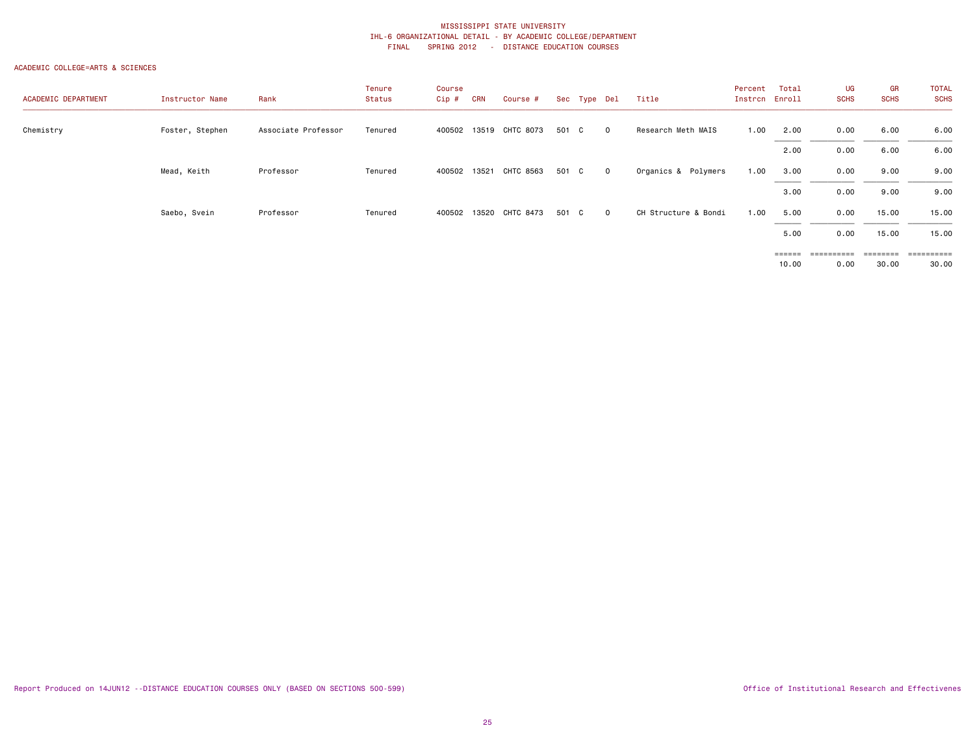| ACADEMIC DEPARTMENT | Instructor Name | Rank                | Tenure<br>Status | Course<br>Cip# | CRN   | Course #        |       | Sec Type Del |              | Title                | Percent<br>Instrcn Enroll | Total  | UG<br><b>SCHS</b> | GR<br><b>SCHS</b> | <b>TOTAL</b><br><b>SCHS</b> |
|---------------------|-----------------|---------------------|------------------|----------------|-------|-----------------|-------|--------------|--------------|----------------------|---------------------------|--------|-------------------|-------------------|-----------------------------|
| Chemistry           | Foster, Stephen | Associate Professor | Tenured          | 400502         |       | 13519 CHTC 8073 | 501 C |              | $\mathbf 0$  | Research Meth MAIS   | 1.00                      | 2.00   | 0.00              | 6.00              | 6.00                        |
|                     |                 |                     |                  |                |       |                 |       |              |              |                      |                           | 2.00   | 0.00              | 6.00              | 6.00                        |
|                     | Mead, Keith     | Professor           | Tenured          | 400502         | 13521 | CHTC 8563       | 501 C |              | $\circ$      | Organics & Polymers  | 1.00                      | 3.00   | 0.00              | 9.00              | 9.00                        |
|                     |                 |                     |                  |                |       |                 |       |              |              |                      |                           | 3.00   | 0.00              | 9.00              | 9.00                        |
|                     | Saebo, Svein    | Professor           | Tenured          | 400502         |       | 13520 CHTC 8473 | 501 C |              | $\mathbf{0}$ | CH Structure & Bondi | 1.00                      | 5.00   | 0.00              | 15.00             | 15.00                       |
|                     |                 |                     |                  |                |       |                 |       |              |              |                      |                           | 5.00   | 0.00              | 15.00             | 15.00                       |
|                     |                 |                     |                  |                |       |                 |       |              |              |                      |                           | ====== | ==========        | ========          | ==========                  |
|                     |                 |                     |                  |                |       |                 |       |              |              |                      |                           | 10.00  | 0.00              | 30.00             | 30.00                       |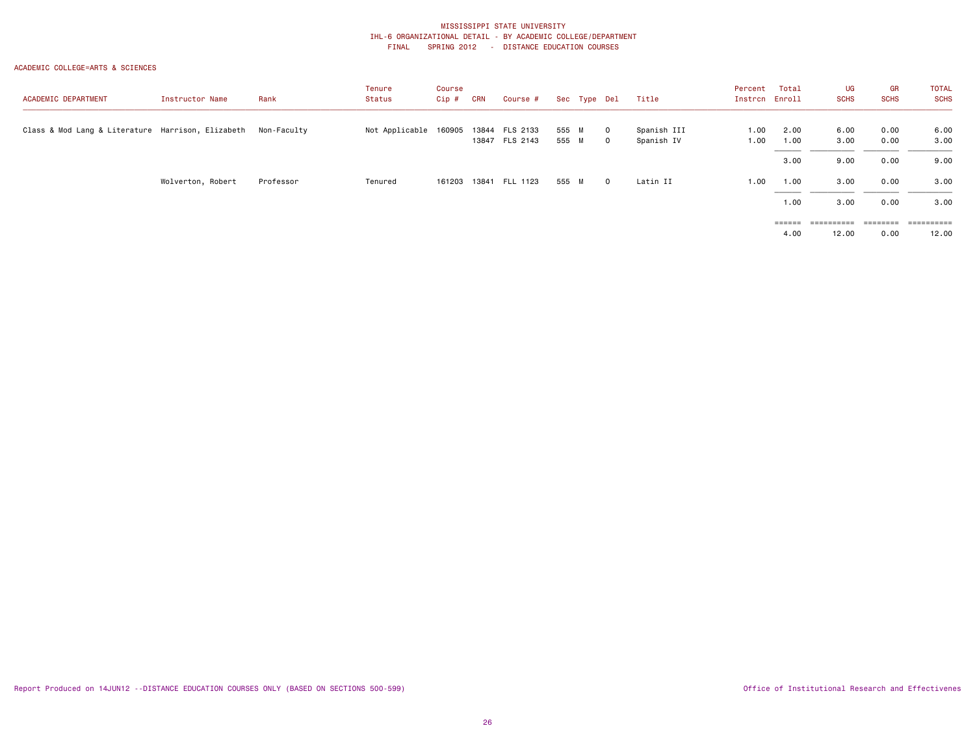| <b>ACADEMIC DEPARTMENT</b>                        | Instructor Name   | Rank        | Tenure<br>Status | Course<br>Cip # | <b>CRN</b> | Course #                         |                | Sec Type Del |                     | Title                     | Percent<br>Instron | Total<br>Enroll | UG<br><b>SCHS</b> | GR<br><b>SCHS</b> | <b>TOTAL</b><br><b>SCHS</b> |
|---------------------------------------------------|-------------------|-------------|------------------|-----------------|------------|----------------------------------|----------------|--------------|---------------------|---------------------------|--------------------|-----------------|-------------------|-------------------|-----------------------------|
| Class & Mod Lang & Literature Harrison, Elizabeth |                   | Non-Faculty | Not Applicable   | 160905          |            | 13844 FLS 2133<br>13847 FLS 2143 | 555 M<br>555 M |              | $\circ$<br>$\Omega$ | Spanish III<br>Spanish IV | 1.00<br>1.00       | 2.00<br>1.00    | 6.00<br>3.00      | 0.00<br>0.00      | 6.00<br>3.00                |
|                                                   |                   |             |                  |                 |            |                                  |                |              |                     |                           |                    | 3.00            | 9.00              | 0.00              | 9.00                        |
|                                                   | Wolverton, Robert | Professor   | Tenured          | 161203          |            | 13841 FLL 1123                   | 555 M          |              | $\mathbf{0}$        | Latin II                  | 1.00               | 1.00            | 3.00              | 0.00              | 3.00                        |
|                                                   |                   |             |                  |                 |            |                                  |                |              |                     |                           |                    | 1.00            | 3.00              | 0.00              | 3.00                        |
|                                                   |                   |             |                  |                 |            |                                  |                |              |                     |                           |                    | ======          | -----------       | ========          | ==========                  |
|                                                   |                   |             |                  |                 |            |                                  |                |              |                     |                           |                    | 4.00            | 12.00             | 0.00              | 12.00                       |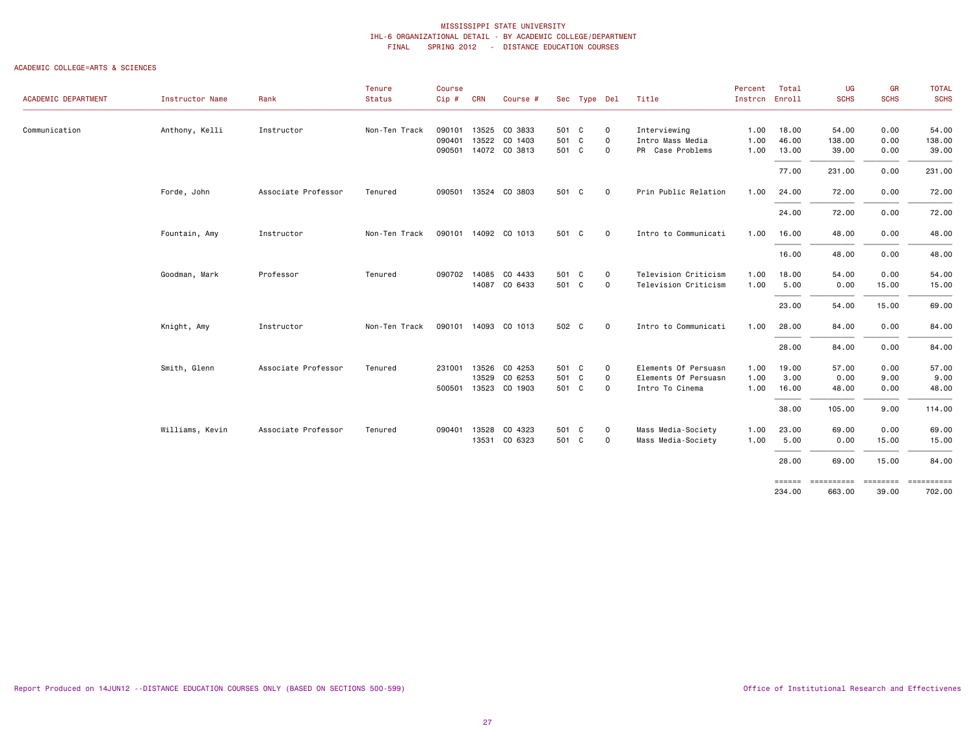|                     |                 |                     | Tenure        | Course |            |                      |       |              |              |                      | Percent        | Total            | UG                   | GR                | <b>TOTAL</b> |
|---------------------|-----------------|---------------------|---------------|--------|------------|----------------------|-------|--------------|--------------|----------------------|----------------|------------------|----------------------|-------------------|--------------|
| ACADEMIC DEPARTMENT | Instructor Name | Rank                | Status        | Cip#   | <b>CRN</b> | Course #             |       | Sec Type Del |              | Title                | Instron Enroll |                  | <b>SCHS</b>          | <b>SCHS</b>       | <b>SCHS</b>  |
| Communication       | Anthony, Kelli  | Instructor          | Non-Ten Track | 090101 |            | 13525 CO 3833        | 501 C |              | $\circ$      | Interviewing         | 1.00           | 18.00            | 54.00                | 0.00              | 54.00        |
|                     |                 |                     |               | 090401 |            | 13522 CO 1403        | 501 C |              | $\mathbf 0$  | Intro Mass Media     | 1.00           | 46.00            | 138.00               | 0.00              | 138.00       |
|                     |                 |                     |               |        |            | 090501 14072 CO 3813 | 501 C |              | $\mathbf 0$  | PR Case Problems     | 1.00           | 13.00            | 39.00                | 0.00              | 39.00        |
|                     |                 |                     |               |        |            |                      |       |              |              |                      |                | 77.00            | 231.00               | 0.00              | 231.00       |
|                     | Forde, John     | Associate Professor | Tenured       |        |            | 090501 13524 CO 3803 | 501 C |              | $\mathbf{O}$ | Prin Public Relation | 1.00           | 24.00            | 72.00                | 0.00              | 72.00        |
|                     |                 |                     |               |        |            |                      |       |              |              |                      |                | 24.00            | 72.00                | 0.00              | 72.00        |
|                     | Fountain, Amy   | Instructor          | Non-Ten Track |        |            | 090101 14092 CO 1013 | 501 C |              | $\circ$      | Intro to Communicati | 1.00           | 16.00            | 48.00                | 0.00              | 48.00        |
|                     |                 |                     |               |        |            |                      |       |              |              |                      |                | 16.00            | 48.00                | 0.00              | 48.00        |
|                     | Goodman, Mark   | Professor           | Tenured       |        |            | 090702 14085 CO 4433 | 501 C |              | $\circ$      | Television Criticism | 1.00           | 18.00            | 54.00                | 0.00              | 54.00        |
|                     |                 |                     |               |        |            | 14087 CO 6433        | 501 C |              | $\mathbf{O}$ | Television Criticism | 1.00           | 5.00             | 0.00                 | 15.00             | 15.00        |
|                     |                 |                     |               |        |            |                      |       |              |              |                      |                | 23.00            | 54.00                | 15.00             | 69.00        |
|                     | Knight, Amy     | Instructor          | Non-Ten Track |        |            | 090101 14093 CO 1013 | 502 C |              | $\circ$      | Intro to Communicati | 1.00           | 28.00            | 84.00                | 0.00              | 84.00        |
|                     |                 |                     |               |        |            |                      |       |              |              |                      |                | 28.00            | 84.00                | 0.00              | 84.00        |
|                     | Smith, Glenn    | Associate Professor | Tenured       | 231001 | 13526      | CO 4253              | 501 C |              | 0            | Elements Of Persuasn | 1.00           | 19.00            | 57.00                | 0.00              | 57.00        |
|                     |                 |                     |               |        | 13529      | CO 6253              | 501 C |              | 0            | Elements Of Persuasn | 1.00           | 3.00             | 0.00                 | 9.00              | 9.00         |
|                     |                 |                     |               |        |            | 500501 13523 CO 1903 | 501 C |              | $\mathbf{O}$ | Intro To Cinema      | 1.00           | 16.00            | 48.00                | 0.00              | 48.00        |
|                     |                 |                     |               |        |            |                      |       |              |              |                      |                | 38.00            | 105.00               | 9.00              | 114.00       |
|                     | Williams, Kevin | Associate Professor | Tenured       | 090401 | 13528      | CO 4323              | 501 C |              | $\mathbf 0$  | Mass Media-Society   | 1.00           | 23.00            | 69.00                | 0.00              | 69.00        |
|                     |                 |                     |               |        | 13531      | CO 6323              | 501   | C            | $\mathbf{O}$ | Mass Media-Society   | 1.00           | 5.00             | 0.00                 | 15.00             | 15.00        |
|                     |                 |                     |               |        |            |                      |       |              |              |                      |                | 28.00            | 69.00                | 15.00             | 84.00        |
|                     |                 |                     |               |        |            |                      |       |              |              |                      |                | ======<br>234.00 | ==========<br>663.00 | ========<br>39.00 | 702.00       |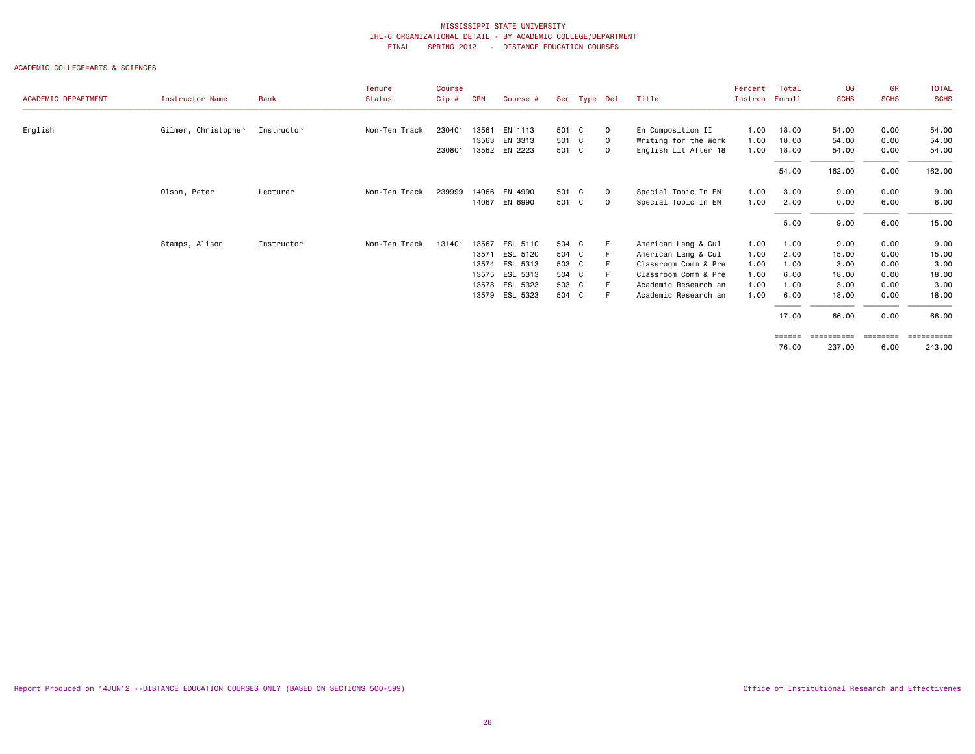| ACADEMIC DEPARTMENT | Instructor Name     | Rank       | Tenure<br><b>Status</b> | Course<br>Cip# | <b>CRN</b> | Course #       |       | Sec Type Del |             | Title                | Percent<br>Instron | Total<br>Enroll | UG<br><b>SCHS</b>           | GR<br><b>SCHS</b> | <b>TOTAL</b><br><b>SCHS</b> |
|---------------------|---------------------|------------|-------------------------|----------------|------------|----------------|-------|--------------|-------------|----------------------|--------------------|-----------------|-----------------------------|-------------------|-----------------------------|
|                     |                     |            |                         |                |            |                |       |              |             |                      |                    |                 |                             |                   |                             |
| English             | Gilmer, Christopher | Instructor | Non-Ten Track           | 230401         | 13561      | EN 1113        | 501 C |              | 0           | En Composition II    | 1.00               | 18.00           | 54.00                       | 0.00              | 54.00                       |
|                     |                     |            |                         |                | 13563      | EN 3313        | 501 C |              | $\mathbf 0$ | Writing for the Work | 1.00               | 18.00           | 54.00                       | 0.00              | 54.00                       |
|                     |                     |            |                         | 230801         |            | 13562 EN 2223  | 501 C |              | $\mathbf 0$ | English Lit After 18 | 1.00               | 18.00           | 54.00                       | 0.00              | 54.00                       |
|                     |                     |            |                         |                |            |                |       |              |             |                      |                    | 54.00           | 162.00                      | 0.00              | 162.00                      |
|                     | Olson, Peter        | Lecturer   | Non-Ten Track           | 239999         |            | 14066 EN 4990  | 501 C |              | $\circ$     | Special Topic In EN  | 1.00               | 3.00            | 9.00                        | 0.00              | 9.00                        |
|                     |                     |            |                         |                | 14067      | EN 6990        | 501 C |              | $\mathbf 0$ | Special Topic In EN  | 1.00               | 2.00            | 0.00                        | 6.00              | 6.00                        |
|                     |                     |            |                         |                |            |                |       |              |             |                      |                    | 5.00            | 9.00                        | 6.00              | 15.00                       |
|                     | Stamps, Alison      | Instructor | Non-Ten Track           | 131401         | 13567      | ESL 5110       | 504 C |              | F           | American Lang & Cul  | 1.00               | 1.00            | 9.00                        | 0.00              | 9.00                        |
|                     |                     |            |                         |                | 13571      | ESL 5120       | 504 C |              | F           | American Lang & Cul  | 1.00               | 2.00            | 15.00                       | 0.00              | 15.00                       |
|                     |                     |            |                         |                | 13574      | ESL 5313       | 503 C |              |             | Classroom Comm & Pre | 1.00               | 1.00            | 3.00                        | 0.00              | 3.00                        |
|                     |                     |            |                         |                | 13575      | ESL 5313       | 504 C |              |             | Classroom Comm & Pre | 1.00               | 6.00            | 18.00                       | 0.00              | 18.00                       |
|                     |                     |            |                         |                | 13578      | ESL 5323       | 503 C |              |             | Academic Research an | 1.00               | 1.00            | 3.00                        | 0.00              | 3.00                        |
|                     |                     |            |                         |                |            | 13579 ESL 5323 | 504 C |              | F.          | Academic Research an | 1.00               | 6.00            | 18.00                       | 0.00              | 18.00                       |
|                     |                     |            |                         |                |            |                |       |              |             |                      |                    | 17.00           | 66.00                       | 0.00              | 66.00                       |
|                     |                     |            |                         |                |            |                |       |              |             |                      |                    | ------<br>76.00 | <b>BEBBEBBBBB</b><br>237.00 | ========<br>6.00  | 243.00                      |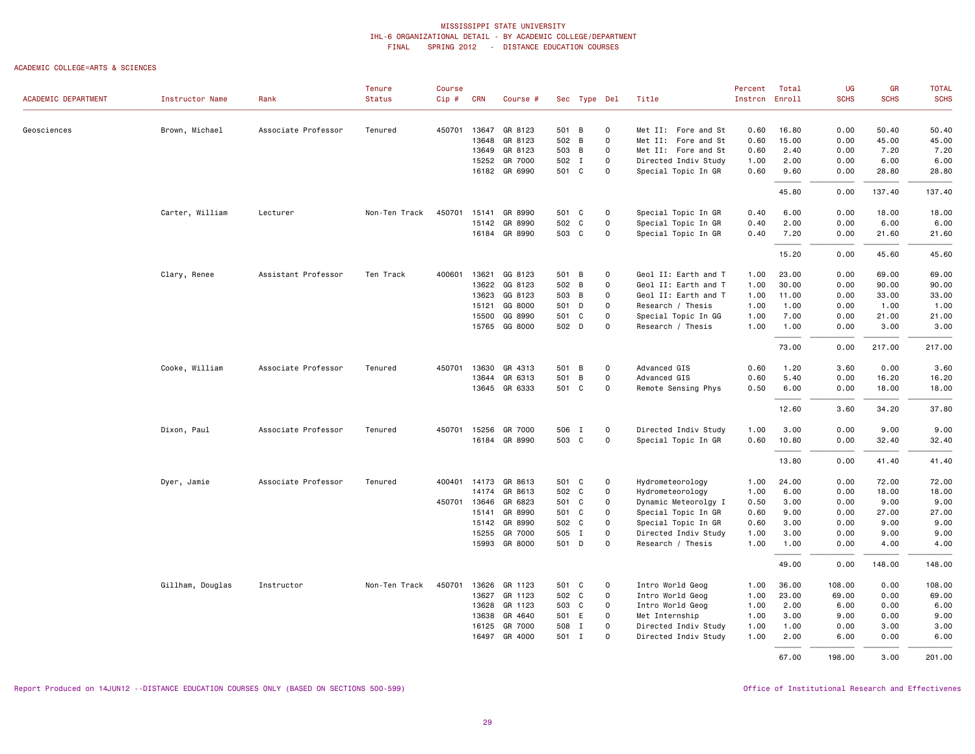# ACADEMIC COLLEGE=ARTS & SCIENCES

|                     |                  |                     | Tenure        | Course |                |                    |              |              |                                 |                                              | Percent        | Total        | UG           | GR           | <b>TOTAL</b> |
|---------------------|------------------|---------------------|---------------|--------|----------------|--------------------|--------------|--------------|---------------------------------|----------------------------------------------|----------------|--------------|--------------|--------------|--------------|
| ACADEMIC DEPARTMENT | Instructor Name  | Rank                | <b>Status</b> | Cip#   | <b>CRN</b>     | Course #           |              | Sec Type Del |                                 | Title                                        | Instron Enroll |              | <b>SCHS</b>  | <b>SCHS</b>  | <b>SCHS</b>  |
| Geosciences         | Brown, Michael   | Associate Professor | Tenured       | 450701 | 13647          | GR 8123            | 501 B        |              | $\circ$                         | Met II: Fore and St                          | 0.60           | 16.80        | 0.00         | 50.40        | 50.40        |
|                     |                  |                     |               |        | 13648          | GR 8123            | 502 B        |              | $\mathsf{O}\xspace$             | Met II: Fore and St                          | 0.60           | 15.00        | 0.00         | 45.00        | 45.00        |
|                     |                  |                     |               |        | 13649          | GR 8123            | 503          | B            | $\Omega$                        | Met II: Fore and St                          | 0.60           | 2.40         | 0.00         | 7.20         | 7.20         |
|                     |                  |                     |               |        | 15252          | GR 7000            | 502          | I            | $\Omega$                        | Directed Indiv Study                         | 1.00           | 2.00         | 0.00         | 6.00         | 6.00         |
|                     |                  |                     |               |        |                | 16182 GR 6990      | 501 C        |              | $\Omega$                        | Special Topic In GR                          | 0.60           | 9.60         | 0.00         | 28.80        | 28.80        |
|                     |                  |                     |               |        |                |                    |              |              |                                 |                                              |                | 45.80        | 0.00         | 137.40       | 137.40       |
|                     | Carter, William  | Lecturer            | Non-Ten Track | 450701 | 15141          | GR 8990            | 501          | C            | $\circ$                         | Special Topic In GR                          | 0.40           | 6.00         | 0.00         | 18.00        | 18.00        |
|                     |                  |                     |               |        | 15142          | GR 8990            | 502          | C            | $\circ$                         | Special Topic In GR                          | 0.40           | 2.00         | 0.00         | 6.00         | 6.00         |
|                     |                  |                     |               |        |                | 16184 GR 8990      | 503 C        |              | $\Omega$                        | Special Topic In GR                          | 0.40           | 7.20         | 0.00         | 21.60        | 21.60        |
|                     |                  |                     |               |        |                |                    |              |              |                                 |                                              |                | 15.20        | 0.00         | 45.60        | 45.60        |
|                     | Clary, Renee     | Assistant Professor | Ten Track     | 400601 | 13621          | GG 8123            | 501          | B            | $\circ$                         | Geol II: Earth and T                         | 1.00           | 23.00        | 0.00         | 69.00        | 69.00        |
|                     |                  |                     |               |        | 13622          | GG 8123            | 502 B        |              | $\Omega$                        | Geol II: Earth and T                         | 1.00           | 30.00        | 0.00         | 90.00        | 90.00        |
|                     |                  |                     |               |        | 13623          | GG 8123            | 503 B        |              | 0                               | Geol II: Earth and T                         | 1.00           | 11.00        | 0.00         | 33.00        | 33.00        |
|                     |                  |                     |               |        | 15121          | GG 8000            | 501          | D            | 0                               | Research / Thesis                            | 1.00           | 1.00         | 0.00         | 1.00         | 1.00         |
|                     |                  |                     |               |        | 15500          | GG 8990            | 501          | C            | $\circ$                         | Special Topic In GG                          | 1.00           | 7.00         | 0.00         | 21.00        | 21.00        |
|                     |                  |                     |               |        |                | 15765 GG 8000      | 502 D        |              | $\circ$                         | Research / Thesis                            | 1.00           | 1.00         | 0.00         | 3.00         | 3.00         |
|                     |                  |                     |               |        |                |                    |              |              |                                 |                                              |                | 73.00        | 0.00         | 217.00       | 217.00       |
|                     | Cooke, William   | Associate Professor | Tenured       | 450701 | 13630          | GR 4313            | 501          | B            | $\mathbf 0$                     | Advanced GIS                                 | 0.60           | 1.20         | 3.60         | 0.00         | 3.60         |
|                     |                  |                     |               |        | 13644          | GR 6313            | 501          | B            | $\circ$                         | Advanced GIS                                 | 0.60           | 5.40         | 0.00         | 16.20        | 16.20        |
|                     |                  |                     |               |        |                | 13645 GR 6333      | 501 C        |              | $\mathsf{O}$                    | Remote Sensing Phys                          | 0.50           | 6.00         | 0.00         | 18.00        | 18.00        |
|                     |                  |                     |               |        |                |                    |              |              |                                 |                                              |                | 12.60        | 3.60         | 34.20        | 37.80        |
|                     | Dixon, Paul      | Associate Professor | Tenured       | 450701 | 15256          | GR 7000            | 506          | $\mathbf I$  | $\circ$                         | Directed Indiv Study                         | 1.00           | 3.00         | 0.00         | 9.00         | 9.00         |
|                     |                  |                     |               |        |                | 16184 GR 8990      | 503 C        |              | $\circ$                         | Special Topic In GR                          | 0.60           | 10.80        | 0.00         | 32.40        | 32.40        |
|                     |                  |                     |               |        |                |                    |              |              |                                 |                                              |                | 13.80        | 0.00         | 41.40        | 41.40        |
|                     | Dyer, Jamie      | Associate Professor | Tenured       | 400401 | 14173          | GR 8613            | 501 C        |              | $\mathbf 0$                     | Hydrometeorology                             | 1.00           | 24.00        | 0.00         | 72.00        | 72.00        |
|                     |                  |                     |               |        | 14174          | GR 8613            | 502          | C            | 0                               | Hydrometeorology                             | 1.00           | 6.00         | 0.00         | 18.00        | 18.00        |
|                     |                  |                     |               | 450701 | 13646          | GR 6823            | 501          | <b>C</b>     | $\circ$                         | Dynamic Meteorolgy I                         | 0.50           | 3.00         | 0.00         | 9.00         | 9.00         |
|                     |                  |                     |               |        | 15141          | GR 8990            | 501          | C            | $\circ$                         | Special Topic In GR                          | 0.60           | 9.00         | 0.00         | 27.00        | 27.00        |
|                     |                  |                     |               |        | 15142          | GR 8990            | 502          | C            | $\circ$                         | Special Topic In GR                          | 0.60           | 3.00         | 0.00         | 9.00         | 9.00         |
|                     |                  |                     |               |        | 15255          | GR 7000            | 505          | $\mathbf I$  | $\circ$                         | Directed Indiv Study                         | 1.00           | 3.00         | 0.00         | 9.00         | 9.00         |
|                     |                  |                     |               |        |                | 15993 GR 8000      | 501 D        |              | $\Omega$                        | Research / Thesis                            | 1.00           | 1.00         | 0.00         | 4.00         | 4.00         |
|                     |                  |                     |               |        |                |                    |              |              |                                 |                                              |                | 49.00        | 0.00         | 148.00       | 148.00       |
|                     | Gillham, Douglas | Instructor          | Non-Ten Track | 450701 | 13626          | GR 1123            | 501          | C            | $\circ$                         | Intro World Geog                             | 1.00           | 36.00        | 108.00       | 0.00         | 108.00       |
|                     |                  |                     |               |        | 13627          | GR 1123            | 502 C        |              | $\Omega$                        | Intro World Geog                             | 1.00           | 23.00        | 69.00        | 0.00         | 69.00        |
|                     |                  |                     |               |        | 13628          | GR 1123            | 503 C        |              | $\mathsf{o}$                    | Intro World Geog                             | 1.00           | 2.00         | 6.00         | 0.00         | 6.00         |
|                     |                  |                     |               |        | 13638          | GR 4640            | 501          | E            | $\mathsf{O}$                    | Met Internship                               | 1.00           | 3.00         | 9.00         | 0.00         | 9.00         |
|                     |                  |                     |               |        | 16125<br>16497 | GR 7000<br>GR 4000 | 508<br>501 I | $\mathbf I$  | $\mathsf{O}\xspace$<br>$\Omega$ | Directed Indiv Study<br>Directed Indiv Study | 1.00<br>1.00   | 1.00<br>2.00 | 0.00<br>6.00 | 3.00<br>0.00 | 3.00<br>6.00 |
|                     |                  |                     |               |        |                |                    |              |              |                                 |                                              |                |              |              |              |              |
|                     |                  |                     |               |        |                |                    |              |              |                                 |                                              |                | 67.00        | 198.00       | 3.00         | 201.00       |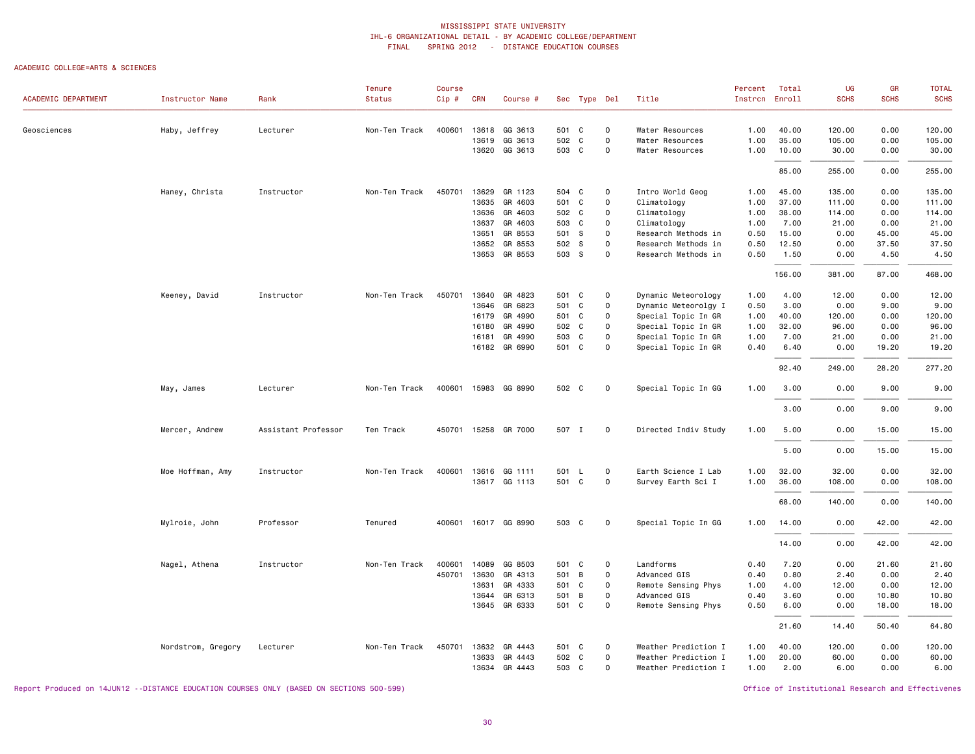# ACADEMIC COLLEGE=ARTS & SCIENCES

| ACADEMIC DEPARTMENT | Instructor Name    | Rank                | Tenure<br>Status | Course<br>Cip# | <b>CRN</b> | Course #             |       | Sec Type Del   |              | Title                | Percent<br>Instron Enroll | Total  | UG<br><b>SCHS</b> | GR<br><b>SCHS</b> | <b>TOTAL</b><br><b>SCHS</b> |
|---------------------|--------------------|---------------------|------------------|----------------|------------|----------------------|-------|----------------|--------------|----------------------|---------------------------|--------|-------------------|-------------------|-----------------------------|
| Geosciences         | Haby, Jeffrey      | Lecturer            | Non-Ten Track    | 400601         | 13618      | GG 3613              | 501 C |                | $\circ$      | Water Resources      | 1.00                      | 40.00  | 120.00            | 0.00              | 120.00                      |
|                     |                    |                     |                  |                | 13619      | GG 3613              | 502   | C              | $\mathsf{O}$ | Water Resources      | 1.00                      | 35.00  | 105.00            | 0.00              | 105.00                      |
|                     |                    |                     |                  |                | 13620      | GG 3613              | 503   | C              | $\mathsf 0$  | Water Resources      | 1.00                      | 10.00  | 30.00             | 0.00              | 30.00                       |
|                     |                    |                     |                  |                |            |                      |       |                |              |                      |                           | 85.00  | 255.00            | 0.00              | 255.00                      |
|                     | Haney, Christa     | Instructor          | Non-Ten Track    | 450701         | 13629      | GR 1123              | 504   | C              | $\mathsf 0$  | Intro World Geog     | 1.00                      | 45.00  | 135.00            | 0.00              | 135.00                      |
|                     |                    |                     |                  |                | 13635      | GR 4603              | 501 C |                | $\mathsf{O}$ | Climatology          | 1.00                      | 37.00  | 111.00            | 0.00              | 111.00                      |
|                     |                    |                     |                  |                | 13636      | GR 4603              | 502 C |                | $\mathbf 0$  | Climatology          | 1.00                      | 38.00  | 114.00            | 0.00              | 114.00                      |
|                     |                    |                     |                  |                | 13637      | GR 4603              | 503   | C              | $\mathsf 0$  | Climatology          | 1.00                      | 7.00   | 21.00             | 0.00              | 21.00                       |
|                     |                    |                     |                  |                | 13651      | GR 8553              | 501   | S.             | $\mathbf 0$  | Research Methods in  | 0.50                      | 15.00  | 0.00              | 45.00             | 45.00                       |
|                     |                    |                     |                  |                | 13652      | GR 8553              | 502   | <sub>S</sub>   | $\mathbf 0$  | Research Methods in  | 0.50                      | 12.50  | 0.00              | 37.50             | 37.50                       |
|                     |                    |                     |                  |                | 13653      | GR 8553              | 503   | s              | $\mathbf 0$  | Research Methods in  | 0.50                      | 1.50   | 0.00              | 4.50              | 4.50                        |
|                     |                    |                     |                  |                |            |                      |       |                |              |                      |                           | 156.00 | 381.00            | 87.00             | 468.00                      |
|                     | Keeney, David      | Instructor          | Non-Ten Track    | 450701         | 13640      | GR 4823              | 501   | C              | $\mathsf 0$  | Dynamic Meteorology  | 1.00                      | 4.00   | 12.00             | 0.00              | 12.00                       |
|                     |                    |                     |                  |                | 13646      | GR 6823              | 501   | C              | $\mathsf{O}$ | Dynamic Meteorolgy I | 0.50                      | 3.00   | 0.00              | 9.00              | 9.00                        |
|                     |                    |                     |                  |                | 16179      | GR 4990              | 501 C |                | $\mathsf 0$  | Special Topic In GR  | 1.00                      | 40.00  | 120.00            | 0.00              | 120.00                      |
|                     |                    |                     |                  |                | 16180      | GR 4990              | 502   | C              | $\mathbf 0$  | Special Topic In GR  | 1.00                      | 32.00  | 96.00             | 0.00              | 96.00                       |
|                     |                    |                     |                  |                | 16181      | GR 4990              | 503   | C              | $\mathsf 0$  | Special Topic In GR  | 1.00                      | 7.00   | 21.00             | 0.00              | 21.00                       |
|                     |                    |                     |                  |                |            | 16182 GR 6990        | 501 C |                | $\mathbf 0$  | Special Topic In GR  | 0.40                      | 6.40   | 0.00              | 19.20             | 19.20                       |
|                     |                    |                     |                  |                |            |                      |       |                |              |                      |                           | 92.40  | 249.00            | 28.20             | 277.20                      |
|                     | May, James         | Lecturer            | Non-Ten Track    | 400601         |            | 15983 GG 8990        | 502 C |                | $\mathsf 0$  | Special Topic In GG  | 1.00                      | 3.00   | 0.00              | 9.00              | 9.00                        |
|                     |                    |                     |                  |                |            |                      |       |                |              |                      |                           | 3.00   | 0.00              | 9.00              | 9.00                        |
|                     | Mercer, Andrew     | Assistant Professor | Ten Track        | 450701         |            | 15258 GR 7000        | 507 I |                | $\mathsf 0$  | Directed Indiv Study | 1.00                      | 5.00   | 0.00              | 15.00             | 15.00                       |
|                     |                    |                     |                  |                |            |                      |       |                |              |                      |                           | 5.00   | 0.00              | 15.00             | 15.00                       |
|                     | Moe Hoffman, Amy   | Instructor          | Non-Ten Track    | 400601         |            | 13616 GG 1111        | 501   | - L            | 0            | Earth Science I Lab  | 1.00                      | 32.00  | 32.00             | 0.00              | 32.00                       |
|                     |                    |                     |                  |                |            | 13617 GG 1113        | 501 C |                | $\mathsf 0$  | Survey Earth Sci I   | 1.00                      | 36.00  | 108.00            | 0.00              | 108.00                      |
|                     |                    |                     |                  |                |            |                      |       |                |              |                      |                           | 68.00  | 140.00            | 0.00              | 140.00                      |
|                     | Mylroie, John      | Professor           | Tenured          |                |            | 400601 16017 GG 8990 | 503 C |                | 0            | Special Topic In GG  | 1.00                      | 14.00  | 0.00              | 42.00             | 42.00                       |
|                     |                    |                     |                  |                |            |                      |       |                |              |                      |                           | 14.00  | 0.00              | 42.00             | 42.00                       |
|                     | Nagel, Athena      | Instructor          | Non-Ten Track    | 400601         | 14089      | GG 8503              | 501   | $\mathbf{C}$   | $\mathsf{O}$ | Landforms            | 0.40                      | 7.20   | 0.00              | 21.60             | 21.60                       |
|                     |                    |                     |                  | 450701         | 13630      | GR 4313              | 501   | $\overline{B}$ | $\mathbf 0$  | Advanced GIS         | 0.40                      | 0.80   | 2.40              | 0.00              | 2.40                        |
|                     |                    |                     |                  |                | 13631      | GR 4333              | 501   | C              | $\mathsf 0$  | Remote Sensing Phys  | 1.00                      | 4.00   | 12.00             | 0.00              | 12.00                       |
|                     |                    |                     |                  |                | 13644      | GR 6313              | 501   | B              | $\mathsf 0$  | Advanced GIS         | 0.40                      | 3.60   | 0.00              | 10.80             | 10.80                       |
|                     |                    |                     |                  |                | 13645      | GR 6333              | 501   | $\mathbf{C}$   | $\mathbf 0$  | Remote Sensing Phys  | 0.50                      | 6.00   | 0.00              | 18.00             | 18.00                       |
|                     |                    |                     |                  |                |            |                      |       |                |              |                      |                           | 21.60  | 14.40             | 50.40             | 64.80                       |
|                     | Nordstrom, Gregory | Lecturer            | Non-Ten Track    | 450701         | 13632      | GR 4443              | 501 C |                | $\mathbf 0$  | Weather Prediction I | 1.00                      | 40.00  | 120.00            | 0.00              | 120.00                      |
|                     |                    |                     |                  |                | 13633      | GR 4443              | 502 C |                | $\mathsf 0$  | Weather Prediction I | 1.00                      | 20.00  | 60.00             | 0.00              | 60.00                       |
|                     |                    |                     |                  |                | 13634      | GR 4443              | 503   | C              | $\mathsf 0$  | Weather Prediction I | 1.00                      | 2.00   | 6.00              | 0.00              | 6.00                        |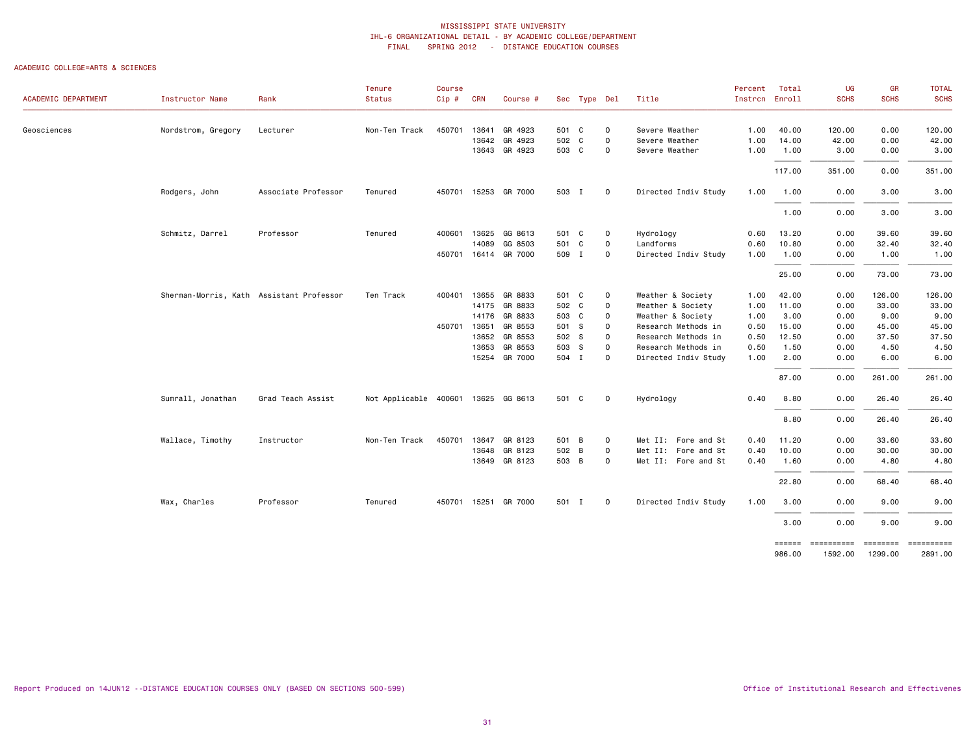| ACADEMIC DEPARTMENT | Instructor Name                          | Rank                | Tenure<br>Status                    | Course<br>$Cip$ # | <b>CRN</b> | Course #             |       | Sec Type Del |              | Title                | Percent<br>Instron Enroll | Total            | UG<br><b>SCHS</b>     | GR<br><b>SCHS</b>   | <b>TOTAL</b><br><b>SCHS</b> |
|---------------------|------------------------------------------|---------------------|-------------------------------------|-------------------|------------|----------------------|-------|--------------|--------------|----------------------|---------------------------|------------------|-----------------------|---------------------|-----------------------------|
|                     |                                          |                     |                                     |                   |            |                      |       |              |              |                      |                           |                  |                       |                     |                             |
| Geosciences         | Nordstrom, Gregory                       | Lecturer            | Non-Ten Track                       | 450701            | 13641      | GR 4923              | 501 C |              | 0            | Severe Weather       | 1.00                      | 40.00            | 120.00                | 0.00                | 120.00                      |
|                     |                                          |                     |                                     |                   | 13642      | GR 4923              | 502 C |              | 0            | Severe Weather       | 1.00                      | 14.00            | 42.00                 | 0.00                | 42.00                       |
|                     |                                          |                     |                                     |                   |            | 13643 GR 4923        | 503 C |              | 0            | Severe Weather       | 1.00                      | 1.00             | 3.00                  | 0.00                | 3.00                        |
|                     |                                          |                     |                                     |                   |            |                      |       |              |              |                      |                           | 117.00           | 351.00                | 0.00                | 351.00                      |
|                     | Rodgers, John                            | Associate Professor | Tenured                             |                   |            | 450701 15253 GR 7000 | 503 I |              | 0            | Directed Indiv Study | 1.00                      | 1.00             | 0.00                  | 3.00                | 3.00                        |
|                     |                                          |                     |                                     |                   |            |                      |       |              |              |                      |                           | 1.00             | 0.00                  | 3.00                | 3.00                        |
|                     | Schmitz, Darrel                          | Professor           | Tenured                             | 400601 13625      |            | GG 8613              | 501 C |              | 0            | Hydrology            | 0.60                      | 13.20            | 0.00                  | 39.60               | 39.60                       |
|                     |                                          |                     |                                     |                   | 14089      | GG 8503              | 501 C |              | 0            | Landforms            | 0.60                      | 10.80            | 0.00                  | 32.40               | 32.40                       |
|                     |                                          |                     |                                     |                   |            | 450701 16414 GR 7000 | 509 I |              | 0            | Directed Indiv Study | 1.00                      | 1.00             | 0.00                  | 1.00                | 1.00                        |
|                     |                                          |                     |                                     |                   |            |                      |       |              |              |                      |                           | 25.00            | 0.00                  | 73.00               | 73.00                       |
|                     | Sherman-Morris, Kath Assistant Professor |                     | Ten Track                           | 400401 13655      |            | GR 8833              | 501 C |              | 0            | Weather & Society    | 1.00                      | 42.00            | 0.00                  | 126.00              | 126.00                      |
|                     |                                          |                     |                                     |                   | 14175      | GR 8833              | 502 C |              | 0            | Weather & Society    | 1.00                      | 11.00            | 0.00                  | 33.00               | 33.00                       |
|                     |                                          |                     |                                     |                   | 14176      | GR 8833              | 503 C |              | 0            | Weather & Society    | 1.00                      | 3.00             | 0.00                  | 9.00                | 9.00                        |
|                     |                                          |                     |                                     | 450701 13651      |            | GR 8553              | 501 S |              | 0            | Research Methods in  | 0.50                      | 15.00            | 0.00                  | 45.00               | 45.00                       |
|                     |                                          |                     |                                     |                   | 13652      | GR 8553              | 502 S |              | 0            | Research Methods in  | 0.50                      | 12.50            | 0.00                  | 37.50               | 37.50                       |
|                     |                                          |                     |                                     |                   | 13653      | GR 8553              | 503   | - S          | 0            | Research Methods in  | 0.50                      | 1.50             | 0.00                  | 4.50                | 4.50                        |
|                     |                                          |                     |                                     |                   |            | 15254 GR 7000        | 504 I |              | $\mathsf{o}$ | Directed Indiv Study | 1.00                      | 2.00             | 0.00                  | 6.00                | 6.00                        |
|                     |                                          |                     |                                     |                   |            |                      |       |              |              |                      |                           | 87.00            | 0.00                  | 261.00              | 261.00                      |
|                     | Sumrall, Jonathan                        | Grad Teach Assist   | Not Applicable 400601 13625 GG 8613 |                   |            |                      | 501 C |              | 0            | Hydrology            | 0.40                      | 8.80             | 0.00                  | 26.40               | 26.40                       |
|                     |                                          |                     |                                     |                   |            |                      |       |              |              |                      |                           | 8.80             | 0.00                  | 26.40               | 26.40                       |
|                     | Wallace, Timothy                         | Instructor          | Non-Ten Track                       | 450701            | 13647      | GR 8123              | 501 B |              | 0            | Met II: Fore and St  | 0.40                      | 11.20            | 0.00                  | 33.60               | 33.60                       |
|                     |                                          |                     |                                     |                   | 13648      | GR 8123              | 502   | B            | 0            | Met II: Fore and St  | 0.40                      | 10.00            | 0.00                  | 30.00               | 30.00                       |
|                     |                                          |                     |                                     |                   |            | 13649 GR 8123        | 503 B |              | 0            | Met II: Fore and St  | 0.40                      | 1.60             | 0.00                  | 4.80                | 4.80                        |
|                     |                                          |                     |                                     |                   |            |                      |       |              |              |                      |                           | 22.80            | 0.00                  | 68.40               | 68.40                       |
|                     | Wax, Charles                             | Professor           | Tenured                             |                   |            | 450701 15251 GR 7000 | 501 I |              | $\mathsf{o}$ | Directed Indiv Study | 1.00                      | 3.00             | 0.00                  | 9.00                | 9.00                        |
|                     |                                          |                     |                                     |                   |            |                      |       |              |              |                      |                           | 3.00             | 0.00                  | 9.00                | 9.00                        |
|                     |                                          |                     |                                     |                   |            |                      |       |              |              |                      |                           | ======<br>986.00 | ==========<br>1592.00 | ========<br>1299.00 | :========<br>2891.00        |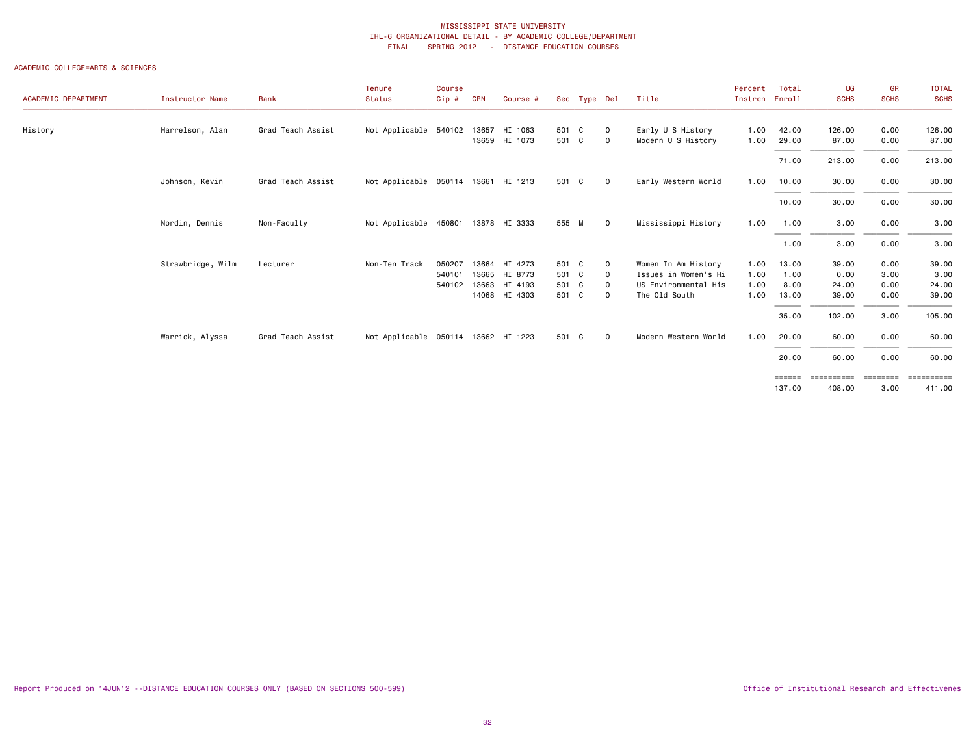| ACADEMIC DEPARTMENT | Instructor Name   | Rank              | Tenure<br>Status                    | Course<br>$Cip$ # | <b>CRN</b> | Course #      |       | Sec Type Del |                | Title                | Percent<br>Instron Enroll | Total            | UG<br><b>SCHS</b>    | GR<br><b>SCHS</b> | <b>TOTAL</b><br><b>SCHS</b> |
|---------------------|-------------------|-------------------|-------------------------------------|-------------------|------------|---------------|-------|--------------|----------------|----------------------|---------------------------|------------------|----------------------|-------------------|-----------------------------|
| History             | Harrelson, Alan   | Grad Teach Assist | Not Applicable 540102               |                   |            | 13657 HI 1063 | 501 C |              | $\circ$        | Early U S History    | 1.00                      | 42.00            | 126.00               | 0.00              | 126.00                      |
|                     |                   |                   |                                     |                   |            | 13659 HI 1073 | 501 C |              | $\mathbf 0$    | Modern U S History   | 1.00                      | 29.00            | 87.00                | 0.00              | 87.00                       |
|                     |                   |                   |                                     |                   |            |               |       |              |                |                      |                           | 71.00            | 213.00               | 0.00              | 213.00                      |
|                     | Johnson, Kevin    | Grad Teach Assist | Not Applicable 050114 13661 HI 1213 |                   |            |               | 501 C |              | $\overline{0}$ | Early Western World  | 1.00                      | 10.00            | 30.00                | 0.00              | 30.00                       |
|                     |                   |                   |                                     |                   |            |               |       |              |                |                      |                           | 10.00            | 30.00                | 0.00              | 30.00                       |
|                     | Nordin, Dennis    | Non-Faculty       | Not Applicable 450801 13878 HI 3333 |                   |            |               | 555 M |              | $\mathbf 0$    | Mississippi History  | 1.00                      | 1.00             | 3.00                 | 0.00              | 3.00                        |
|                     |                   |                   |                                     |                   |            |               |       |              |                |                      |                           | 1.00             | 3.00                 | 0.00              | 3.00                        |
|                     | Strawbridge, Wilm | Lecturer          | Non-Ten Track                       | 050207            | 13664      | HI 4273       | 501 C |              | $\circ$        | Women In Am History  | 1.00                      | 13.00            | 39.00                | 0.00              | 39.00                       |
|                     |                   |                   |                                     | 540101            |            | 13665 HI 8773 | 501 C |              | $\circ$        | Issues in Women's Hi | 1.00                      | 1.00             | 0.00                 | 3.00              | 3.00                        |
|                     |                   |                   |                                     | 540102            |            | 13663 HI 4193 | 501 C |              | $\circ$        | US Environmental His | 1.00                      | 8.00             | 24.00                | 0.00              | 24.00                       |
|                     |                   |                   |                                     |                   |            | 14068 HI 4303 | 501 C |              | $\circ$        | The Old South        | 1.00                      | 13.00            | 39.00                | 0.00              | 39.00                       |
|                     |                   |                   |                                     |                   |            |               |       |              |                |                      |                           | 35.00            | 102.00               | 3.00              | 105.00                      |
|                     | Warrick, Alyssa   | Grad Teach Assist | Not Applicable 050114 13662 HI 1223 |                   |            |               | 501 C |              | $\overline{0}$ | Modern Western World | 1.00                      | 20.00            | 60.00                | 0.00              | 60.00                       |
|                     |                   |                   |                                     |                   |            |               |       |              |                |                      |                           | 20.00            | 60.00                | 0.00              | 60.00                       |
|                     |                   |                   |                                     |                   |            |               |       |              |                |                      |                           | ======<br>137.00 | ==========<br>408.00 | ========<br>3.00  | ==========<br>411.00        |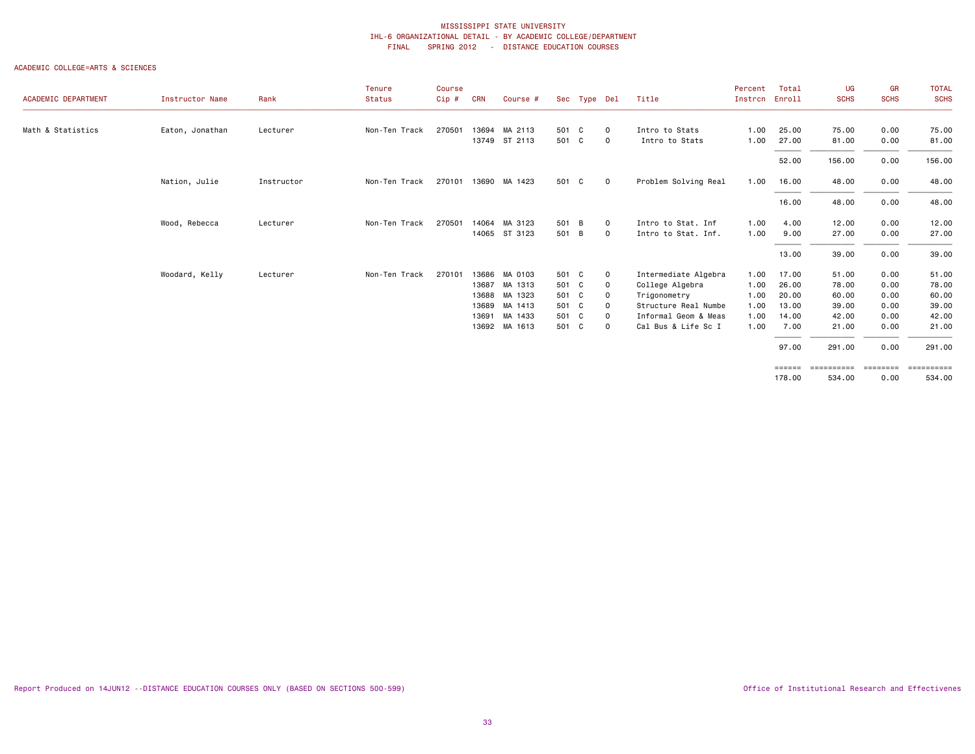| ACADEMIC DEPARTMENT | Instructor Name | Rank       | Tenure<br>Status | Course<br>Cip# | <b>CRN</b> | Course #             |       | Sec Type Del |             | Title                | Percent<br>Instrcn | Total<br>Enroll | UG<br><b>SCHS</b> | GR<br><b>SCHS</b> | <b>TOTAL</b><br><b>SCHS</b> |
|---------------------|-----------------|------------|------------------|----------------|------------|----------------------|-------|--------------|-------------|----------------------|--------------------|-----------------|-------------------|-------------------|-----------------------------|
| Math & Statistics   | Eaton, Jonathan | Lecturer   | Non-Ten Track    | 270501         | 13694      | MA 2113              | 501 C |              | $\circ$     | Intro to Stats       | 1.00               | 25.00           | 75.00             | 0.00              | 75.00                       |
|                     |                 |            |                  |                |            | 13749 ST 2113        | 501 C |              | $\circ$     | Intro to Stats       | 1.00               | 27.00           | 81.00             | 0.00              | 81.00                       |
|                     |                 |            |                  |                |            |                      |       |              |             |                      |                    | 52.00           | 156.00            | 0.00              | 156.00                      |
|                     | Nation, Julie   | Instructor | Non-Ten Track    |                |            | 270101 13690 MA 1423 | 501 C |              | $\mathbf 0$ | Problem Solving Real | 1.00               | 16.00           | 48.00             | 0.00              | 48.00                       |
|                     |                 |            |                  |                |            |                      |       |              |             |                      |                    | 16.00           | 48.00             | 0.00              | 48.00                       |
|                     | Wood, Rebecca   | Lecturer   | Non-Ten Track    | 270501         |            | 14064 MA 3123        | 501 B |              | $\mathbf 0$ | Intro to Stat. Inf   | 1.00               | 4.00            | 12.00             | 0.00              | 12.00                       |
|                     |                 |            |                  |                |            | 14065 ST 3123        | 501 B |              | $\circ$     | Intro to Stat. Inf.  | 1.00               | 9.00            | 27.00             | 0.00              | 27.00                       |
|                     |                 |            |                  |                |            |                      |       |              |             |                      |                    | 13.00           | 39.00             | 0.00              | 39.00                       |
|                     | Woodard, Kelly  | Lecturer   | Non-Ten Track    | 270101         | 13686      | MA 0103              | 501 C |              | $\circ$     | Intermediate Algebra | 1.00               | 17.00           | 51.00             | 0.00              | 51.00                       |
|                     |                 |            |                  |                | 13687      | MA 1313              | 501 C |              | $\circ$     | College Algebra      | 1.00               | 26.00           | 78.00             | 0.00              | 78.00                       |
|                     |                 |            |                  |                | 13688      | MA 1323              | 501 C |              | $\circ$     | Trigonometry         | 1.00               | 20.00           | 60.00             | 0.00              | 60.00                       |
|                     |                 |            |                  |                | 13689      | MA 1413              | 501 C |              | $\circ$     | Structure Real Numbe | 1.00               | 13.00           | 39.00             | 0.00              | 39.00                       |
|                     |                 |            |                  |                | 13691      | MA 1433              | 501   | C            | $\circ$     | Informal Geom & Meas | 1.00               | 14.00           | 42.00             | 0.00              | 42.00                       |
|                     |                 |            |                  |                |            | 13692 MA 1613        | 501 C |              | $\Omega$    | Cal Bus & Life Sc I  | 1.00               | 7.00            | 21.00             | 0.00              | 21.00                       |
|                     |                 |            |                  |                |            |                      |       |              |             |                      |                    | 97.00           | 291.00            | 0.00              | 291.00                      |
|                     |                 |            |                  |                |            |                      |       |              |             |                      |                    | ======          | ==========        | ========          | ==========                  |
|                     |                 |            |                  |                |            |                      |       |              |             |                      |                    | 178.00          | 534.00            | 0.00              | 534.00                      |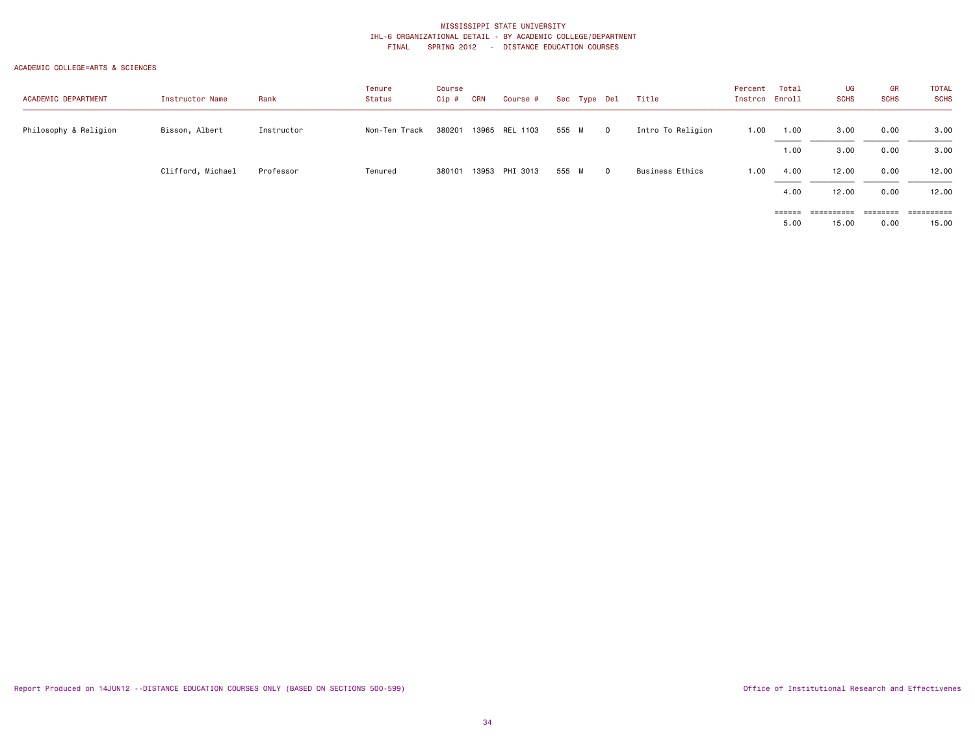| <b>ACADEMIC DEPARTMENT</b> | Instructor Name   | Rank       | Tenure<br>Status | Course<br>$Cip$ # | <b>CRN</b> | Course #       | Sec Type Del |             | Title             | Percent<br>Instrcn Enroll | Total         | UG<br><b>SCHS</b> | GR<br><b>SCHS</b> | <b>TOTAL</b><br><b>SCHS</b> |
|----------------------------|-------------------|------------|------------------|-------------------|------------|----------------|--------------|-------------|-------------------|---------------------------|---------------|-------------------|-------------------|-----------------------------|
| Philosophy & Religion      | Bisson, Albert    | Instructor | Non-Ten Track    | 380201            |            | 13965 REL 1103 | 555 M        | $\mathbf 0$ | Intro To Religion | 1.00                      | 1.00          | 3.00              | 0.00              | 3.00                        |
|                            |                   |            |                  |                   |            |                |              |             |                   |                           | 1.00          | 3.00              | 0.00              | 3.00                        |
|                            | Clifford, Michael | Professor  | Tenured          | 380101            |            | 13953 PHI 3013 | 555 M        | $\Omega$    | Business Ethics   | 1.00                      | 4.00          | 12.00             | 0.00              | 12.00                       |
|                            |                   |            |                  |                   |            |                |              |             |                   |                           | 4.00          | 12.00             | 0.00              | 12.00                       |
|                            |                   |            |                  |                   |            |                |              |             |                   |                           | <b>EEEEEE</b> | ==========        | ========          | ==========                  |
|                            |                   |            |                  |                   |            |                |              |             |                   |                           | 5.00          | 15.00             | 0.00              | 15.00                       |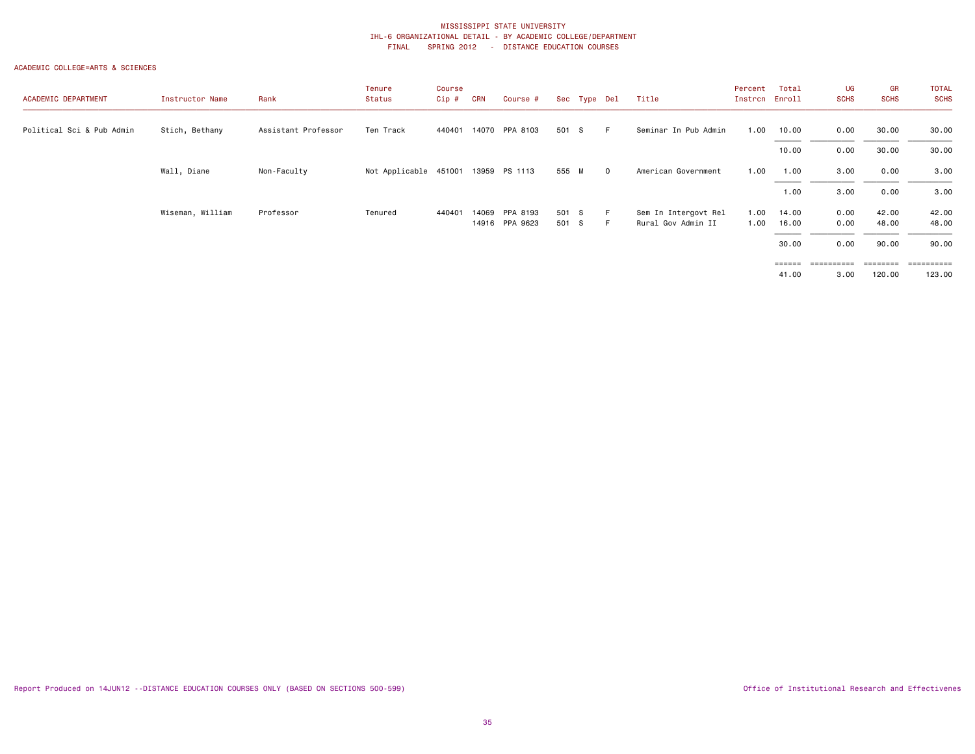| ACADEMIC DEPARTMENT       | Instructor Name  | Rank                | Tenure<br>Status                    | Course<br>Cip # | <b>CRN</b> | Course #                         |                | Sec Type Del |            | Title                                      | Percent<br>Instrcn | Total<br>Enroll | UG<br><b>SCHS</b> | GR<br><b>SCHS</b>  | <b>TOTAL</b><br><b>SCHS</b> |
|---------------------------|------------------|---------------------|-------------------------------------|-----------------|------------|----------------------------------|----------------|--------------|------------|--------------------------------------------|--------------------|-----------------|-------------------|--------------------|-----------------------------|
| Political Sci & Pub Admin | Stich, Bethany   | Assistant Professor | Ten Track                           | 440401          |            | 14070 PPA 8103                   | 501 S          |              | F.         | Seminar In Pub Admin                       | 1.00               | 10.00           | 0.00              | 30.00              | 30.00                       |
|                           |                  |                     |                                     |                 |            |                                  |                |              |            |                                            |                    | 10.00           | 0.00              | 30.00              | 30.00                       |
|                           | Wall, Diane      | Non-Faculty         | Not Applicable 451001 13959 PS 1113 |                 |            |                                  | 555 M          |              | $\Omega$   | American Government                        | 1.00               | 1.00            | 3.00              | 0.00               | 3.00                        |
|                           |                  |                     |                                     |                 |            |                                  |                |              |            |                                            |                    | 1.00            | 3.00              | 0.00               | 3.00                        |
|                           | Wiseman, William | Professor           | Tenured                             | 440401          |            | 14069 PPA 8193<br>14916 PPA 9623 | 501 S<br>501 S |              | -F.<br>-F. | Sem In Intergovt Rel<br>Rural Gov Admin II | 1.00<br>1.00       | 14.00<br>16.00  | 0.00<br>0.00      | 42.00<br>48.00     | 42.00<br>48.00              |
|                           |                  |                     |                                     |                 |            |                                  |                |              |            |                                            |                    | 30.00           | 0.00              | 90.00              | 90.00                       |
|                           |                  |                     |                                     |                 |            |                                  |                |              |            |                                            |                    | ======<br>41.00 | 3.00              | ========<br>120.00 | ==========<br>123.00        |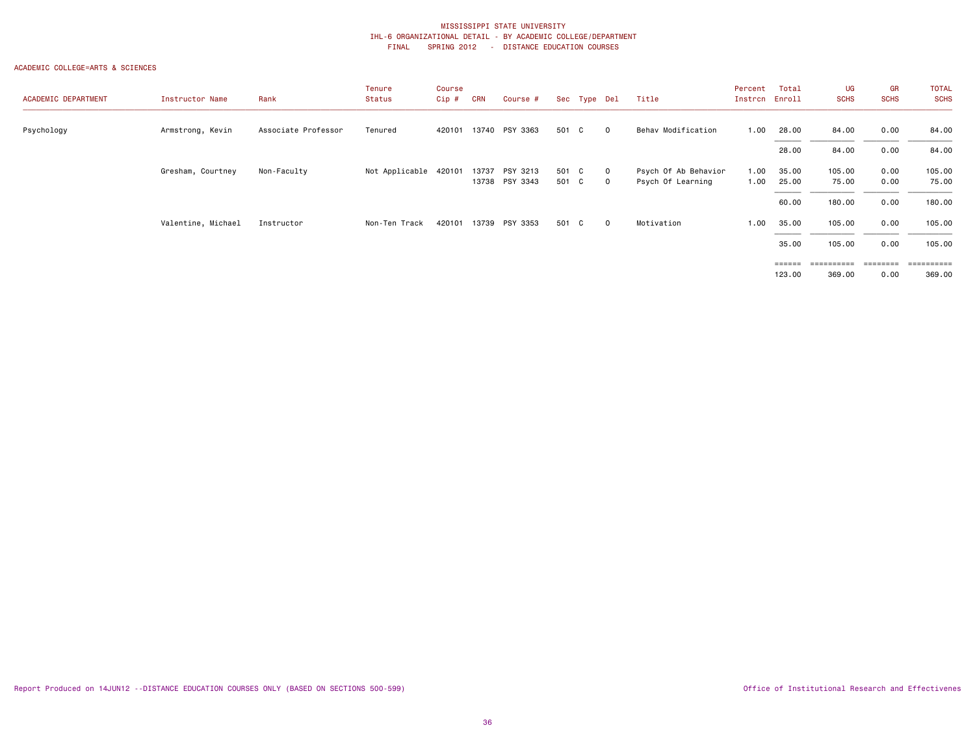| ACADEMIC DEPARTMENT | Instructor Name    | Rank                | Tenure<br>Status      | Course<br>Cip # | <b>CRN</b> | Course #                   | Sec Type Del   |                     | Title                                     | Percent<br>Instrcn | Total<br>Enroll               | UG<br><b>SCHS</b> | GR<br><b>SCHS</b> | <b>TOTAL</b><br><b>SCHS</b> |
|---------------------|--------------------|---------------------|-----------------------|-----------------|------------|----------------------------|----------------|---------------------|-------------------------------------------|--------------------|-------------------------------|-------------------|-------------------|-----------------------------|
| Psychology          | Armstrong, Kevin   | Associate Professor | Tenured               | 420101          |            | 13740 PSY 3363             | 501 C          | $\mathbf{0}$        | Behav Modification                        | 1.00               | 28.00                         | 84.00             | 0.00              | 84.00                       |
|                     |                    |                     |                       |                 |            |                            |                |                     |                                           |                    | 28.00                         | 84.00             | 0.00              | 84.00                       |
|                     | Gresham, Courtney  | Non-Faculty         | Not Applicable 420101 |                 | 13737      | PSY 3213<br>13738 PSY 3343 | 501 C<br>501 C | $\circ$<br>$\Omega$ | Psych Of Ab Behavior<br>Psych Of Learning | 1.00<br>1.00       | 35.00<br>25.00                | 105.00<br>75.00   | 0.00<br>0.00      | 105.00<br>75.00             |
|                     |                    |                     |                       |                 |            |                            |                |                     |                                           |                    | 60.00                         | 180.00            | 0.00              | 180.00                      |
|                     | Valentine, Michael | Instructor          | Non-Ten Track         | 420101          |            | 13739 PSY 3353             | 501 C          | $\mathbf 0$         | Motivation                                | 1.00               | 35.00                         | 105.00            | 0.00              | 105.00                      |
|                     |                    |                     |                       |                 |            |                            |                |                     |                                           |                    | 35.00                         | 105.00            | 0.00              | 105.00                      |
|                     |                    |                     |                       |                 |            |                            |                |                     |                                           |                    | $=$ $=$ $=$ $=$ $=$<br>123.00 | 369.00            | 0.00              | ==========<br>369.00        |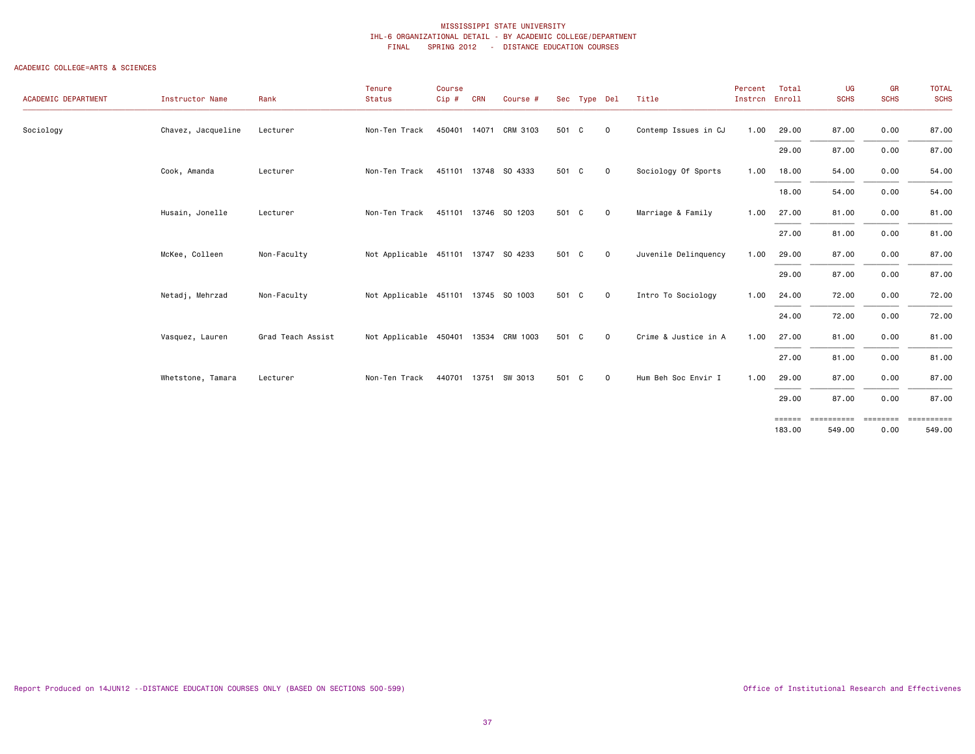| ACADEMIC DEPARTMENT | Instructor Name    | Rank              | Tenure<br>Status                     | Course<br>Cip# | <b>CRN</b> | Course #              |       | Sec Type Del |                         | Title                | Percent<br>Instron Enroll | Total            | UG<br><b>SCHS</b>    | GR<br><b>SCHS</b> | <b>TOTAL</b><br><b>SCHS</b> |
|---------------------|--------------------|-------------------|--------------------------------------|----------------|------------|-----------------------|-------|--------------|-------------------------|----------------------|---------------------------|------------------|----------------------|-------------------|-----------------------------|
| Sociology           | Chavez, Jacqueline | Lecturer          | Non-Ten Track                        |                |            | 450401 14071 CRM 3103 | 501 C |              | $\overline{0}$          | Contemp Issues in CJ | 1.00                      | 29.00            | 87.00                | 0.00              | 87.00                       |
|                     |                    |                   |                                      |                |            |                       |       |              |                         |                      |                           | 29.00            | 87.00                | 0.00              | 87.00                       |
|                     | Cook, Amanda       | Lecturer          | Non-Ten Track                        |                |            | 451101 13748 SO 4333  | 501 C |              | $\overline{0}$          | Sociology Of Sports  | 1.00                      | 18.00            | 54.00                | 0.00              | 54.00                       |
|                     |                    |                   |                                      |                |            |                       |       |              |                         |                      |                           | 18.00            | 54.00                | 0.00              | 54.00                       |
|                     | Husain, Jonelle    | Lecturer          | Non-Ten Track                        |                |            | 451101 13746 SO 1203  | 501 C |              | $\overline{0}$          | Marriage & Family    | 1.00                      | 27.00            | 81.00                | 0.00              | 81.00                       |
|                     |                    |                   |                                      |                |            |                       |       |              |                         |                      |                           | 27.00            | 81.00                | 0.00              | 81.00                       |
|                     | McKee, Colleen     | Non-Faculty       | Not Applicable 451101 13747 SO 4233  |                |            |                       | 501 C |              | $\overline{\mathbf{0}}$ | Juvenile Delinquency | 1.00                      | 29.00            | 87.00                | 0.00              | 87.00                       |
|                     |                    |                   |                                      |                |            |                       |       |              |                         |                      |                           | 29.00            | 87.00                | 0.00              | 87.00                       |
|                     | Netadj, Mehrzad    | Non-Faculty       | Not Applicable 451101 13745 SO 1003  |                |            |                       | 501 C |              | $\overline{0}$          | Intro To Sociology   | 1.00                      | 24.00            | 72.00                | 0.00              | 72.00                       |
|                     |                    |                   |                                      |                |            |                       |       |              |                         |                      |                           | 24.00            | 72.00                | 0.00              | 72.00                       |
|                     | Vasquez, Lauren    | Grad Teach Assist | Not Applicable 450401 13534 CRM 1003 |                |            |                       | 501 C |              | $\overline{0}$          | Crime & Justice in A | 1.00                      | 27.00            | 81.00                | 0.00              | 81.00                       |
|                     |                    |                   |                                      |                |            |                       |       |              |                         |                      |                           | 27.00            | 81.00                | 0.00              | 81.00                       |
|                     | Whetstone, Tamara  | Lecturer          | Non-Ten Track                        |                |            | 440701 13751 SW 3013  | 501 C |              | $\overline{0}$          | Hum Beh Soc Envir I  | 1.00                      | 29.00            | 87.00                | 0.00              | 87.00                       |
|                     |                    |                   |                                      |                |            |                       |       |              |                         |                      |                           | 29.00            | 87.00                | 0.00              | 87.00                       |
|                     |                    |                   |                                      |                |            |                       |       |              |                         |                      |                           | ======<br>183.00 | ==========<br>549.00 | ========<br>0.00  | ==========<br>549.00        |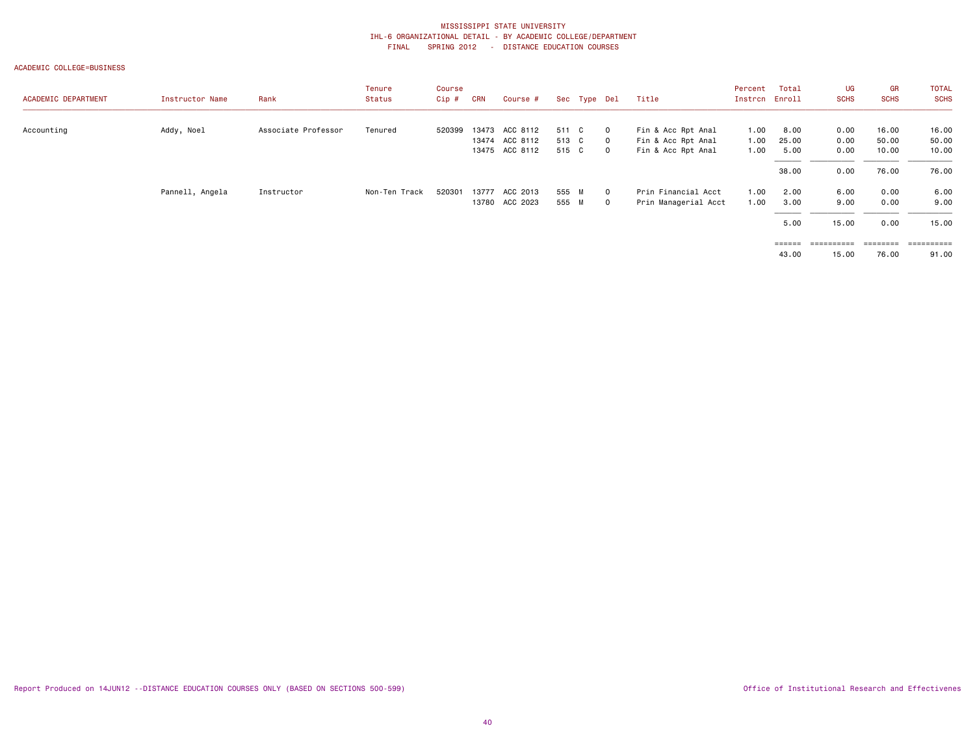#### ACADEMIC COLLEGE=BUSINESS

| ACADEMIC DEPARTMENT | Instructor Name | Rank                | Tenure<br>Status | Course<br>$Cip$ # | <b>CRN</b> | Course #       |       | Sec Type Del |          | Title                | Percent<br>Instron Enroll | Total         | UG<br><b>SCHS</b> | GR<br><b>SCHS</b> | <b>TOTAL</b><br><b>SCHS</b> |
|---------------------|-----------------|---------------------|------------------|-------------------|------------|----------------|-------|--------------|----------|----------------------|---------------------------|---------------|-------------------|-------------------|-----------------------------|
| Accounting          | Addy, Noel      | Associate Professor | Tenured          | 520399            |            | 13473 ACC 8112 | 511 C |              | $\circ$  | Fin & Acc Rpt Anal   | 1.00                      | 8.00          | 0.00              | 16.00             | 16.00                       |
|                     |                 |                     |                  |                   |            | 13474 ACC 8112 | 513 C |              | $\Omega$ | Fin & Acc Rpt Anal   | 1.00                      | 25.00         | 0.00              | 50.00             | 50.00                       |
|                     |                 |                     |                  |                   |            | 13475 ACC 8112 | 515 C |              | $\circ$  | Fin & Acc Rpt Anal   | 1.00                      | 5.00          | 0.00              | 10.00             | 10.00                       |
|                     |                 |                     |                  |                   |            |                |       |              |          |                      |                           | 38.00         | 0.00              | 76.00             | 76.00                       |
|                     | Pannell, Angela | Instructor          | Non-Ten Track    | 520301            | 13777      | ACC 2013       | 555 M |              | $\circ$  | Prin Financial Acct  | 1.00                      | 2.00          | 6.00              | 0.00              | 6.00                        |
|                     |                 |                     |                  |                   | 13780      | ACC 2023       | 555 M |              | $\circ$  | Prin Managerial Acct | 1.00                      | 3.00          | 9.00              | 0.00              | 9.00                        |
|                     |                 |                     |                  |                   |            |                |       |              |          |                      |                           | 5.00          | 15.00             | 0.00              | 15.00                       |
|                     |                 |                     |                  |                   |            |                |       |              |          |                      |                           | <b>EEEEEE</b> | ==========        | ========          | $=$ = = = = = = = = $=$     |
|                     |                 |                     |                  |                   |            |                |       |              |          |                      |                           | 43.00         | 15.00             | 76.00             | 91.00                       |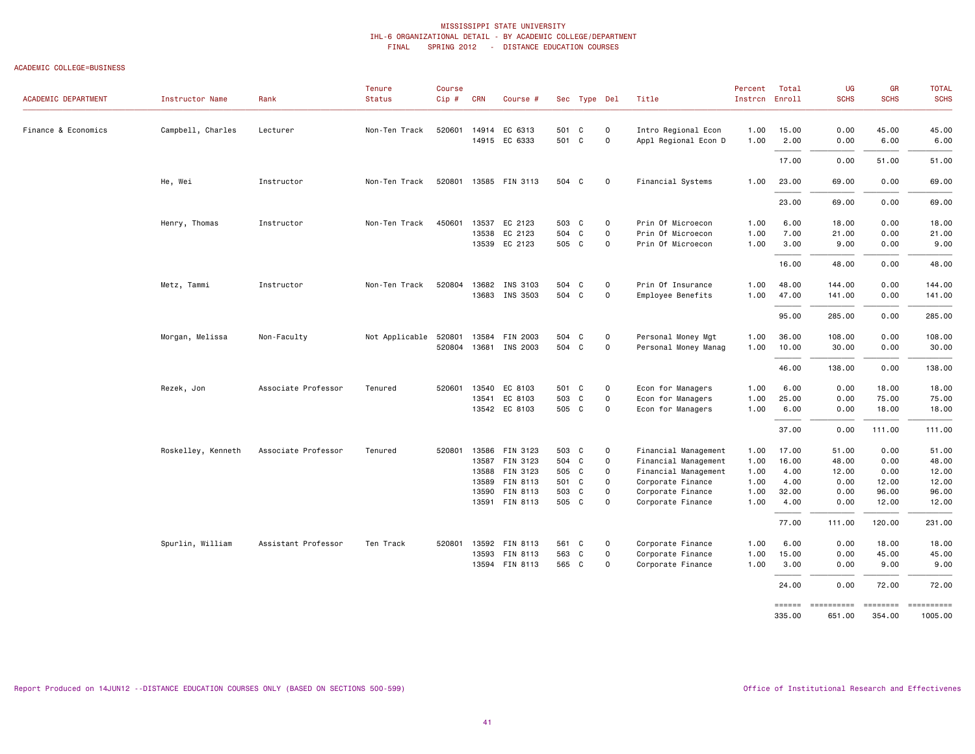# ACADEMIC COLLEGE=BUSINESS

| <b>ACADEMIC DEPARTMENT</b> | Instructor Name    | Rank                | Tenure<br>Status | Course<br>$Cip$ # | CRN   | Course #        |       | Sec Type Del |                     | Title                | Percent<br>Instrcn | Total<br>Enroll | UG<br><b>SCHS</b>                    | GR<br><b>SCHS</b> | <b>TOTAL</b><br><b>SCHS</b> |
|----------------------------|--------------------|---------------------|------------------|-------------------|-------|-----------------|-------|--------------|---------------------|----------------------|--------------------|-----------------|--------------------------------------|-------------------|-----------------------------|
| Finance & Economics        | Campbell, Charles  | Lecturer            | Non-Ten Track    | 520601            | 14914 | EC 6313         | 501   | C            | $\mathsf{O}\xspace$ | Intro Regional Econ  | 1.00               | 15.00           | 0.00                                 | 45.00             | 45.00                       |
|                            |                    |                     |                  |                   |       | 14915 EC 6333   | 501 C |              | $\mathsf{o}\xspace$ | Appl Regional Econ D | 1.00               | 2.00            | 0.00                                 | 6.00              | 6.00                        |
|                            |                    |                     |                  |                   |       |                 |       |              |                     |                      |                    | 17.00           | 0.00                                 | 51.00             | 51.00                       |
|                            | He, Wei            | Instructor          | Non-Ten Track    | 520801            |       | 13585 FIN 3113  | 504 C |              | $\mathbf 0$         | Financial Systems    | 1.00               | 23.00           | 69.00                                | 0.00              | 69.00                       |
|                            |                    |                     |                  |                   |       |                 |       |              |                     |                      |                    | 23.00           | 69.00                                | 0.00              | 69.00                       |
|                            | Henry, Thomas      | Instructor          | Non-Ten Track    | 450601            | 13537 | EC 2123         | 503 C |              | $\mathsf{O}\xspace$ | Prin Of Microecon    | 1.00               | 6.00            | 18.00                                | 0.00              | 18.00                       |
|                            |                    |                     |                  |                   | 13538 | EC 2123         | 504 C |              | $\mathsf{O}\xspace$ | Prin Of Microecon    | 1.00               | 7.00            | 21.00                                | 0.00              | 21.00                       |
|                            |                    |                     |                  |                   |       | 13539 EC 2123   | 505 C |              | $\mathsf{O}\xspace$ | Prin Of Microecon    | 1.00               | 3.00            | 9.00                                 | 0.00              | 9.00                        |
|                            |                    |                     |                  |                   |       |                 |       |              |                     |                      |                    | 16.00           | 48.00                                | 0.00              | 48.00                       |
|                            | Metz, Tammi        | Instructor          | Non-Ten Track    | 520804            |       | 13682 INS 3103  | 504 C |              | $\mathbf 0$         | Prin Of Insurance    | 1.00               | 48.00           | 144.00                               | 0.00              | 144.00                      |
|                            |                    |                     |                  |                   |       | 13683 INS 3503  | 504 C |              | $\mathbf 0$         | Employee Benefits    | 1.00               | 47.00           | 141.00                               | 0.00              | 141.00                      |
|                            |                    |                     |                  |                   |       |                 |       |              |                     |                      |                    | 95.00           | 285.00                               | 0.00              | 285.00                      |
|                            | Morgan, Melissa    | Non-Faculty         | Not Applicable   | 520801            | 13584 | FIN 2003        | 504   | C            | 0                   | Personal Money Mgt   | 1.00               | 36.00           | 108.00                               | 0.00              | 108.00                      |
|                            |                    |                     |                  | 520804            |       | 13681 INS 2003  | 504 C |              | $\mathsf{O}\xspace$ | Personal Money Manag | 1.00               | 10.00           | 30.00                                | 0.00              | 30.00                       |
|                            |                    |                     |                  |                   |       |                 |       |              |                     |                      |                    | 46.00           | 138.00                               | 0.00              | 138.00                      |
|                            | Rezek, Jon         | Associate Professor | Tenured          | 520601            | 13540 | EC 8103         | 501 C |              | $\mathsf{O}\xspace$ | Econ for Managers    | 1.00               | 6.00            | 0.00                                 | 18.00             | 18.00                       |
|                            |                    |                     |                  |                   | 13541 | EC 8103         | 503   | C            | $\mathbf 0$         | Econ for Managers    | 1.00               | 25.00           | 0.00                                 | 75.00             | 75.00                       |
|                            |                    |                     |                  |                   |       | 13542 EC 8103   | 505 C |              | $\mathbf 0$         | Econ for Managers    | 1.00               | 6.00            | 0.00                                 | 18.00             | 18.00                       |
|                            |                    |                     |                  |                   |       |                 |       |              |                     |                      |                    | 37.00           | 0.00                                 | 111.00            | 111.00                      |
|                            | Roskelley, Kenneth | Associate Professor | Tenured          | 520801            | 13586 | FIN 3123        | 503 C |              | $\mathsf{o}$        | Financial Management | 1.00               | 17.00           | 51.00                                | 0.00              | 51.00                       |
|                            |                    |                     |                  |                   | 13587 | FIN 3123        | 504 C |              | $\mathsf{O}\xspace$ | Financial Management | 1.00               | 16.00           | 48.00                                | 0.00              | 48.00                       |
|                            |                    |                     |                  |                   | 13588 | FIN 3123        | 505 C |              | $\mathsf{O}\xspace$ | Financial Management | 1.00               | 4.00            | 12.00                                | 0.00              | 12.00                       |
|                            |                    |                     |                  |                   | 13589 | FIN 8113        | 501 C |              | $\mathsf{O}\xspace$ | Corporate Finance    | 1.00               | 4.00            | 0.00                                 | 12.00             | 12.00                       |
|                            |                    |                     |                  |                   | 13590 | FIN 8113        | 503 C |              | $\mathbf 0$         | Corporate Finance    | 1.00               | 32.00           | 0.00                                 | 96.00             | 96.00                       |
|                            |                    |                     |                  |                   | 13591 | <b>FIN 8113</b> | 505 C |              | $\Omega$            | Corporate Finance    | 1.00               | 4.00            | 0.00                                 | 12.00             | 12.00                       |
|                            |                    |                     |                  |                   |       |                 |       |              |                     |                      |                    | 77.00           | 111.00                               | 120.00            | 231.00                      |
|                            | Spurlin, William   | Assistant Professor | Ten Track        | 520801            | 13592 | FIN 8113        | 561 C |              | 0                   | Corporate Finance    | 1.00               | 6.00            | 0.00                                 | 18.00             | 18.00                       |
|                            |                    |                     |                  |                   | 13593 | FIN 8113        | 563   | C            | $\mathsf{O}\xspace$ | Corporate Finance    | 1.00               | 15.00           | 0.00                                 | 45.00             | 45.00                       |
|                            |                    |                     |                  |                   |       | 13594 FIN 8113  | 565 C |              | $\mathsf{O}\xspace$ | Corporate Finance    | 1.00               | 3.00            | 0.00                                 | 9.00              | 9.00                        |
|                            |                    |                     |                  |                   |       |                 |       |              |                     |                      |                    | 24.00           | 0.00                                 | 72.00             | 72.00                       |
|                            |                    |                     |                  |                   |       |                 |       |              |                     |                      |                    |                 | ====== ========== ======== ========= |                   |                             |

335.00 651.00 354.00 1005.00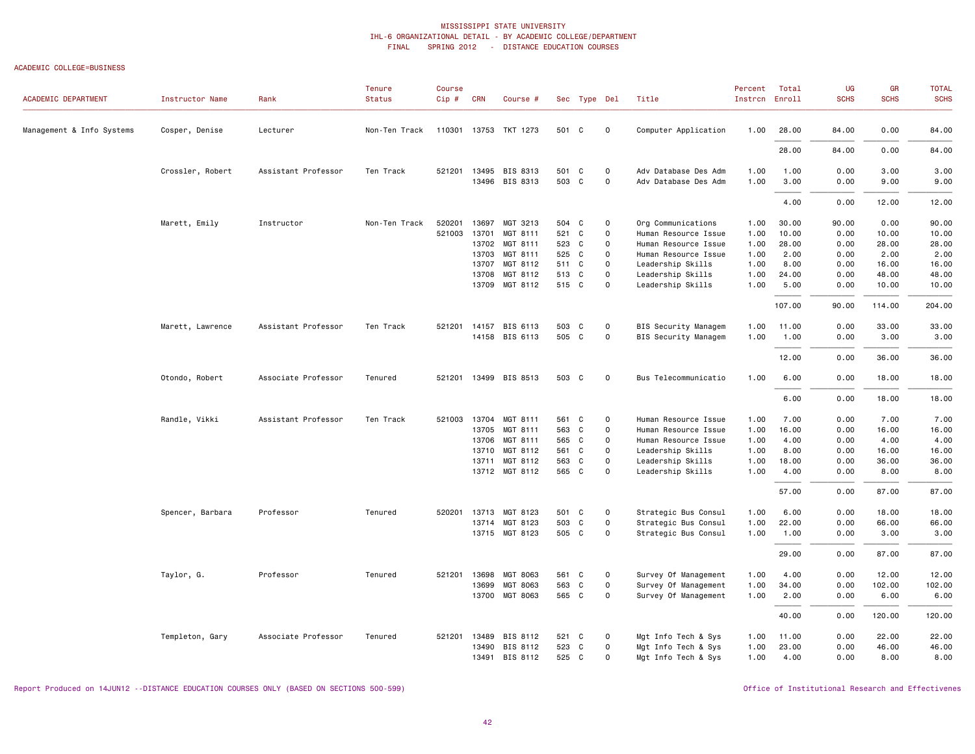#### ACADEMIC COLLEGE=BUSINESS

| ACADEMIC DEPARTMENT       | Instructor Name  | Rank                | Tenure<br><b>Status</b> | Course<br>$Cip \#$ | <b>CRN</b>     | Course #              |                | Sec Type Del |                          | Title                                      | Percent      | Total<br>Instron Enroll | UG<br><b>SCHS</b> | GR<br><b>SCHS</b> | <b>TOTAL</b><br><b>SCHS</b> |
|---------------------------|------------------|---------------------|-------------------------|--------------------|----------------|-----------------------|----------------|--------------|--------------------------|--------------------------------------------|--------------|-------------------------|-------------------|-------------------|-----------------------------|
| Management & Info Systems | Cosper, Denise   | Lecturer            | Non-Ten Track           |                    |                | 110301 13753 TKT 1273 | 501 C          |              | $\mathsf{o}$             | Computer Application                       | 1.00         | 28.00                   | 84.00             | 0.00              | 84.00                       |
|                           |                  |                     |                         |                    |                |                       |                |              |                          |                                            |              | 28.00                   | 84.00             | 0.00              | 84.00                       |
|                           | Crossler, Robert | Assistant Professor | Ten Track               |                    |                | 521201 13495 BIS 8313 | 501 C          |              | 0                        | Adv Database Des Adm                       | 1.00         | 1.00                    | 0.00              | 3.00              | 3.00                        |
|                           |                  |                     |                         |                    |                | 13496 BIS 8313        | 503            | C            | $\mathbf 0$              | Adv Database Des Adm                       | 1.00         | 3,00                    | 0.00              | 9.00              | 9.00                        |
|                           |                  |                     |                         |                    |                |                       |                |              |                          |                                            |              | 4.00                    | 0.00              | 12.00             | 12.00                       |
|                           | Marett, Emily    | Instructor          | Non-Ten Track           | 520201<br>521003   | 13697<br>13701 | MGT 3213<br>MGT 8111  | 504 C<br>521 C |              | 0<br>$\mathsf{O}\xspace$ | Org Communications<br>Human Resource Issue | 1.00<br>1.00 | 30.00<br>10.00          | 90.00<br>0.00     | 0.00<br>10.00     | 90.00<br>10.00              |
|                           |                  |                     |                         |                    | 13702          | MGT 8111              | 523            | C            | $\mathbf 0$              | Human Resource Issue                       | 1.00         | 28.00                   | 0.00              | 28.00             | 28.00                       |
|                           |                  |                     |                         |                    | 13703          | MGT 8111              | 525 C          |              | $\mathsf{O}\xspace$      | Human Resource Issue                       | 1.00         | 2.00                    | 0.00              | 2.00              | 2.00                        |
|                           |                  |                     |                         |                    | 13707          | MGT 8112              | 511 C          |              | $\mathbf 0$              | Leadership Skills                          | 1.00         | 8.00                    | 0.00              | 16.00             | 16.00                       |
|                           |                  |                     |                         |                    | 13708          | MGT 8112              | 513            | C            | $\mathbf 0$              | Leadership Skills                          | 1.00         | 24.00                   | 0.00              | 48.00             | 48.00                       |
|                           |                  |                     |                         |                    | 13709          | MGT 8112              | 515 C          |              | 0                        | Leadership Skills                          | 1.00         | 5.00                    | 0.00              | 10.00             | 10.00                       |
|                           |                  |                     |                         |                    |                |                       |                |              |                          |                                            |              | 107.00                  | 90.00             | 114.00            | 204.00                      |
|                           | Marett, Lawrence | Assistant Professor | Ten Track               |                    |                | 521201 14157 BIS 6113 | 503 C          |              | 0                        | <b>BIS Security Managem</b>                | 1.00         | 11.00                   | 0.00              | 33.00             | 33.00                       |
|                           |                  |                     |                         |                    |                | 14158 BIS 6113        | 505 C          |              | $\mathsf{o}$             | <b>BIS Security Managem</b>                | 1.00         | 1.00                    | 0.00              | 3.00              | 3.00                        |
|                           |                  |                     |                         |                    |                |                       |                |              |                          |                                            |              | 12.00                   | 0.00              | 36.00             | 36.00                       |
|                           | Otondo, Robert   | Associate Professor | Tenured                 | 521201             |                | 13499 BIS 8513        | 503 C          |              | 0                        | Bus Telecommunicatio                       | 1.00         | 6.00                    | 0.00              | 18.00             | 18.00                       |
|                           |                  |                     |                         |                    |                |                       |                |              |                          |                                            |              | 6.00                    | 0.00              | 18.00             | 18.00                       |
|                           | Randle, Vikki    | Assistant Professor | Ten Track               |                    | 521003 13704   | MGT 8111              | 561 C          |              | 0                        | Human Resource Issue                       | 1.00         | 7.00                    | 0.00              | 7.00              | 7.00                        |
|                           |                  |                     |                         |                    | 13705          | MGT 8111              | 563            | C            | $\mathsf{O}\xspace$      | Human Resource Issue                       | 1.00         | 16.00                   | 0.00              | 16.00             | 16.00                       |
|                           |                  |                     |                         |                    | 13706          | MGT 8111              | 565 C          |              | 0                        | Human Resource Issue                       | 1.00         | 4.00                    | 0.00              | 4.00              | 4.00                        |
|                           |                  |                     |                         |                    | 13710          | MGT 8112              | 561 C          |              | $\mathsf{O}\xspace$      | Leadership Skills                          | 1.00         | 8.00                    | 0.00              | 16.00             | 16.00                       |
|                           |                  |                     |                         |                    | 13711          | MGT 8112              | 563            | C            | $\mathsf{O}\xspace$      | Leadership Skills                          | 1.00         | 18.00                   | 0.00              | 36.00             | 36.00                       |
|                           |                  |                     |                         |                    |                | 13712 MGT 8112        | 565 C          |              | $\mathbf 0$              | Leadership Skills                          | 1.00         | 4.00                    | 0.00              | 8.00              | 8.00                        |
|                           |                  |                     |                         |                    |                |                       |                |              |                          |                                            |              | 57.00                   | 0.00              | 87.00             | 87.00                       |
|                           | Spencer, Barbara | Professor           | Tenured                 | 520201             | 13713          | MGT 8123              | 501 C          |              | 0                        | Strategic Bus Consul                       | 1.00         | 6.00                    | 0.00              | 18.00             | 18.00                       |
|                           |                  |                     |                         |                    | 13714          | MGT 8123              | 503            | $\mathbf c$  | $\mathsf{O}\xspace$      | Strategic Bus Consul                       | 1.00         | 22.00                   | 0.00              | 66.00             | 66.00                       |
|                           |                  |                     |                         |                    |                | 13715 MGT 8123        | 505 C          |              | $\mathbf 0$              | Strategic Bus Consul                       | 1.00         | 1.00                    | 0.00              | 3.00              | 3.00                        |
|                           |                  |                     |                         |                    |                |                       |                |              |                          |                                            |              | 29.00                   | 0.00              | 87.00             | 87.00                       |
|                           | Taylor, G.       | Professor           | Tenured                 | 521201             | 13698          | MGT 8063              | 561 C          |              | 0                        | Survey Of Management                       | 1.00         | 4.00                    | 0.00              | 12.00             | 12.00                       |
|                           |                  |                     |                         |                    | 13699          | MGT 8063              | 563            | C            | $\mathsf{o}\,$           | Survey Of Management                       | 1.00         | 34.00                   | 0.00              | 102.00            | 102.00                      |
|                           |                  |                     |                         |                    | 13700          | MGT 8063              | 565 C          |              | $\mathsf{O}\xspace$      | Survey Of Management                       | 1.00         | 2.00                    | 0.00              | 6.00              | 6.00                        |
|                           |                  |                     |                         |                    |                |                       |                |              |                          |                                            |              | 40.00                   | 0.00              | 120.00            | 120.00                      |
|                           | Templeton, Gary  | Associate Professor | Tenured                 | 521201             | 13489          | BIS 8112              | 521 C          |              | 0                        | Mgt Info Tech & Sys                        | 1.00         | 11.00                   | 0.00              | 22.00             | 22.00                       |
|                           |                  |                     |                         |                    | 13490          | BIS 8112              | 523            | C            | 0                        | Mgt Info Tech & Sys                        | 1.00         | 23.00                   | 0.00              | 46.00             | 46.00                       |
|                           |                  |                     |                         |                    |                | 13491 BIS 8112        | 525 C          |              | $\mathbf 0$              | Mgt Info Tech & Sys                        | 1.00         | 4.00                    | 0.00              | 8.00              | 8.00                        |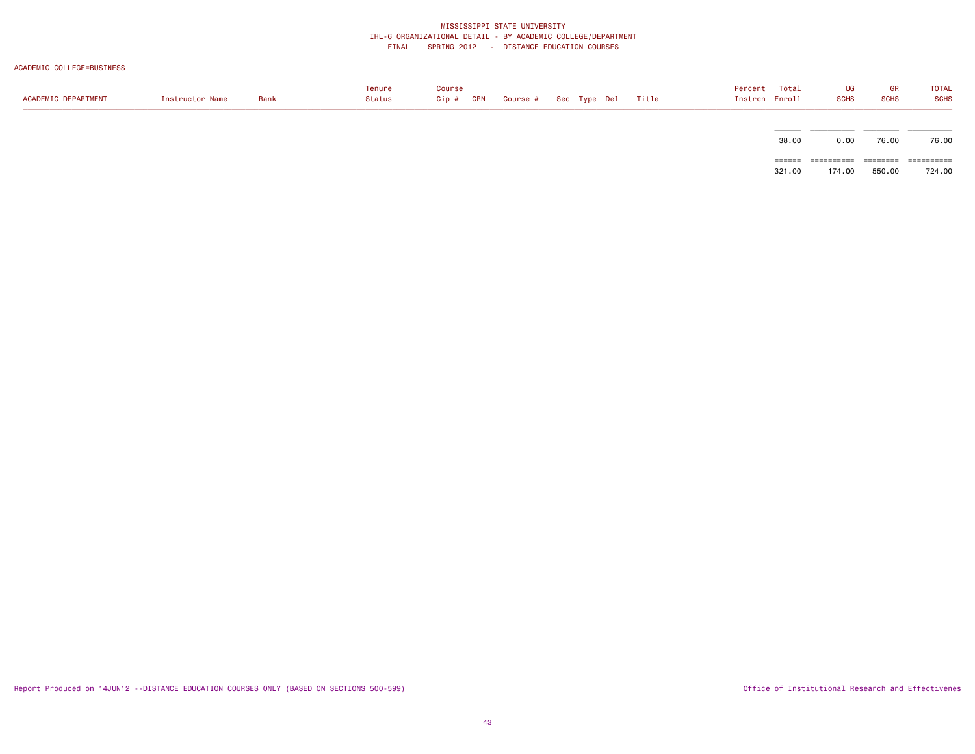#### ACADEMIC COLLEGE=BUSINESS

| <b>ACADEMIC DEPARTMENT</b> | nstructor Name | Rank | Tenure<br><b>Status</b> | Course<br>Cip # | CRN | Course # | Sec | Type Del | Title | Percent<br>Instron Enroll | Total | UG<br><b>SCHS</b> | <b>SCHS</b> | <b>TOTAL</b><br><b>SCHS</b> |
|----------------------------|----------------|------|-------------------------|-----------------|-----|----------|-----|----------|-------|---------------------------|-------|-------------------|-------------|-----------------------------|
|                            |                |      |                         |                 |     |          |     |          |       |                           |       |                   |             |                             |

 $38.00$   $0.00$   $76.00$   $76.00$ 

 $\overline{\phantom{a}}$   $\overline{\phantom{a}}$   $\overline{\phantom{a}}$   $\overline{\phantom{a}}$   $\overline{\phantom{a}}$   $\overline{\phantom{a}}$   $\overline{\phantom{a}}$   $\overline{\phantom{a}}$   $\overline{\phantom{a}}$   $\overline{\phantom{a}}$   $\overline{\phantom{a}}$   $\overline{\phantom{a}}$   $\overline{\phantom{a}}$   $\overline{\phantom{a}}$   $\overline{\phantom{a}}$   $\overline{\phantom{a}}$   $\overline{\phantom{a}}$   $\overline{\phantom{a}}$   $\overline{\$ 

 ====== ========== ======== ==========724.00 321.00 174.00 550.00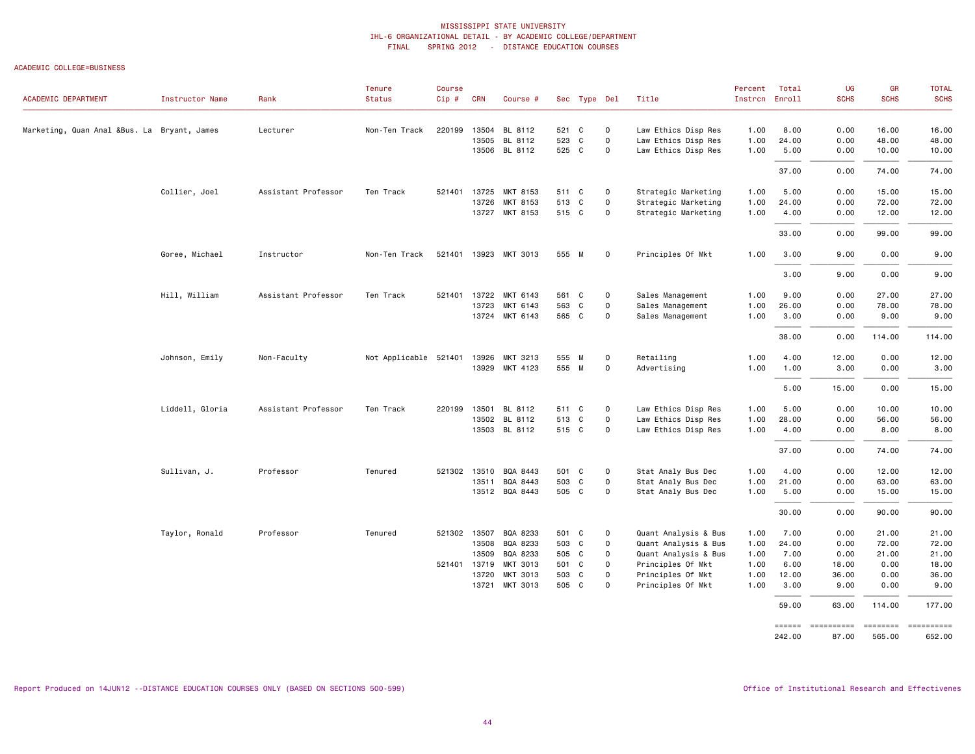#### ACADEMIC COLLEGE=BUSINESS

| ACADEMIC DEPARTMENT                         | Instructor Name | Rank                | Tenure<br>Status      | Course<br>Cip# | <b>CRN</b>   | Course #                   |              | Sec Type Del |                      | Title                                  | Percent<br>Instron Enroll | Total            | UG<br><b>SCHS</b>   | GR<br><b>SCHS</b> | <b>TOTAL</b><br><b>SCHS</b> |
|---------------------------------------------|-----------------|---------------------|-----------------------|----------------|--------------|----------------------------|--------------|--------------|----------------------|----------------------------------------|---------------------------|------------------|---------------------|-------------------|-----------------------------|
| Marketing, Quan Anal &Bus. La Bryant, James |                 | Lecturer            | Non-Ten Track         | 220199         | 13504        | BL 8112                    | 521 C        |              | 0                    | Law Ethics Disp Res                    | 1.00                      | 8.00             | 0.00                | 16.00             | 16.00                       |
|                                             |                 |                     |                       |                | 13505        | BL 8112                    | 523          | C            | 0                    | Law Ethics Disp Res                    | 1.00                      | 24.00            | 0.00                | 48.00             | 48.00                       |
|                                             |                 |                     |                       |                |              | 13506 BL 8112              | 525 C        |              | 0                    | Law Ethics Disp Res                    | 1.00                      | 5.00             | 0.00                | 10.00             | 10.00                       |
|                                             |                 |                     |                       |                |              |                            |              |              |                      |                                        |                           | 37.00            | 0.00                | 74.00             | 74.00                       |
|                                             | Collier, Joel   | Assistant Professor | Ten Track             | 521401         | 13725        | MKT 8153                   | 511 C        |              | 0                    | Strategic Marketing                    | 1.00                      | 5.00             | 0.00                | 15.00             | 15.00                       |
|                                             |                 |                     |                       |                | 13726        | MKT 8153                   | 513          | C            | 0                    | Strategic Marketing                    | 1.00                      | 24.00            | 0.00                | 72.00             | 72.00                       |
|                                             |                 |                     |                       |                |              | 13727 MKT 8153             | 515 C        |              | 0                    | Strategic Marketing                    | 1.00                      | 4.00             | 0.00                | 12.00             | 12.00                       |
|                                             |                 |                     |                       |                |              |                            |              |              |                      |                                        |                           | 33.00            | 0.00                | 99.00             | 99.00                       |
|                                             | Goree, Michael  | Instructor          | Non-Ten Track         | 521401         |              | 13923 MKT 3013             | 555 M        |              | 0                    | Principles Of Mkt                      | 1.00                      | 3.00             | 9.00                | 0.00              | 9.00                        |
|                                             |                 |                     |                       |                |              |                            |              |              |                      |                                        |                           | 3.00             | 9.00                | 0.00              | 9.00                        |
|                                             | Hill, William   | Assistant Professor | Ten Track             | 521401         | 13722        | MKT 6143                   | 561 C        |              | 0                    | Sales Management                       | 1.00                      | 9.00             | 0.00                | 27.00             | 27.00                       |
|                                             |                 |                     |                       |                | 13723        | MKT 6143                   | 563          | C            | 0                    | Sales Management                       | 1.00                      | 26.00            | 0.00                | 78.00             | 78.00                       |
|                                             |                 |                     |                       |                |              | 13724 MKT 6143             | 565 C        |              | 0                    | Sales Management                       | 1.00                      | 3.00             | 0.00                | 9.00              | 9.00                        |
|                                             |                 |                     |                       |                |              |                            |              |              |                      |                                        |                           | 38.00            | 0.00                | 114.00            | 114.00                      |
|                                             | Johnson, Emily  | Non-Faculty         | Not Applicable 521401 |                | 13926        | MKT 3213                   | 555 M        |              | 0                    | Retailing                              | 1.00                      | 4.00             | 12.00               | 0.00              | 12.00                       |
|                                             |                 |                     |                       |                |              | 13929 MKT 4123             | 555 M        |              | 0                    | Advertising                            | 1.00                      | 1.00             | 3.00                | 0.00              | 3.00                        |
|                                             |                 |                     |                       |                |              |                            |              |              |                      |                                        |                           | 5.00             | 15.00               | 0.00              | 15.00                       |
|                                             | Liddell, Gloria | Assistant Professor | Ten Track             | 220199         | 13501        | BL 8112                    | 511 C        |              | 0                    | Law Ethics Disp Res                    | 1.00                      | 5.00             | 0.00                | 10.00             | 10.00                       |
|                                             |                 |                     |                       |                |              | 13502 BL 8112              | 513          | C            | $\mathsf{O}\xspace$  | Law Ethics Disp Res                    | 1.00                      | 28.00            | 0.00                | 56.00             | 56.00                       |
|                                             |                 |                     |                       |                |              | 13503 BL 8112              | 515 C        |              | 0                    | Law Ethics Disp Res                    | 1.00                      | 4.00             | 0.00                | 8.00              | 8.00                        |
|                                             |                 |                     |                       |                |              |                            |              |              |                      |                                        |                           | 37.00            | 0.00                | 74.00             | 74.00                       |
|                                             | Sullivan, J.    | Professor           | Tenured               |                | 521302 13510 | BQA 8443                   | 501 C        |              | 0                    | Stat Analy Bus Dec                     | 1.00                      | 4.00             | 0.00                | 12.00             | 12.00                       |
|                                             |                 |                     |                       |                | 13511        | BQA 8443                   | 503          | C            | 0                    | Stat Analy Bus Dec                     | 1.00                      | 21.00            | 0.00                | 63.00             | 63.00                       |
|                                             |                 |                     |                       |                |              | 13512 BQA 8443             | 505 C        |              | 0                    | Stat Analy Bus Dec                     | 1.00                      | 5.00             | 0.00                | 15.00             | 15.00                       |
|                                             |                 |                     |                       |                |              |                            |              |              |                      |                                        |                           | 30.00            | 0.00                | 90.00             | 90.00                       |
|                                             | Taylor, Ronald  | Professor           | Tenured               |                | 521302 13507 | BQA 8233                   | 501 C        |              | 0                    | Quant Analysis & Bus                   | 1.00                      | 7.00             | 0.00                | 21.00             | 21.00                       |
|                                             |                 |                     |                       |                | 13508        | BQA 8233                   | 503          | C            | 0                    | Quant Analysis & Bus                   | 1.00                      | 24.00            | 0.00                | 72.00             | 72.00                       |
|                                             |                 |                     |                       |                | 13509        | BQA 8233                   | 505 C        |              | 0                    | Quant Analysis & Bus                   | 1.00                      | 7.00             | 0.00                | 21.00             | 21.00                       |
|                                             |                 |                     |                       |                | 521401 13719 | MKT 3013                   | 501          | C            | 0                    | Principles Of Mkt                      | 1.00                      | 6.00             | 18.00               | 0.00              | 18.00                       |
|                                             |                 |                     |                       |                | 13720        | MKT 3013<br>13721 MKT 3013 | 503<br>505 C | C            | $\Omega$<br>$\Omega$ | Principles Of Mkt<br>Principles Of Mkt | 1.00<br>1.00              | 12.00<br>3.00    | 36.00<br>9.00       | 0.00<br>0.00      | 36.00<br>9.00               |
|                                             |                 |                     |                       |                |              |                            |              |              |                      |                                        |                           |                  |                     |                   |                             |
|                                             |                 |                     |                       |                |              |                            |              |              |                      |                                        |                           | 59.00            | 63.00               | 114.00            | 177.00                      |
|                                             |                 |                     |                       |                |              |                            |              |              |                      |                                        |                           | ======<br>242.00 | ==========<br>87.00 | 565.00            | ==========<br>652.00        |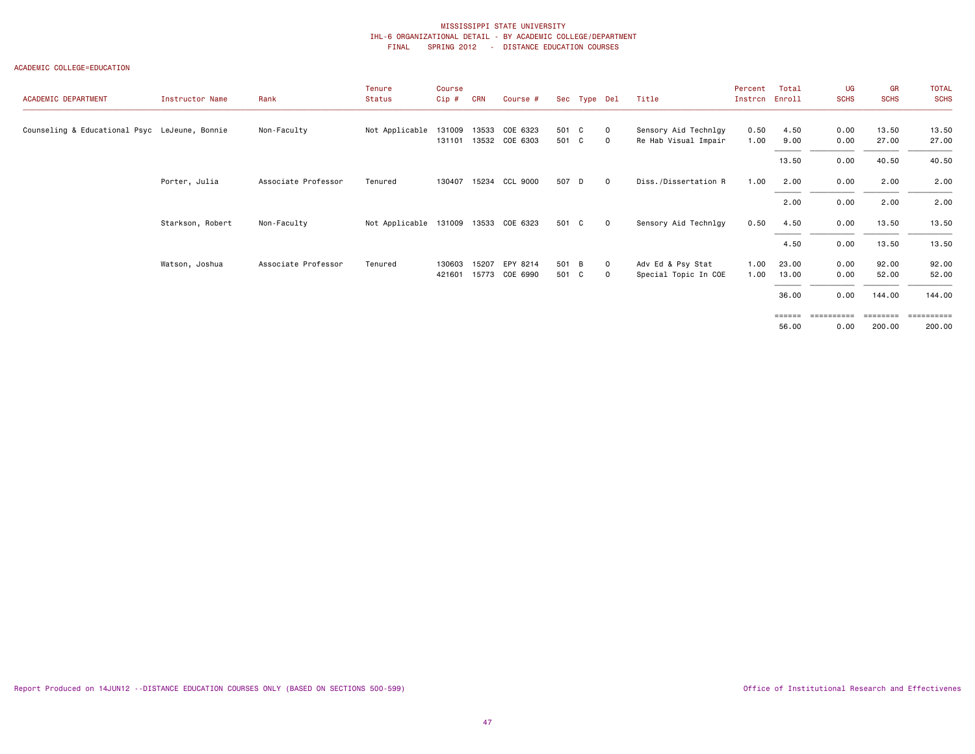| ACADEMIC DEPARTMENT                           | Instructor Name  | Rank                | Tenure<br>Status                     | Course<br>Cip# | <b>CRN</b> | Course #       |       | Sec Type Del |              | Title                | Percent<br>Instrcn | Total<br>Enroll | <b>UG</b><br><b>SCHS</b> | GR<br><b>SCHS</b>  | <b>TOTAL</b><br><b>SCHS</b> |
|-----------------------------------------------|------------------|---------------------|--------------------------------------|----------------|------------|----------------|-------|--------------|--------------|----------------------|--------------------|-----------------|--------------------------|--------------------|-----------------------------|
| Counseling & Educational Psyc LeJeune, Bonnie |                  | Non-Faculty         | Not Applicable                       | 131009         |            | 13533 COE 6323 | 501 C |              | $\circ$      | Sensory Aid Technlgy | 0.50               | 4.50            | 0.00                     | 13.50              | 13.50                       |
|                                               |                  |                     |                                      | 131101         |            | 13532 COE 6303 | 501 C |              | $\circ$      | Re Hab Visual Impair | 1.00               | 9.00            | 0.00                     | 27.00              | 27.00                       |
|                                               |                  |                     |                                      |                |            |                |       |              |              |                      |                    | 13.50           | 0.00                     | 40.50              | 40.50                       |
|                                               | Porter, Julia    | Associate Professor | Tenured                              | 130407         |            | 15234 CCL 9000 | 507 D |              | $\mathbf{O}$ | Diss./Dissertation R | 1.00               | 2.00            | 0.00                     | 2.00               | 2.00                        |
|                                               |                  |                     |                                      |                |            |                |       |              |              |                      |                    | 2.00            | 0.00                     | 2.00               | 2.00                        |
|                                               | Starkson, Robert | Non-Faculty         | Not Applicable 131009 13533 COE 6323 |                |            |                | 501 C |              | $\mathbf{0}$ | Sensory Aid Technlgy | 0.50               | 4.50            | 0.00                     | 13.50              | 13.50                       |
|                                               |                  |                     |                                      |                |            |                |       |              |              |                      |                    | 4.50            | 0.00                     | 13.50              | 13.50                       |
|                                               | Watson, Joshua   | Associate Professor | Tenured                              | 130603         | 15207      | EPY 8214       | 501 B |              | $\circ$      | Adv Ed & Psy Stat    | 1.00               | 23.00           | 0.00                     | 92.00              | 92.00                       |
|                                               |                  |                     |                                      | 421601         |            | 15773 COE 6990 | 501 C |              | $\Omega$     | Special Topic In COE | 1.00               | 13.00           | 0.00                     | 52.00              | 52.00                       |
|                                               |                  |                     |                                      |                |            |                |       |              |              |                      |                    | 36.00           | 0.00                     | 144.00             | 144.00                      |
|                                               |                  |                     |                                      |                |            |                |       |              |              |                      |                    | ======<br>56.00 | ==========<br>0.00       | ========<br>200.00 | ==========<br>200.00        |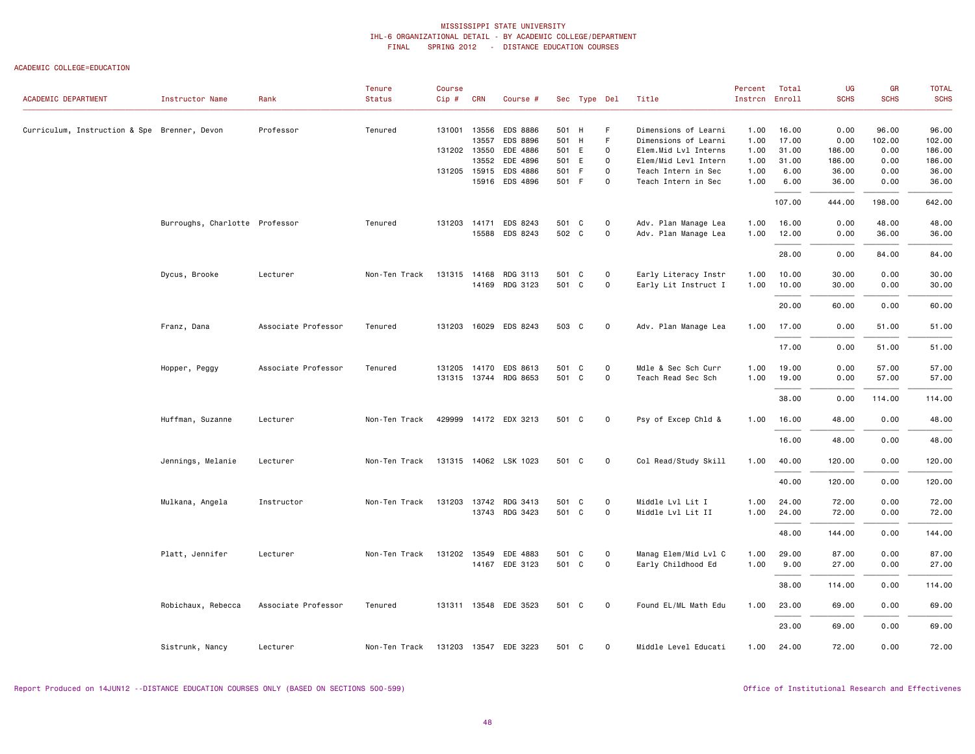| ACADEMIC DEPARTMENT                          | Instructor Name                | Rank                | Tenure<br>Status | Course<br>Cip# | <b>CRN</b>   | Course #              |       | Sec Type Del |              | Title                | Percent<br>Instron Enroll | Total  | UG<br><b>SCHS</b> | GR<br><b>SCHS</b> | <b>TOTAL</b><br><b>SCHS</b> |
|----------------------------------------------|--------------------------------|---------------------|------------------|----------------|--------------|-----------------------|-------|--------------|--------------|----------------------|---------------------------|--------|-------------------|-------------------|-----------------------------|
|                                              |                                |                     |                  |                |              |                       |       |              |              |                      |                           |        |                   |                   |                             |
| Curriculum, Instruction & Spe Brenner, Devon |                                | Professor           | Tenured          |                | 131001 13556 | <b>EDS 8886</b>       | 501 H |              | F            | Dimensions of Learni | 1.00                      | 16.00  | 0.00              | 96.00             | 96.00                       |
|                                              |                                |                     |                  |                | 13557        | EDS 8896              | 501 H |              | $\mathsf F$  | Dimensions of Learni | 1.00                      | 17.00  | 0.00              | 102.00            | 102.00                      |
|                                              |                                |                     |                  |                | 131202 13550 | EDE 4886              | 501 E |              | $\mathsf 0$  | Elem.Mid Lvl Interns | 1.00                      | 31.00  | 186.00            | 0.00              | 186.00                      |
|                                              |                                |                     |                  |                | 13552        | EDE 4896              | 501   | E            | $\mathsf{O}$ | Elem/Mid Levl Intern | 1.00                      | 31.00  | 186.00            | 0.00              | 186.00                      |
|                                              |                                |                     |                  |                | 131205 15915 | EDS 4886              | 501   | F            | $\mathsf{O}$ | Teach Intern in Sec  | 1.00                      | 6.00   | 36.00             | 0.00              | 36.00                       |
|                                              |                                |                     |                  |                | 15916        | EDS 4896              | 501 F |              | $\mathsf{O}$ | Teach Intern in Sec  | 1.00                      | 6.00   | 36.00             | 0.00              | 36.00                       |
|                                              |                                |                     |                  |                |              |                       |       |              |              |                      |                           | 107.00 | 444.00            | 198.00            | 642.00                      |
|                                              | Burroughs, Charlotte Professor |                     | Tenured          | 131203         | 14171        | EDS 8243              | 501 C |              | $\mathsf{O}$ | Adv. Plan Manage Lea | 1.00                      | 16.00  | 0.00              | 48.00             | 48.00                       |
|                                              |                                |                     |                  |                | 15588        | EDS 8243              | 502 C |              | $\mathsf{O}$ | Adv. Plan Manage Lea | 1.00                      | 12.00  | 0.00              | 36.00             | 36.00                       |
|                                              |                                |                     |                  |                |              |                       |       |              |              |                      |                           | 28.00  | 0.00              | 84.00             | 84.00                       |
|                                              | Dycus, Brooke                  | Lecturer            | Non-Ten Track    |                | 131315 14168 | RDG 3113              | 501   | $\mathbf{C}$ | $\mathsf{O}$ | Early Literacy Instr | 1.00                      | 10.00  | 30.00             | 0.00              | 30.00                       |
|                                              |                                |                     |                  |                |              | 14169 RDG 3123        | 501 C |              | $\mathsf{O}$ | Early Lit Instruct I | 1.00                      | 10.00  | 30.00             | 0.00              | 30.00                       |
|                                              |                                |                     |                  |                |              |                       |       |              |              |                      |                           | 20.00  | 60.00             | 0.00              | 60.00                       |
|                                              | Franz, Dana                    | Associate Professor | Tenured          | 131203         |              | 16029 EDS 8243        | 503 C |              | 0            | Adv. Plan Manage Lea | 1.00                      | 17.00  | 0.00              | 51.00             | 51.00                       |
|                                              |                                |                     |                  |                |              |                       |       |              |              |                      |                           | 17.00  | 0.00              | 51.00             | 51.00                       |
|                                              | Hopper, Peggy                  | Associate Professor | Tenured          | 131205         | 14170        | EDS 8613              | 501   | $\mathbf{C}$ | $\mathsf{O}$ | Mdle & Sec Sch Curr  | 1.00                      | 19.00  | 0.00              | 57.00             | 57.00                       |
|                                              |                                |                     |                  |                |              | 131315 13744 RDG 8653 | 501 C |              | $\mathsf{O}$ | Teach Read Sec Sch   | 1.00                      | 19.00  | 0.00              | 57.00             | 57.00                       |
|                                              |                                |                     |                  |                |              |                       |       |              |              |                      |                           | 38.00  | 0.00              | 114.00            | 114.00                      |
|                                              | Huffman, Suzanne               | Lecturer            | Non-Ten Track    |                |              | 429999 14172 EDX 3213 | 501 C |              | 0            | Psy of Excep Chld &  | 1.00                      | 16.00  | 48.00             | 0.00              | 48.00                       |
|                                              |                                |                     |                  |                |              |                       |       |              |              |                      |                           | 16.00  | 48.00             | 0.00              | 48.00                       |
|                                              | Jennings, Melanie              | Lecturer            | Non-Ten Track    |                |              | 131315 14062 LSK 1023 | 501 C |              | $\mathsf{O}$ | Col Read/Study Skill | 1.00                      | 40.00  | 120.00            | 0.00              | 120.00                      |
|                                              |                                |                     |                  |                |              |                       |       |              |              |                      |                           | 40.00  | 120.00            | 0.00              | 120.00                      |
|                                              | Mulkana, Angela                | Instructor          | Non-Ten Track    | 131203         |              | 13742 RDG 3413        | 501 C |              | $\mathsf{O}$ | Middle Lvl Lit I     | 1.00                      | 24.00  | 72.00             | 0.00              | 72.00                       |
|                                              |                                |                     |                  |                |              | 13743 RDG 3423        | 501 C |              | $\mathsf{O}$ | Middle Lvl Lit II    | 1.00                      | 24.00  | 72.00             | 0.00              | 72.00                       |
|                                              |                                |                     |                  |                |              |                       |       |              |              |                      |                           |        |                   |                   |                             |
|                                              |                                |                     |                  |                |              |                       |       |              |              |                      |                           | 48.00  | 144.00            | 0.00              | 144.00                      |
|                                              | Platt, Jennifer                | Lecturer            | Non-Ten Track    | 131202 13549   |              | EDE 4883              | 501   | $\mathbf{C}$ | $\mathsf{O}$ | Manag Elem/Mid Lvl C | 1.00                      | 29.00  | 87.00             | 0.00              | 87.00                       |
|                                              |                                |                     |                  |                |              | 14167 EDE 3123        | 501 C |              | $\mathsf{O}$ | Early Childhood Ed   | 1.00                      | 9.00   | 27.00             | 0.00              | 27.00                       |
|                                              |                                |                     |                  |                |              |                       |       |              |              |                      |                           | 38.00  | 114.00            | 0.00              | 114.00                      |
|                                              | Robichaux, Rebecca             | Associate Professor | Tenured          |                |              | 131311 13548 EDE 3523 | 501 C |              | 0            | Found EL/ML Math Edu | 1.00                      | 23.00  | 69.00             | 0.00              | 69.00                       |
|                                              |                                |                     |                  |                |              |                       |       |              |              |                      |                           | 23.00  | 69.00             | 0.00              | 69.00                       |
|                                              | Sistrunk, Nancy                | Lecturer            | Non-Ten Track    |                |              | 131203 13547 EDE 3223 | 501 C |              | $\mathsf{O}$ | Middle Level Educati | 1.00                      | 24.00  | 72.00             | 0.00              | 72.00                       |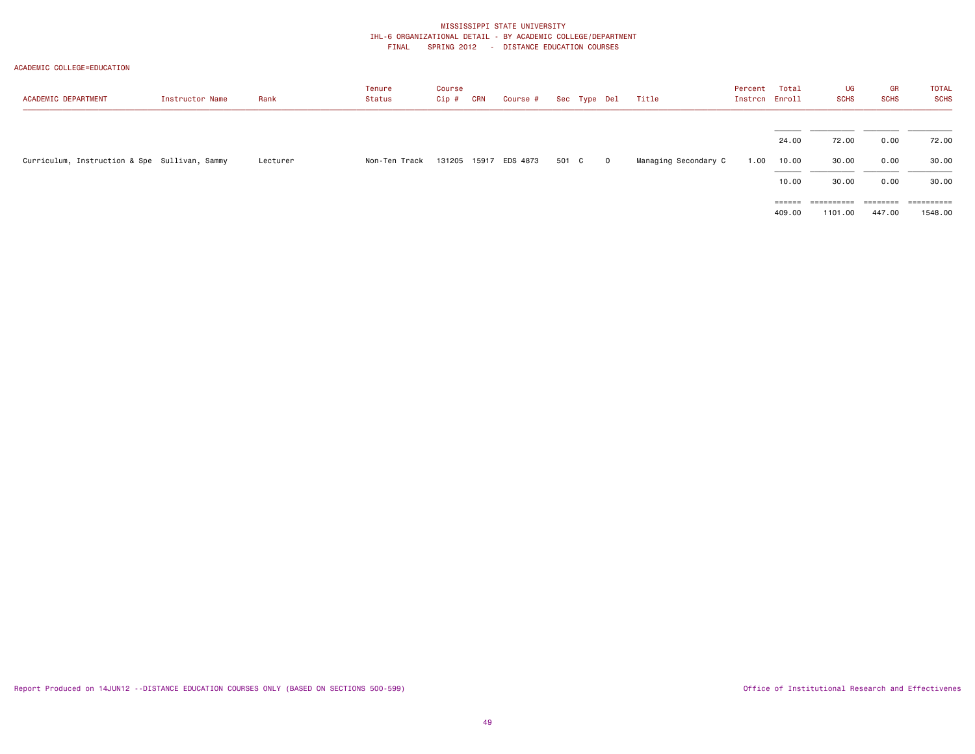| <b>ACADEMIC DEPARTMENT</b>                    | Instructor Name | Rank     | Tenure<br>Status | Course<br>Cip # | CRN | Course # |       |             | Sec Type Del Title   | Percent<br>Instrcn Enroll | Total            | UG<br><b>SCHS</b>     | GR<br><b>SCHS</b>           | <b>TOTAL</b><br><b>SCHS</b> |
|-----------------------------------------------|-----------------|----------|------------------|-----------------|-----|----------|-------|-------------|----------------------|---------------------------|------------------|-----------------------|-----------------------------|-----------------------------|
| Curriculum, Instruction & Spe Sullivan, Sammy |                 | Lecturer | Non-Ten Track    | 131205 15917    |     | EDS 4873 | 501 C | $\mathbf 0$ | Managing Secondary C | 1.00                      | 24.00<br>10.00   | 72.00<br>30.00        | 0.00<br>0.00                | 72.00<br>30.00              |
|                                               |                 |          |                  |                 |     |          |       |             |                      |                           | 10.00            | 30.00                 | 0.00                        | 30.00                       |
|                                               |                 |          |                  |                 |     |          |       |             |                      |                           | ======<br>409.00 | ==========<br>1101.00 | $=$ = = = = = = =<br>447.00 | 1548.00                     |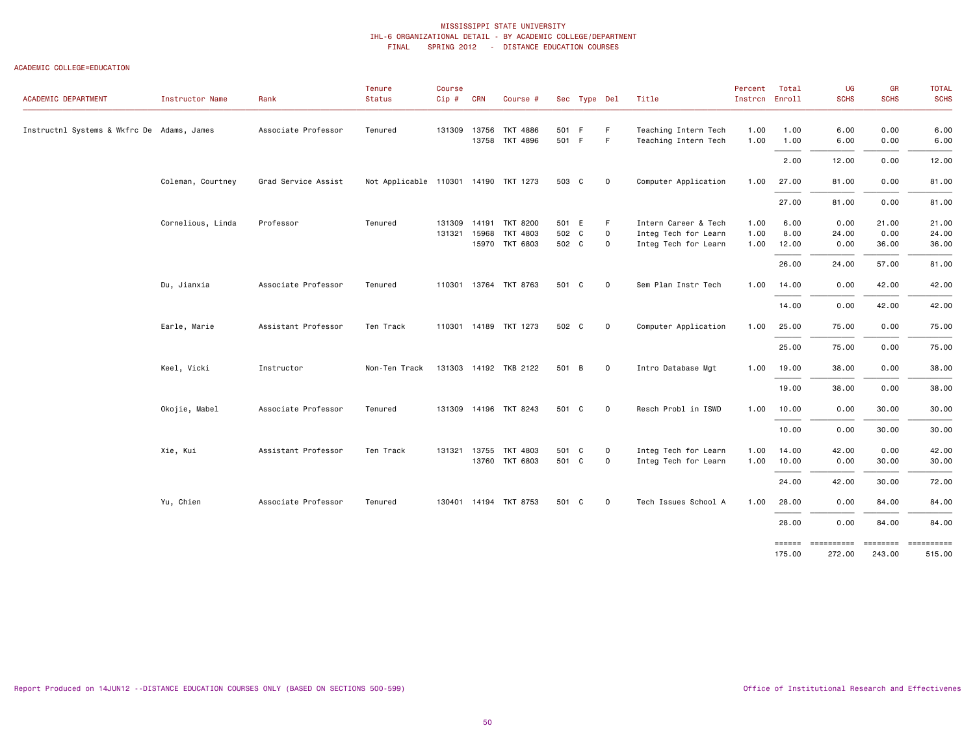# ACADEMIC COLLEGE=EDUCATION

| ACADEMIC DEPARTMENT                        | Instructor Name   | Rank                | Tenure<br><b>Status</b>              | Course<br>$Cip \#$ | <b>CRN</b>   | Course #              |       | Sec Type Del |                     | Title                | Percent<br>Instron Enroll | Total            | UG<br><b>SCHS</b>    | GR<br><b>SCHS</b>  | <b>TOTAL</b><br><b>SCHS</b> |
|--------------------------------------------|-------------------|---------------------|--------------------------------------|--------------------|--------------|-----------------------|-------|--------------|---------------------|----------------------|---------------------------|------------------|----------------------|--------------------|-----------------------------|
| Instructnl Systems & Wkfrc De Adams, James |                   | Associate Professor | Tenured                              | 131309             | 13756        | TKT 4886              | 501 F |              | F.                  | Teaching Intern Tech | 1.00                      | 1.00             | 6.00                 | 0.00               | 6.00                        |
|                                            |                   |                     |                                      |                    |              | 13758 TKT 4896        | 501 F |              | F                   | Teaching Intern Tech | 1.00                      | 1.00             | 6.00                 | 0.00               | 6.00                        |
|                                            |                   |                     |                                      |                    |              |                       |       |              |                     |                      |                           | 2.00             | 12.00                | 0.00               | 12.00                       |
|                                            | Coleman, Courtney | Grad Service Assist | Not Applicable 110301 14190 TKT 1273 |                    |              |                       | 503 C |              | $\mathbf 0$         | Computer Application | 1.00                      | 27.00            | 81.00                | 0.00               | 81.00                       |
|                                            |                   |                     |                                      |                    |              |                       |       |              |                     |                      |                           | 27.00            | 81.00                | 0.00               | 81.00                       |
|                                            | Cornelious, Linda | Professor           | Tenured                              | 131309             | 14191        | <b>TKT 8200</b>       | 501 E |              | F.                  | Intern Career & Tech | 1.00                      | 6.00             | 0.00                 | 21.00              | 21.00                       |
|                                            |                   |                     |                                      | 131321             | 15968        | TKT 4803              | 502 C |              | $\mathsf{O}\xspace$ | Integ Tech for Learn | 1.00                      | 8.00             | 24.00                | 0.00               | 24.00                       |
|                                            |                   |                     |                                      |                    |              | 15970 TKT 6803        | 502 C |              | $\mathbf 0$         | Integ Tech for Learn | 1.00                      | 12.00            | 0.00                 | 36.00              | 36.00                       |
|                                            |                   |                     |                                      |                    |              |                       |       |              |                     |                      |                           | 26.00            | 24.00                | 57.00              | 81.00                       |
|                                            | Du, Jianxia       | Associate Professor | Tenured                              |                    |              | 110301 13764 TKT 8763 | 501 C |              | $\mathbf 0$         | Sem Plan Instr Tech  | 1.00                      | 14.00            | 0.00                 | 42.00              | 42.00                       |
|                                            |                   |                     |                                      |                    |              |                       |       |              |                     |                      |                           | 14.00            | 0.00                 | 42.00              | 42.00                       |
|                                            | Earle, Marie      | Assistant Professor | Ten Track                            | 110301             |              | 14189 TKT 1273        | 502 C |              | $\circ$             | Computer Application | 1.00                      | 25.00            | 75.00                | 0.00               | 75.00                       |
|                                            |                   |                     |                                      |                    |              |                       |       |              |                     |                      |                           | 25.00            | 75.00                | 0.00               | 75.00                       |
|                                            |                   |                     |                                      |                    |              |                       |       |              |                     |                      |                           |                  |                      |                    |                             |
|                                            | Keel, Vicki       | Instructor          | Non-Ten Track                        |                    |              | 131303 14192 TKB 2122 | 501 B |              | $\mathbf 0$         | Intro Database Mgt   | 1.00                      | 19.00            | 38.00                | 0.00               | 38.00                       |
|                                            |                   |                     |                                      |                    |              |                       |       |              |                     |                      |                           | 19.00            | 38.00                | 0.00               | 38.00                       |
|                                            | Okojie, Mabel     | Associate Professor | Tenured                              |                    |              | 131309 14196 TKT 8243 | 501 C |              | $\mathbf 0$         | Resch Probl in ISWD  | 1.00                      | 10.00            | 0.00                 | 30.00              | 30.00                       |
|                                            |                   |                     |                                      |                    |              |                       |       |              |                     |                      |                           | 10.00            | 0.00                 | 30.00              | 30.00                       |
|                                            | Xie, Kui          | Assistant Professor | Ten Track                            |                    | 131321 13755 | TKT 4803              | 501   | C            | $\mathsf{o}$        | Integ Tech for Learn | 1.00                      | 14.00            | 42.00                | 0.00               | 42.00                       |
|                                            |                   |                     |                                      |                    |              | 13760 TKT 6803        | 501 C |              | $\mathbf 0$         | Integ Tech for Learn | 1.00                      | 10.00            | 0.00                 | 30.00              | 30.00                       |
|                                            |                   |                     |                                      |                    |              |                       |       |              |                     |                      |                           | 24.00            | 42.00                | 30.00              | 72.00                       |
|                                            | Yu, Chien         | Associate Professor | Tenured                              |                    |              | 130401 14194 TKT 8753 | 501 C |              | $\circ$             | Tech Issues School A | 1.00                      | 28.00            | 0.00                 | 84.00              | 84.00                       |
|                                            |                   |                     |                                      |                    |              |                       |       |              |                     |                      |                           | 28.00            | 0.00                 | 84.00              | 84.00                       |
|                                            |                   |                     |                                      |                    |              |                       |       |              |                     |                      |                           | ======<br>175.00 | essessesse<br>272.00 | ========<br>243.00 | 515.00                      |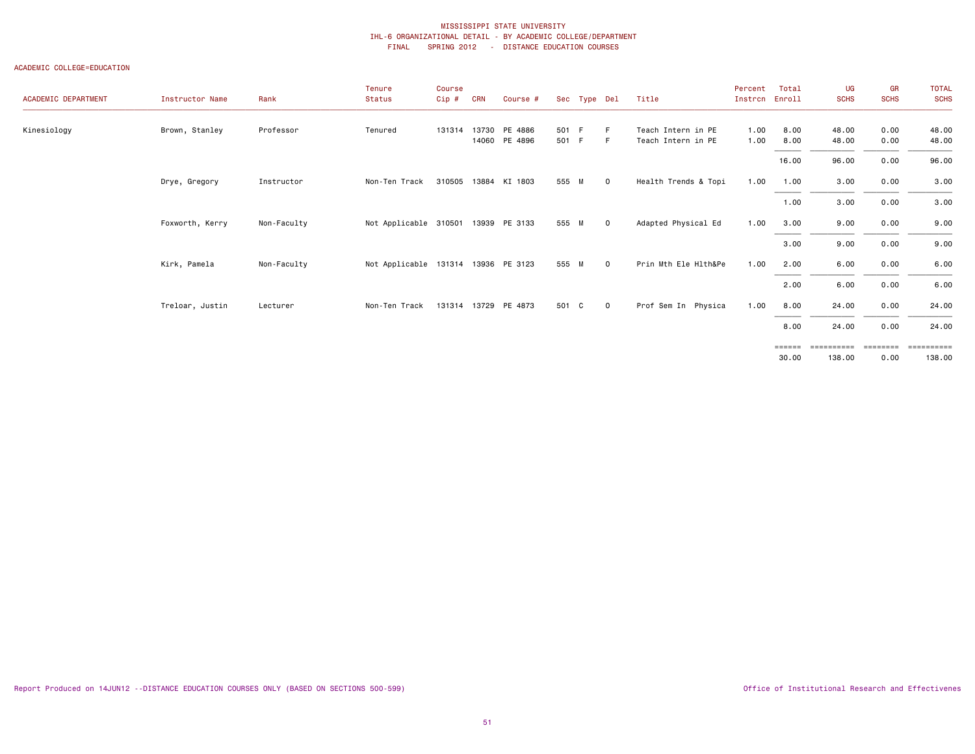| ACADEMIC DEPARTMENT | Instructor Name | Rank        | Tenure<br><b>Status</b>             | Course<br>Cip # | <b>CRN</b> | Course #             |       | Sec Type Del |             | Title                | Percent<br>Instron | Total<br>Enroll | UG<br><b>SCHS</b> | GR<br><b>SCHS</b> | <b>TOTAL</b><br><b>SCHS</b> |
|---------------------|-----------------|-------------|-------------------------------------|-----------------|------------|----------------------|-------|--------------|-------------|----------------------|--------------------|-----------------|-------------------|-------------------|-----------------------------|
| Kinesiology         | Brown, Stanley  | Professor   | Tenured                             | 131314          |            | 13730 PE 4886        | 501 F |              | F.          | Teach Intern in PE   | 1.00               | 8.00            | 48.00             | 0.00              | 48.00                       |
|                     |                 |             |                                     |                 |            | 14060 PE 4896        | 501 F |              | -F          | Teach Intern in PE   | 1.00               | 8.00            | 48.00             | 0.00              | 48.00                       |
|                     |                 |             |                                     |                 |            |                      |       |              |             |                      |                    | 16.00           | 96.00             | 0.00              | 96.00                       |
|                     | Drye, Gregory   | Instructor  | Non-Ten Track                       |                 |            | 310505 13884 KI 1803 | 555 M |              | $\mathbf 0$ | Health Trends & Topi | 1.00               | 1.00            | 3.00              | 0.00              | 3.00                        |
|                     |                 |             |                                     |                 |            |                      |       |              |             |                      |                    | 1.00            | 3.00              | 0.00              | 3.00                        |
|                     | Foxworth, Kerry | Non-Faculty | Not Applicable 310501 13939 PE 3133 |                 |            |                      | 555 M |              | $\Omega$    | Adapted Physical Ed  | 1.00               | 3.00            | 9.00              | 0.00              | 9.00                        |
|                     |                 |             |                                     |                 |            |                      |       |              |             |                      |                    | 3.00            | 9.00              | 0.00              | 9.00                        |
|                     | Kirk, Pamela    | Non-Faculty | Not Applicable 131314 13936 PE 3123 |                 |            |                      | 555 M |              | $\mathbf 0$ | Prin Mth Ele Hlth&Pe | 1.00               | 2.00            | 6.00              | 0.00              | 6.00                        |
|                     |                 |             |                                     |                 |            |                      |       |              |             |                      |                    | 2.00            | 6.00              | 0.00              | 6.00                        |
|                     | Treloar, Justin | Lecturer    | Non-Ten Track                       |                 |            | 131314 13729 PE 4873 | 501 C |              | $\mathbf 0$ | Prof Sem In Physica  | 1.00               | 8.00            | 24.00             | 0.00              | 24.00                       |
|                     |                 |             |                                     |                 |            |                      |       |              |             |                      |                    | 8.00            | 24.00             | 0.00              | 24.00                       |
|                     |                 |             |                                     |                 |            |                      |       |              |             |                      |                    | ======          | ==========        | ========          | ==========                  |
|                     |                 |             |                                     |                 |            |                      |       |              |             |                      |                    | 30.00           | 138.00            | 0.00              | 138.00                      |
|                     |                 |             |                                     |                 |            |                      |       |              |             |                      |                    |                 |                   |                   |                             |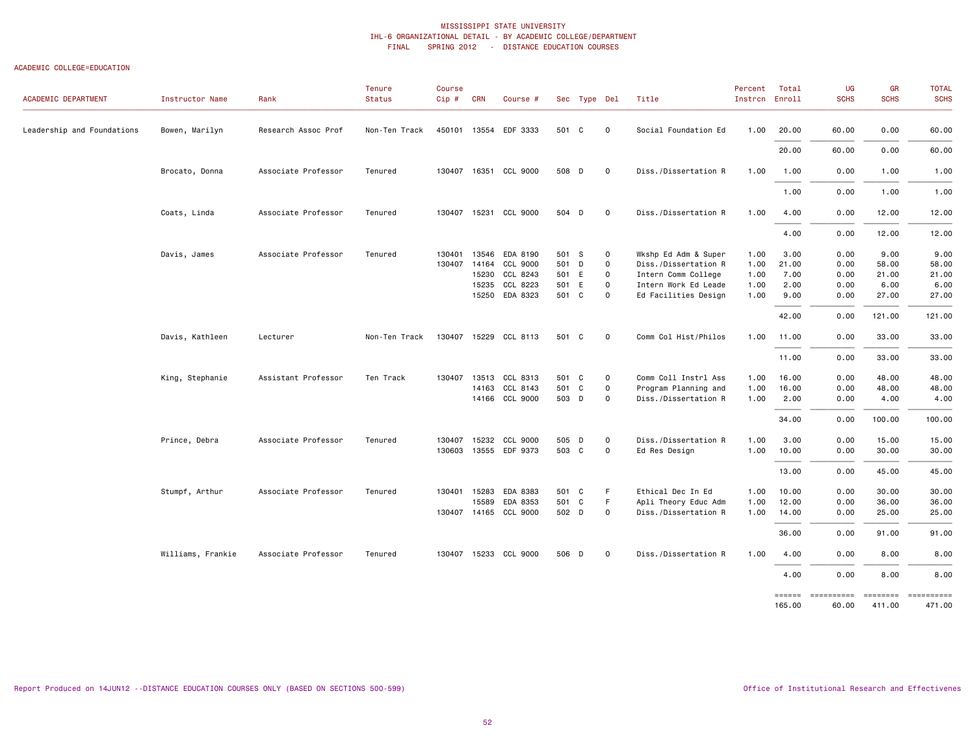| ACADEMIC DEPARTMENT        | Instructor Name   | Rank                | Tenure<br><b>Status</b> | Course<br>Cip # | <b>CRN</b> | Course #              |       | Sec Type Del |                     | Title                | Percent<br>Instron Enroll | Total                   | UG<br><b>SCHS</b>   | GR<br><b>SCHS</b>  | <b>TOTAL</b><br><b>SCHS</b> |
|----------------------------|-------------------|---------------------|-------------------------|-----------------|------------|-----------------------|-------|--------------|---------------------|----------------------|---------------------------|-------------------------|---------------------|--------------------|-----------------------------|
| Leadership and Foundations | Bowen, Marilyn    | Research Assoc Prof | Non-Ten Track           | 450101          |            | 13554 EDF 3333        | 501 C |              | $\mathsf{O}\xspace$ | Social Foundation Ed | 1.00                      | 20.00                   | 60.00               | 0.00               | 60.00                       |
|                            |                   |                     |                         |                 |            |                       |       |              |                     |                      |                           | 20.00                   | 60.00               | 0.00               | 60.00                       |
|                            | Brocato, Donna    | Associate Professor | Tenured                 | 130407          |            | 16351 CCL 9000        | 508 D |              | $\mathbf 0$         | Diss./Dissertation R | 1.00                      | 1.00                    | 0.00                | 1.00               | 1.00                        |
|                            |                   |                     |                         |                 |            |                       |       |              |                     |                      |                           | 1.00                    | 0.00                | 1.00               | 1.00                        |
|                            | Coats, Linda      | Associate Professor | Tenured                 | 130407          |            | 15231 CCL 9000        | 504 D |              | $\mathsf{O}\xspace$ | Diss./Dissertation R | 1.00                      | 4.00                    | 0.00                | 12.00              | 12.00                       |
|                            |                   |                     |                         |                 |            |                       |       |              |                     |                      |                           | 4.00                    | 0.00                | 12.00              | 12.00                       |
|                            | Davis, James      | Associate Professor | Tenured                 | 130401          | 13546      | EDA 8190              | 501 S |              | $\mathsf{o}$        | Wkshp Ed Adm & Super | 1.00                      | 3.00                    | 0.00                | 9.00               | 9.00                        |
|                            |                   |                     |                         | 130407          | 14164      | CCL 9000              | 501   | D            | $\mathsf{o}$        | Diss./Dissertation R | 1.00                      | 21.00                   | 0.00                | 58.00              | 58.00                       |
|                            |                   |                     |                         |                 | 15230      | CCL 8243              | 501   | E            | $\mathsf{o}$        | Intern Comm College  | 1.00                      | 7.00                    | 0.00                | 21.00              | 21.00                       |
|                            |                   |                     |                         |                 | 15235      | CCL 8223              | 501   | E            | $\mathsf{O}\xspace$ | Intern Work Ed Leade | 1.00                      | 2.00                    | 0.00                | 6.00               | 6.00                        |
|                            |                   |                     |                         |                 |            | 15250 EDA 8323        | 501 C |              | $\Omega$            | Ed Facilities Design | 1.00                      | 9.00                    | 0.00                | 27.00              | 27.00                       |
|                            |                   |                     |                         |                 |            |                       |       |              |                     |                      |                           | 42.00                   | 0.00                | 121.00             | 121.00                      |
|                            | Davis, Kathleen   | Lecturer            | Non-Ten Track           |                 |            | 130407 15229 CCL 8113 | 501 C |              | $\mathbf 0$         | Comm Col Hist/Philos | 1.00                      | 11.00                   | 0.00                | 33.00              | 33.00                       |
|                            |                   |                     |                         |                 |            |                       |       |              |                     |                      |                           | 11.00                   | 0.00                | 33.00              | 33.00                       |
|                            | King, Stephanie   | Assistant Professor | Ten Track               | 130407          | 13513      | CCL 8313              | 501 C |              | $\mathsf{O}$        | Comm Coll Instrl Ass | 1.00                      | 16.00                   | 0.00                | 48.00              | 48.00                       |
|                            |                   |                     |                         |                 |            | 14163 CCL 8143        | 501   | C            | $\mathsf{O}\xspace$ | Program Planning and | 1.00                      | 16.00                   | 0.00                | 48.00              | 48.00                       |
|                            |                   |                     |                         |                 |            | 14166 CCL 9000        | 503 D |              | $\Omega$            | Diss./Dissertation R | 1.00                      | 2.00                    | 0.00                | 4.00               | 4.00                        |
|                            |                   |                     |                         |                 |            |                       |       |              |                     |                      |                           | 34.00                   | 0.00                | 100.00             | 100.00                      |
|                            | Prince, Debra     | Associate Professor | Tenured                 | 130407          | 15232      | CCL 9000              | 505 D |              | $\mathsf{O}$        | Diss./Dissertation R | 1.00                      | 3.00                    | 0.00                | 15.00              | 15.00                       |
|                            |                   |                     |                         | 130603          |            | 13555 EDF 9373        | 503 C |              | $\mathsf{O}\xspace$ | Ed Res Design        | 1.00                      | 10.00                   | 0.00                | 30.00              | 30.00                       |
|                            |                   |                     |                         |                 |            |                       |       |              |                     |                      |                           | 13.00                   | 0.00                | 45.00              | 45.00                       |
|                            | Stumpf, Arthur    | Associate Professor | Tenured                 | 130401          | 15283      | EDA 8383              | 501 C |              | F.                  | Ethical Dec In Ed    | 1.00                      | 10.00                   | 0.00                | 30.00              | 30.00                       |
|                            |                   |                     |                         |                 | 15589      | EDA 8353              | 501   | C            | F                   | Apli Theory Educ Adm | 1.00                      | 12.00                   | 0.00                | 36.00              | 36.00                       |
|                            |                   |                     |                         |                 |            | 130407 14165 CCL 9000 | 502 D |              | $\circ$             | Diss./Dissertation R | 1.00                      | 14.00                   | 0.00                | 25.00              | 25.00                       |
|                            |                   |                     |                         |                 |            |                       |       |              |                     |                      |                           | 36.00                   | 0.00                | 91.00              | 91.00                       |
|                            | Williams, Frankie | Associate Professor | Tenured                 | 130407          |            | 15233 CCL 9000        | 506 D |              | 0                   | Diss./Dissertation R | 1.00                      | 4.00                    | 0.00                | 8.00               | 8.00                        |
|                            |                   |                     |                         |                 |            |                       |       |              |                     |                      |                           | 4.00                    | 0.00                | 8.00               | 8.00                        |
|                            |                   |                     |                         |                 |            |                       |       |              |                     |                      |                           | <b>EEEEEE</b><br>165.00 | ==========<br>60.00 | ========<br>411.00 | ==========<br>471.00        |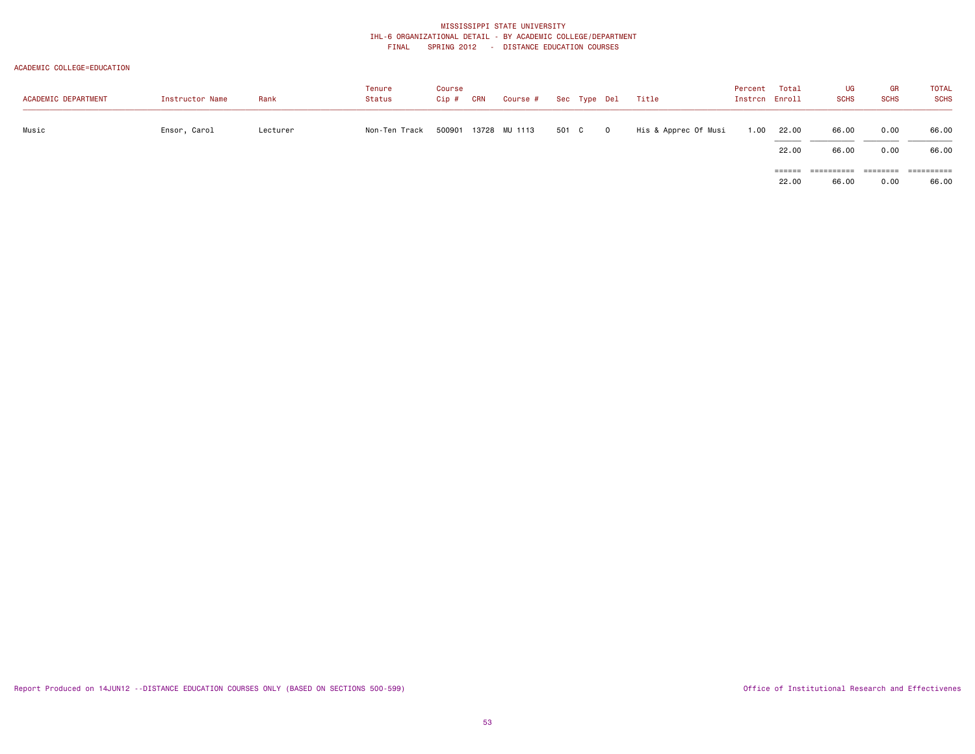| <b>ACADEMIC DEPARTMENT</b> | Instructor Name | Rank     | Tenure<br>Status | Course<br>Cip # | <b>CRN</b> | Course #      |       | Sec Type Del   | Title                | Percent<br>Instrcn Enroll | Total | UG<br><b>SCHS</b>   | GR<br><b>SCHS</b> | <b>TOTAL</b><br><b>SCHS</b> |
|----------------------------|-----------------|----------|------------------|-----------------|------------|---------------|-------|----------------|----------------------|---------------------------|-------|---------------------|-------------------|-----------------------------|
| Music                      | Ensor, Carol    | Lecturer | Non-Ten Track    | 500901          |            | 13728 MU 1113 | 501 C | $\overline{0}$ | His & Apprec Of Musi | 1.00                      | 22.00 | 66.00               | 0.00              | 66.00                       |
|                            |                 |          |                  |                 |            |               |       |                |                      |                           | 22.00 | 66.00               | 0.00              | 66.00                       |
|                            |                 |          |                  |                 |            |               |       |                |                      |                           | 22.00 | ==========<br>66.00 | ========<br>0.00  | ==========<br>66.00         |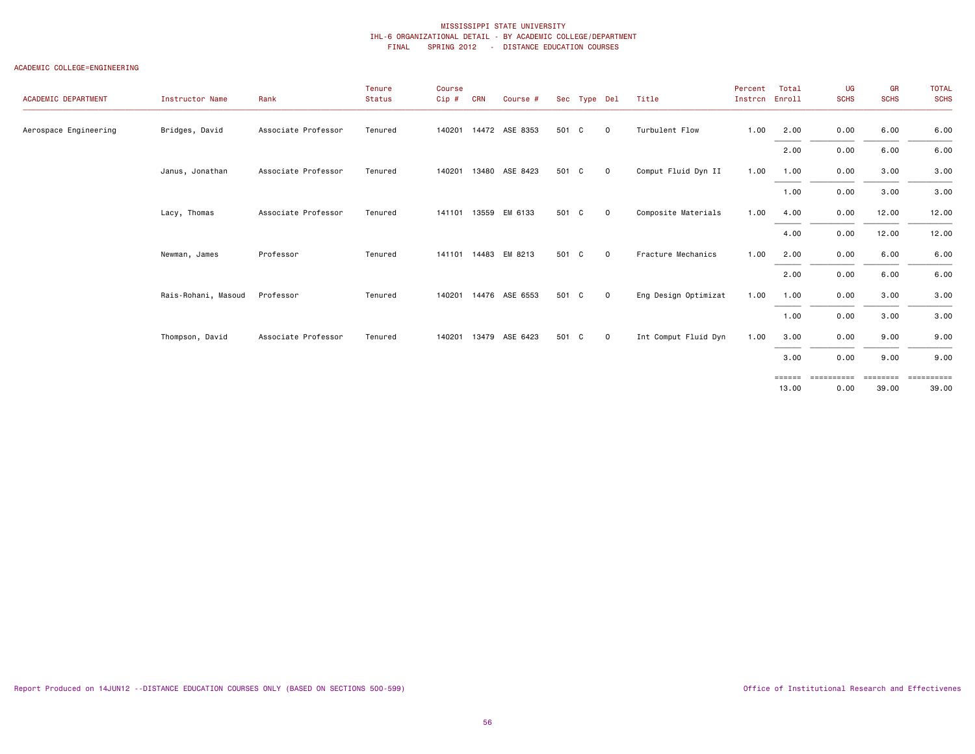| <b>ACADEMIC DEPARTMENT</b> | Instructor Name     | Rank                | Tenure<br>Status | Course<br>Cip# | <b>CRN</b> | Course #              |       | Sec Type Del |              | Title                | Percent<br>Instron Enroll | Total           | UG<br><b>SCHS</b>  | GR<br><b>SCHS</b> | <b>TOTAL</b><br><b>SCHS</b> |
|----------------------------|---------------------|---------------------|------------------|----------------|------------|-----------------------|-------|--------------|--------------|----------------------|---------------------------|-----------------|--------------------|-------------------|-----------------------------|
| Aerospace Engineering      | Bridges, David      | Associate Professor | Tenured          |                |            | 140201 14472 ASE 8353 | 501 C |              | $\mathbf 0$  | Turbulent Flow       | 1.00                      | 2.00            | 0.00               | 6.00              | 6.00                        |
|                            |                     |                     |                  |                |            |                       |       |              |              |                      |                           | 2.00            | 0.00               | 6.00              | 6.00                        |
|                            | Janus, Jonathan     | Associate Professor | Tenured          |                |            | 140201 13480 ASE 8423 | 501 C |              | $\mathbf{O}$ | Comput Fluid Dyn II  | 1.00                      | 1.00            | 0.00               | 3.00              | 3.00                        |
|                            |                     |                     |                  |                |            |                       |       |              |              |                      |                           | 1.00            | 0.00               | 3.00              | 3.00                        |
|                            | Lacy, Thomas        | Associate Professor | Tenured          | 141101         |            | 13559 EM 6133         | 501 C |              | $\Omega$     | Composite Materials  | 1.00                      | 4.00            | 0.00               | 12.00             | 12.00                       |
|                            |                     |                     |                  |                |            |                       |       |              |              |                      |                           | 4.00            | 0.00               | 12.00             | 12.00                       |
|                            | Newman, James       | Professor           | Tenured          |                |            | 141101 14483 EM 8213  | 501 C |              | $\mathbf{O}$ | Fracture Mechanics   | 1.00                      | 2.00            | 0.00               | 6.00              | 6.00                        |
|                            |                     |                     |                  |                |            |                       |       |              |              |                      |                           | 2.00            | 0.00               | 6.00              | 6.00                        |
|                            | Rais-Rohani, Masoud | Professor           | Tenured          |                |            | 140201 14476 ASE 6553 | 501 C |              | $\mathbf{0}$ | Eng Design Optimizat | 1.00                      | 1.00            | 0.00               | 3.00              | 3.00                        |
|                            |                     |                     |                  |                |            |                       |       |              |              |                      |                           | 1.00            | 0.00               | 3.00              | 3.00                        |
|                            | Thompson, David     | Associate Professor | Tenured          |                |            | 140201 13479 ASE 6423 | 501 C |              | $\circ$      | Int Comput Fluid Dyn | 1.00                      | 3.00            | 0.00               | 9.00              | 9.00                        |
|                            |                     |                     |                  |                |            |                       |       |              |              |                      |                           | 3.00            | 0.00               | 9.00              | 9.00                        |
|                            |                     |                     |                  |                |            |                       |       |              |              |                      |                           | ======<br>13.00 | ==========<br>0.00 | ========<br>39.00 | ==========<br>39.00         |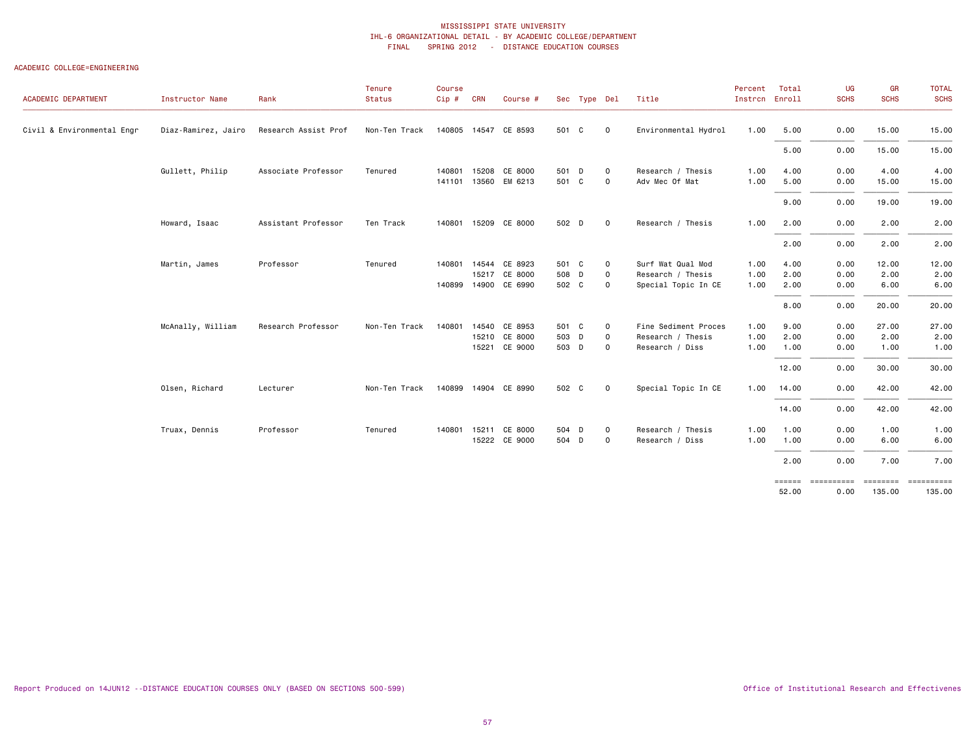| <b>ACADEMIC DEPARTMENT</b> | Instructor Name     | Rank                 | Tenure<br>Status | Course<br>Cip# | <b>CRN</b> | Course #                                     |                | Sec Type Del |                                    | Title                                    | Percent<br>Instron Enroll | Total        | UG<br><b>SCHS</b>  | GR<br><b>SCHS</b> | <b>TOTAL</b><br><b>SCHS</b> |
|----------------------------|---------------------|----------------------|------------------|----------------|------------|----------------------------------------------|----------------|--------------|------------------------------------|------------------------------------------|---------------------------|--------------|--------------------|-------------------|-----------------------------|
| Civil & Environmental Engr | Diaz-Ramirez, Jairo | Research Assist Prof | Non-Ten Track    |                |            | 140805 14547 CE 8593                         | 501 C          |              | $\mathbf 0$                        | Environmental Hydrol                     | 1.00                      | 5.00         | 0.00               | 15.00             | 15.00                       |
|                            |                     |                      |                  |                |            |                                              |                |              |                                    |                                          |                           | 5.00         | 0.00               | 15.00             | 15.00                       |
|                            | Gullett, Philip     | Associate Professor  | Tenured          |                |            | 140801 15208 CE 8000<br>141101 13560 EM 6213 | 501 D<br>501 C |              | $\mathbf 0$<br>$\mathsf{o}$        | Research / Thesis<br>Adv Mec Of Mat      | 1.00<br>1.00              | 4.00<br>5.00 | 0.00<br>0.00       | 4.00<br>15.00     | 4.00<br>15.00               |
|                            |                     |                      |                  |                |            |                                              |                |              |                                    |                                          |                           | 9.00         | 0.00               | 19.00             | 19.00                       |
|                            | Howard, Isaac       | Assistant Professor  | Ten Track        |                |            | 140801 15209 CE 8000                         | 502 D          |              | $\mathbf 0$                        | Research / Thesis                        | 1.00                      | 2.00         | 0.00               | 2.00              | 2.00                        |
|                            |                     |                      |                  |                |            |                                              |                |              |                                    |                                          |                           | 2.00         | 0.00               | 2.00              | 2.00                        |
|                            | Martin, James       | Professor            | Tenured          | 140801         |            | 14544 CE 8923                                | 501 C          |              | 0                                  | Surf Wat Qual Mod                        | 1.00                      | 4.00         | 0.00               | 12.00             | 12.00                       |
|                            |                     |                      |                  |                |            | 15217 CE 8000<br>140899 14900 CE 6990        | 508 D<br>502 C |              | $\mathsf{O}\xspace$<br>$\mathbf 0$ | Research / Thesis<br>Special Topic In CE | 1.00<br>1.00              | 2.00<br>2.00 | 0.00<br>0.00       | 2.00<br>6.00      | 2.00<br>6.00                |
|                            |                     |                      |                  |                |            |                                              |                |              |                                    |                                          |                           | 8.00         | 0.00               | 20.00             | 20.00                       |
|                            | McAnally, William   | Research Professor   | Non-Ten Track    | 140801         |            | 14540 CE 8953                                | 501 C          |              | 0                                  | Fine Sediment Proces                     | 1.00                      | 9.00         | 0.00               | 27.00             | 27.00                       |
|                            |                     |                      |                  |                |            | 15210 CE 8000<br>15221 CE 9000               | 503 D<br>503 D |              | $\mathsf 0$<br>$\mathbf 0$         | Research / Thesis<br>Research / Diss     | 1.00<br>1.00              | 2.00<br>1.00 | 0.00<br>0.00       | 2.00<br>1.00      | 2.00<br>1.00                |
|                            |                     |                      |                  |                |            |                                              |                |              |                                    |                                          |                           | 12.00        | 0.00               | 30.00             | 30.00                       |
|                            | Olsen, Richard      | Lecturer             | Non-Ten Track    |                |            | 140899 14904 CE 8990                         | 502 C          |              | $\mathbf 0$                        | Special Topic In CE                      | 1.00                      | 14.00        | 0.00               | 42.00             | 42.00                       |
|                            |                     |                      |                  |                |            |                                              |                |              |                                    |                                          |                           | 14.00        | 0.00               | 42.00             | 42.00                       |
|                            | Truax, Dennis       | Professor            | Tenured          | 140801 15211   |            | CE 8000<br>15222 CE 9000                     | 504 D<br>504 D |              | 0<br>$\mathsf 0$                   | Research / Thesis<br>Research / Diss     | 1.00<br>1.00              | 1.00<br>1.00 | 0.00<br>0.00       | 1.00<br>6.00      | 1.00<br>6.00                |
|                            |                     |                      |                  |                |            |                                              |                |              |                                    |                                          |                           | 2.00         |                    |                   |                             |
|                            |                     |                      |                  |                |            |                                              |                |              |                                    |                                          |                           | ======       | 0.00<br>========== | 7.00              | 7.00                        |
|                            |                     |                      |                  |                |            |                                              |                |              |                                    |                                          |                           | 52.00        | 0.00               | 135.00            | 135.00                      |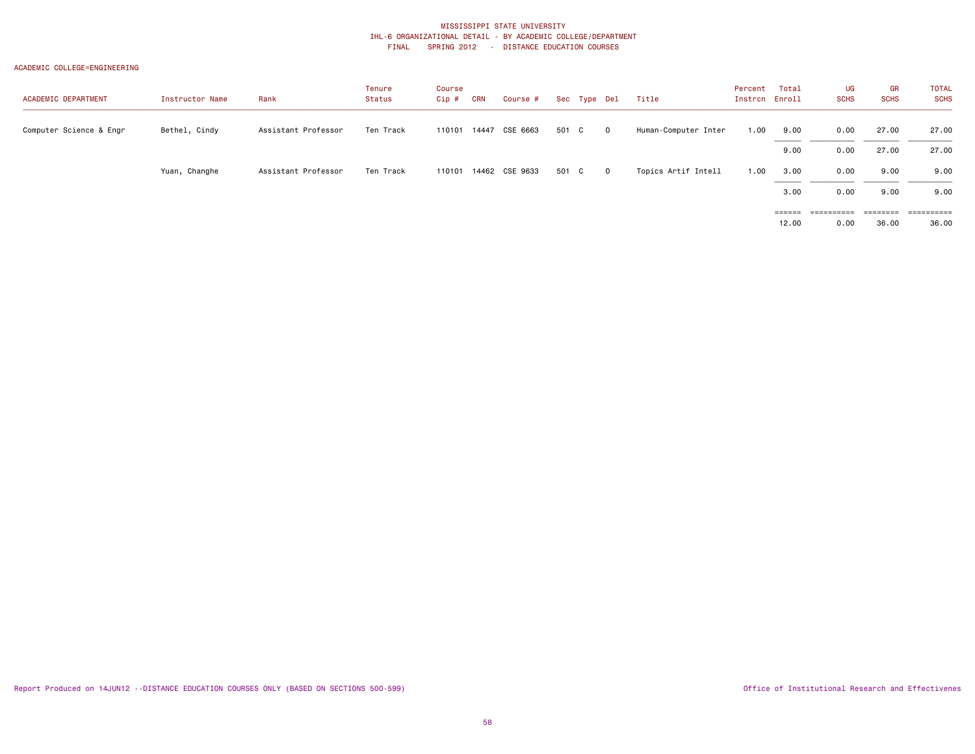| <b>ACADEMIC DEPARTMENT</b> | Instructor Name | Rank                | Tenure<br>Status | Course<br>$Cip$ # | <b>CRN</b> | Course #       |       | Sec Type Del |              | Title                | Percent<br>Instrcn Enroll | Total  | UG<br><b>SCHS</b> | GR<br><b>SCHS</b> | <b>TOTAL</b><br><b>SCHS</b> |
|----------------------------|-----------------|---------------------|------------------|-------------------|------------|----------------|-------|--------------|--------------|----------------------|---------------------------|--------|-------------------|-------------------|-----------------------------|
| Computer Science & Engr    | Bethel, Cindy   | Assistant Professor | Ten Track        | 110101            | 14447      | CSE 6663       | 501 C |              | $\circ$      | Human-Computer Inter | 1.00                      | 9.00   | 0.00              | 27.00             | 27.00                       |
|                            |                 |                     |                  |                   |            |                |       |              |              |                      |                           | 9.00   | 0.00              | 27.00             | 27.00                       |
|                            | Yuan, Changhe   | Assistant Professor | Ten Track        | 110101            |            | 14462 CSE 9633 | 501 C |              | $\mathbf{0}$ | Topics Artif Intell  | 1.00                      | 3.00   | 0.00              | 9.00              | 9.00                        |
|                            |                 |                     |                  |                   |            |                |       |              |              |                      |                           | 3.00   | 0.00              | 9.00              | 9.00                        |
|                            |                 |                     |                  |                   |            |                |       |              |              |                      |                           | ====== | ==========        | ========          | ==========                  |
|                            |                 |                     |                  |                   |            |                |       |              |              |                      |                           | 12.00  | 0.00              | 36.00             | 36.00                       |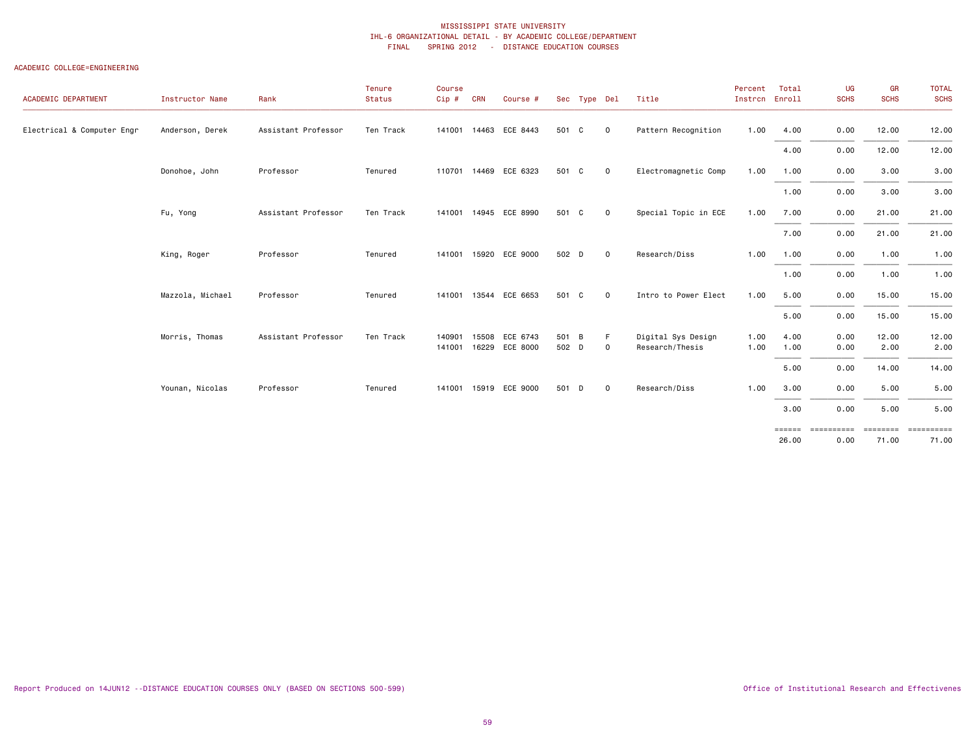| ACADEMIC DEPARTMENT        | Instructor Name  | Rank                | Tenure<br>Status | Course<br>Cip#   | <b>CRN</b>     | Course #              |                | Sec Type Del |                         | Title                                 | Percent<br>Instron Enroll | Total        | UG<br><b>SCHS</b>        | GR<br><b>SCHS</b>            | <b>TOTAL</b><br><b>SCHS</b> |
|----------------------------|------------------|---------------------|------------------|------------------|----------------|-----------------------|----------------|--------------|-------------------------|---------------------------------------|---------------------------|--------------|--------------------------|------------------------------|-----------------------------|
| Electrical & Computer Engr | Anderson, Derek  | Assistant Professor | Ten Track        |                  |                | 141001 14463 ECE 8443 | 501 C          |              | $\overline{0}$          | Pattern Recognition                   | 1.00                      | 4.00         | 0.00                     | 12.00                        | 12.00                       |
|                            |                  |                     |                  |                  |                |                       |                |              |                         |                                       |                           | 4.00         | 0.00                     | 12.00                        | 12.00                       |
|                            | Donohoe, John    | Professor           | Tenured          |                  |                | 110701 14469 ECE 6323 | 501 C          |              | $\overline{0}$          | Electromagnetic Comp                  | 1.00                      | 1.00         | 0.00                     | 3.00                         | 3.00                        |
|                            |                  |                     |                  |                  |                |                       |                |              |                         |                                       |                           | 1.00         | 0.00                     | 3.00                         | 3.00                        |
|                            | Fu, Yong         | Assistant Professor | Ten Track        | 141001           |                | 14945 ECE 8990        | 501 C          |              | $\overline{\mathbf{0}}$ | Special Topic in ECE                  | 1.00                      | 7.00         | 0.00                     | 21.00                        | 21.00                       |
|                            |                  |                     |                  |                  |                |                       |                |              |                         |                                       |                           | 7.00         | 0.00                     | 21.00                        | 21.00                       |
|                            | King, Roger      | Professor           | Tenured          |                  |                | 141001 15920 ECE 9000 | 502 D          |              | $\mathbf 0$             | Research/Diss                         | 1.00                      | 1.00         | 0.00                     | 1.00                         | 1.00                        |
|                            |                  |                     |                  |                  |                |                       |                |              |                         |                                       |                           | 1.00         | 0.00                     | 1.00                         | 1.00                        |
|                            | Mazzola, Michael | Professor           | Tenured          |                  |                | 141001 13544 ECE 6653 | 501 C          |              | $\mathbf 0$             | Intro to Power Elect                  | 1.00                      | 5.00         | 0.00                     | 15.00                        | 15.00                       |
|                            |                  |                     |                  |                  |                |                       |                |              |                         |                                       |                           | 5.00         | 0.00                     | 15.00                        | 15.00                       |
|                            | Morris, Thomas   | Assistant Professor | Ten Track        | 140901<br>141001 | 15508<br>16229 | ECE 6743<br>ECE 8000  | 501 B<br>502 D |              | F.<br>$\mathbf 0$       | Digital Sys Design<br>Research/Thesis | 1.00<br>1.00              | 4.00<br>1.00 | 0.00<br>0.00             | 12.00<br>2.00                | 12.00<br>2.00               |
|                            |                  |                     |                  |                  |                |                       |                |              |                         |                                       |                           | 5.00         | 0.00                     | 14.00                        | 14.00                       |
|                            | Younan, Nicolas  | Professor           | Tenured          | 141001           |                | 15919 ECE 9000        | 501 D          |              | $\overline{0}$          | Research/Diss                         | 1.00                      | 3.00         | 0.00                     | 5.00                         | 5.00                        |
|                            |                  |                     |                  |                  |                |                       |                |              |                         |                                       |                           | 3.00         | 0.00                     | 5.00                         | 5.00                        |
|                            |                  |                     |                  |                  |                |                       |                |              |                         |                                       |                           | 26.00        | ====== =========<br>0.00 | ======== ==========<br>71.00 | 71.00                       |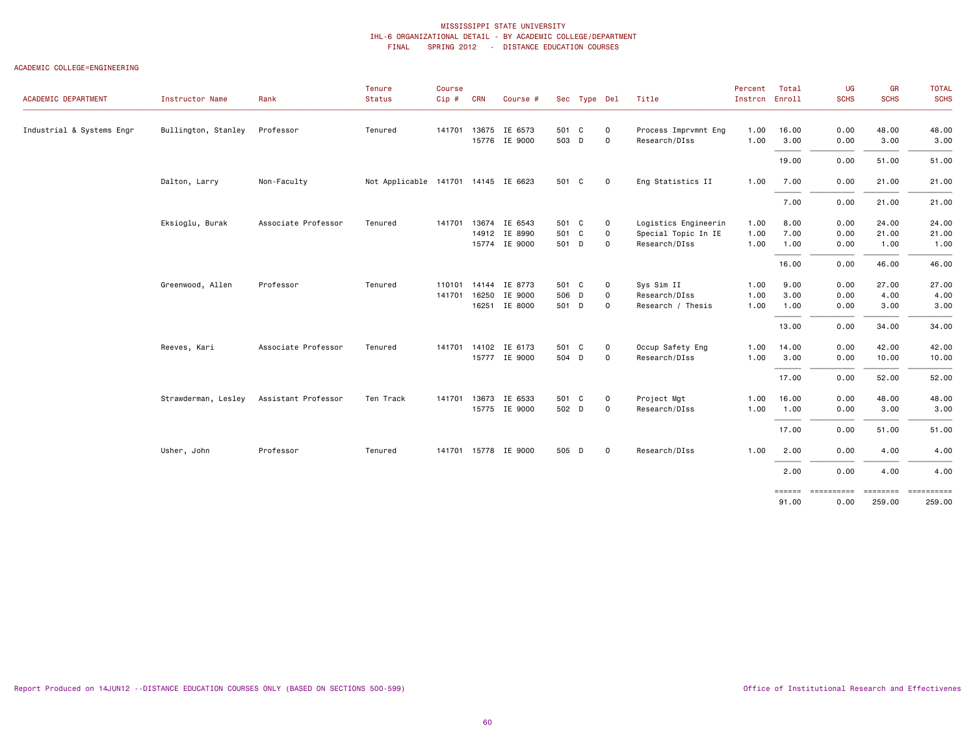| <b>ACADEMIC DEPARTMENT</b> | Instructor Name     | Rank                | Tenure<br>Status                    | Course<br>Cip# | <b>CRN</b>   | Course #             |       | Sec Type Del |                     | Title                | Percent<br>Instron Enroll | Total | UG<br><b>SCHS</b> | <b>GR</b><br><b>SCHS</b> | <b>TOTAL</b><br><b>SCHS</b> |
|----------------------------|---------------------|---------------------|-------------------------------------|----------------|--------------|----------------------|-------|--------------|---------------------|----------------------|---------------------------|-------|-------------------|--------------------------|-----------------------------|
| Industrial & Systems Engr  | Bullington, Stanley | Professor           | Tenured                             |                |              | 141701 13675 IE 6573 | 501 C |              | 0                   | Process Imprvmnt Eng | 1.00                      | 16.00 | 0.00              | 48.00                    | 48.00                       |
|                            |                     |                     |                                     |                |              | 15776 IE 9000        | 503 D |              | $\mathsf{O}\xspace$ | Research/DIss        | 1.00                      | 3.00  | 0.00              | 3.00                     | 3.00                        |
|                            |                     |                     |                                     |                |              |                      |       |              |                     |                      |                           | 19.00 | 0.00              | 51.00                    | 51.00                       |
|                            | Dalton, Larry       | Non-Faculty         | Not Applicable 141701 14145 IE 6623 |                |              |                      | 501 C |              | 0                   | Eng Statistics II    | 1.00                      | 7.00  | 0.00              | 21.00                    | 21.00                       |
|                            |                     |                     |                                     |                |              |                      |       |              |                     |                      |                           | 7.00  | 0.00              | 21.00                    | 21.00                       |
|                            | Eksioglu, Burak     | Associate Professor | Tenured                             | 141701         |              | 13674 IE 6543        | 501 C |              | 0                   | Logistics Engineerin | 1.00                      | 8.00  | 0.00              | 24.00                    | 24.00                       |
|                            |                     |                     |                                     |                |              | 14912 IE 8990        | 501 C |              | 0                   | Special Topic In IE  | 1.00                      | 7.00  | 0.00              | 21.00                    | 21.00                       |
|                            |                     |                     |                                     |                |              | 15774 IE 9000        | 501 D |              | 0                   | Research/DIss        | 1.00                      | 1.00  | 0.00              | 1.00                     | 1.00                        |
|                            |                     |                     |                                     |                |              |                      |       |              |                     |                      |                           | 16.00 | 0.00              | 46.00                    | 46.00                       |
|                            | Greenwood, Allen    | Professor           | Tenured                             | 110101         |              | 14144 IE 8773        | 501 C |              | 0                   | Sys Sim II           | 1.00                      | 9.00  | 0.00              | 27.00                    | 27.00                       |
|                            |                     |                     |                                     |                | 141701 16250 | IE 9000              | 506 D |              | $\mathsf{O}\xspace$ | Research/DIss        | 1.00                      | 3.00  | 0.00              | 4.00                     | 4.00                        |
|                            |                     |                     |                                     |                |              | 16251 IE 8000        | 501 D |              | $\mathbf 0$         | Research / Thesis    | 1.00                      | 1.00  | 0.00              | 3.00                     | 3.00                        |
|                            |                     |                     |                                     |                |              |                      |       |              |                     |                      |                           | 13.00 | 0.00              | 34.00                    | 34.00                       |
|                            | Reeves, Kari        | Associate Professor | Tenured                             |                |              | 141701 14102 IE 6173 | 501 C |              | 0                   | Occup Safety Eng     | 1.00                      | 14.00 | 0.00              | 42.00                    | 42.00                       |
|                            |                     |                     |                                     |                |              | 15777 IE 9000        | 504 D |              | $\mathbf 0$         | Research/DIss        | 1.00                      | 3.00  | 0.00              | 10.00                    | 10.00                       |
|                            |                     |                     |                                     |                |              |                      |       |              |                     |                      |                           | 17.00 | 0.00              | 52.00                    | 52.00                       |
|                            | Strawderman, Lesley | Assistant Professor | Ten Track                           | 141701         |              | 13673 IE 6533        | 501 C |              | 0                   | Project Mgt          | 1.00                      | 16.00 | 0.00              | 48.00                    | 48.00                       |
|                            |                     |                     |                                     |                |              | 15775 IE 9000        | 502 D |              | $\mathbf 0$         | Research/DIss        | 1.00                      | 1.00  | 0.00              | 3.00                     | 3.00                        |
|                            |                     |                     |                                     |                |              |                      |       |              |                     |                      |                           | 17.00 | 0.00              | 51.00                    | 51.00                       |
|                            | Usher, John         | Professor           | Tenured                             |                |              | 141701 15778 IE 9000 | 505 D |              | 0                   | Research/DIss        | 1.00                      | 2.00  | 0.00              | 4.00                     | 4.00                        |
|                            |                     |                     |                                     |                |              |                      |       |              |                     |                      |                           | 2.00  | 0.00              | 4.00                     | 4.00                        |
|                            |                     |                     |                                     |                |              |                      |       |              |                     |                      |                           |       | ================= | <b>ESSESSES</b>          | ==========                  |
|                            |                     |                     |                                     |                |              |                      |       |              |                     |                      |                           | 91.00 | 0.00              | 259.00                   | 259.00                      |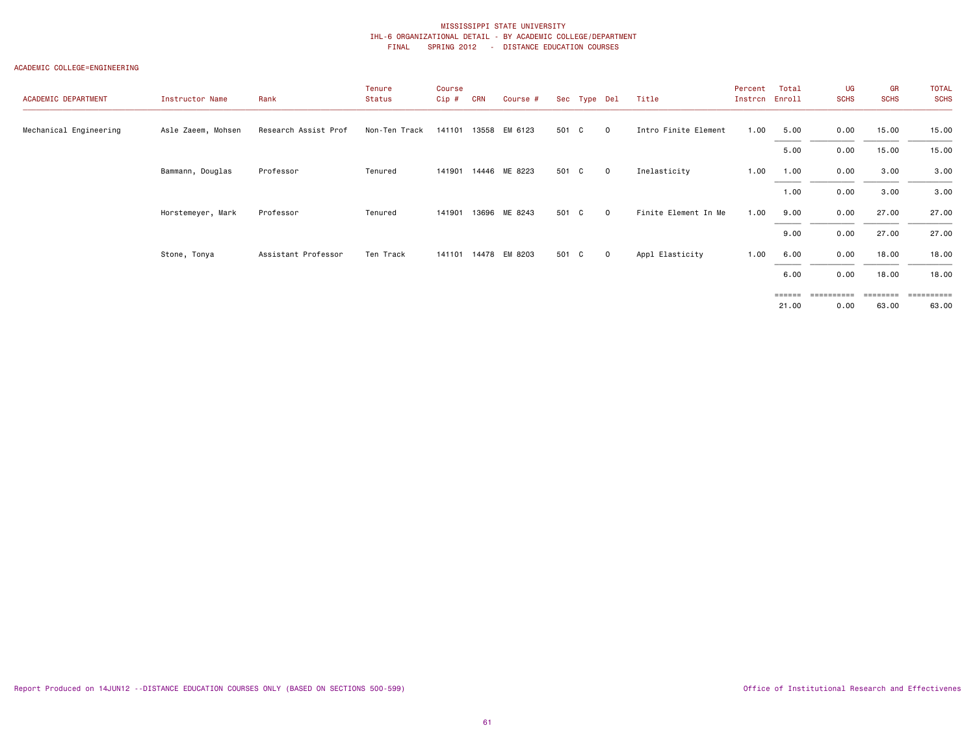| ACADEMIC DEPARTMENT    | Instructor Name    | Rank                 | Tenure<br>Status | Course<br>Cip # | <b>CRN</b> | Course #             |       | Sec Type Del |              | Title                | Percent<br>Instron | Total<br>Enroll | UG<br><b>SCHS</b> | GR<br><b>SCHS</b> | <b>TOTAL</b><br><b>SCHS</b> |
|------------------------|--------------------|----------------------|------------------|-----------------|------------|----------------------|-------|--------------|--------------|----------------------|--------------------|-----------------|-------------------|-------------------|-----------------------------|
| Mechanical Engineering | Asle Zaeem, Mohsen | Research Assist Prof | Non-Ten Track    |                 |            | 141101 13558 EM 6123 | 501 C |              | $\mathbf 0$  | Intro Finite Element | 1.00               | 5.00            | 0.00              | 15.00             | 15.00                       |
|                        |                    |                      |                  |                 |            |                      |       |              |              |                      |                    | 5.00            | 0.00              | 15.00             | 15.00                       |
|                        | Bammann, Douglas   | Professor            | Tenured          | 141901          |            | 14446 ME 8223        | 501 C |              | $\mathbf 0$  | Inelasticity         | 1.00               | 1.00            | 0.00              | 3.00              | 3.00                        |
|                        |                    |                      |                  |                 |            |                      |       |              |              |                      |                    | 1.00            | 0.00              | 3.00              | 3.00                        |
|                        | Horstemeyer, Mark  | Professor            | Tenured          | 141901          |            | 13696 ME 8243        | 501 C |              | $\mathbf 0$  | Finite Element In Me | 1.00               | 9.00            | 0.00              | 27.00             | 27.00                       |
|                        |                    |                      |                  |                 |            |                      |       |              |              |                      |                    | 9.00            | 0.00              | 27.00             | 27.00                       |
|                        | Stone, Tonya       | Assistant Professor  | Ten Track        | 141101          |            | 14478 EM 8203        | 501 C |              | $\mathbf{0}$ | Appl Elasticity      | 1.00               | 6.00            | 0.00              | 18.00             | 18.00                       |
|                        |                    |                      |                  |                 |            |                      |       |              |              |                      |                    | 6.00            | 0.00              | 18.00             | 18.00                       |
|                        |                    |                      |                  |                 |            |                      |       |              |              |                      |                    | ======          | ==========        | ========          | ==========                  |
|                        |                    |                      |                  |                 |            |                      |       |              |              |                      |                    | 21.00           | 0.00              | 63.00             | 63.00                       |